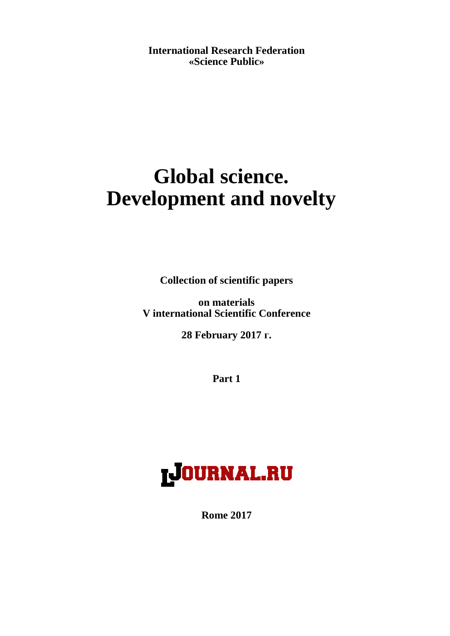**International Research Federation «Science Public»**

# **Global science. Development and novelty**

**Collection of scientific papers**

**on materials V international Scientific Conference**

**28 February 2017 г.**

**Part 1**



**Rome 2017**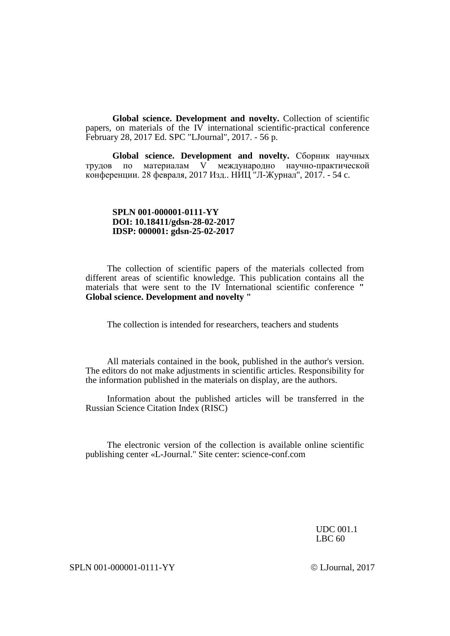**Global science. Development and novelty.** Collection of scientific papers, on materials of the  $IV$  international scientific-practical conference February 28, 2017 Ed. SPC "LJournal", 2017. - 56 p.

**Global science. Development and novelty.** Сборник научных трудов по материалам V международно научно-практической конференции. 28 февраля, 2017 Изд.. НИЦ "Л-Журнал", 2017. - 54 c.

#### **SPLN 001-000001-0111-YY DOI: 10.18411/gdsn-28-02-2017 IDSP: 000001: gdsn-25-02-2017**

The collection of scientific papers of the materials collected from different areas of scientific knowledge. This publication contains all the materials that were sent to the IV International scientific conference **" Global science. Development and novelty "**

The collection is intended for researchers, teachers and students

All materials contained in the book, published in the author's version. The editors do not make adjustments in scientific articles. Responsibility for the information published in the materials on display, are the authors.

Information about the published articles will be transferred in the Russian Science Citation Index (RISC)

The electronic version of the collection is available online scientific publishing center «L-Journal." Site center: science-conf.com

> UDC 001.1 LBC 60

SPLN 001-000001-0111-YY LJournal, 2017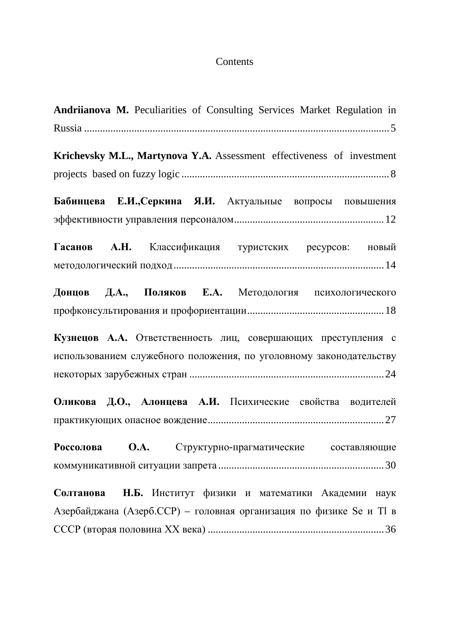# Contents

| Andriianova M. Peculiarities of Consulting Services Market Regulation in |
|--------------------------------------------------------------------------|
|                                                                          |
| Krichevsky M.L., Martynova Y.A. Assessment effectiveness of investment   |
|                                                                          |
| Бабинцева Е.И., Серкина Я.И. Актуальные вопросы повышения                |
|                                                                          |
| Гасанов А.Н. Классификация туристских ресурсов: новый                    |
|                                                                          |
| Донцов Д.А., Поляков Е.А. Методология психологического                   |
|                                                                          |
| Кузнецов А.А. Ответственность лиц, совершающих преступления с            |
| использованием служебного положения, по уголовному законодательству      |
|                                                                          |
| Оликова Д.О., Алонцева А.И. Психические свойства водителей               |
|                                                                          |
| Россолова О.А. Структурно-прагматические составляющие                    |
|                                                                          |
| Солтанова Н.Б. Институт физики и математики Академии наук                |
| Азербайджана (Азерб.ССР) – головная организация по физике Se и Tl в      |
|                                                                          |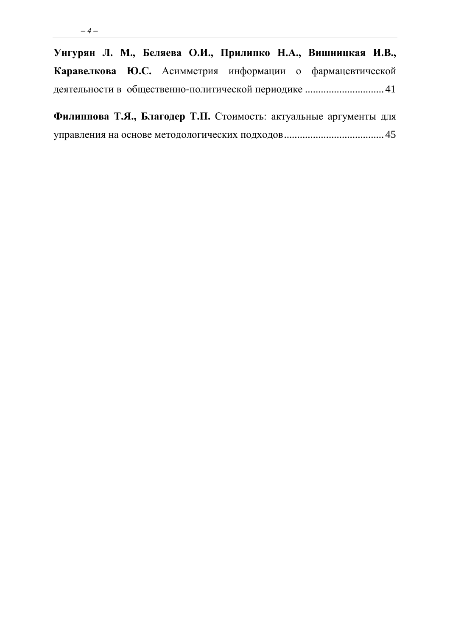| Унгурян Л. М., Беляева О.И., Прилипко Н.А., Вишницкая И.В., |  |  |  |  |
|-------------------------------------------------------------|--|--|--|--|
| Каравелкова Ю.С. Асимметрия информации о фармацевтической   |  |  |  |  |
|                                                             |  |  |  |  |

| Филиппова Т.Я., Благодер Т.П. Стоимость: актуальные аргументы для |  |  |  |  |
|-------------------------------------------------------------------|--|--|--|--|
|                                                                   |  |  |  |  |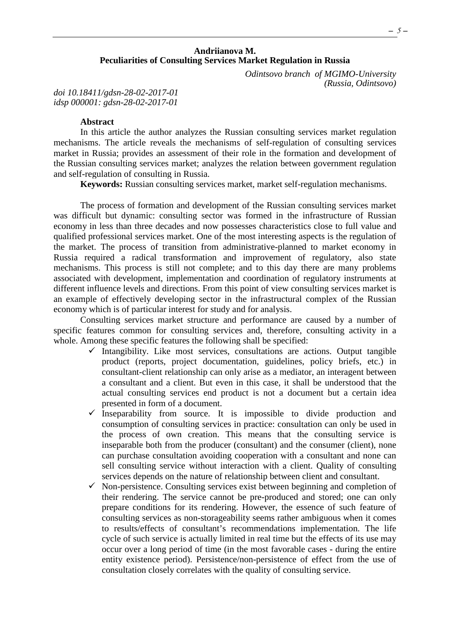# **Andriianova M. Peculiarities of Consulting Services Market Regulation in Russia**

*Odintsovo branch of MGIMO-University (Russia, Odintsovo)*

<span id="page-4-0"></span>*doi 10.18411/gdsn-28-02-2017-01 idsp 000001: gdsn-28-02-2017-01*

#### **Abstract**

In this article the author analyzes the Russian consulting services market regulation mechanisms. The article reveals the mechanisms of self-regulation of consulting services market in Russia; provides an assessment of their role in the formation and development of the Russian consulting services market; analyzes the relation between government regulation and self-regulation of consulting in Russia.

**Keywords:** Russian consulting services market, market self-regulation mechanisms.

The process of formation and development of the Russian consulting services market was difficult but dynamic: consulting sector was formed in the infrastructure of Russian economy in less than three decades and now possesses characteristics close to full value and qualified professional services market. One of the most interesting aspects is the regulation of the market. The process of transition from administrative-planned to market economy in Russia required a radical transformation and improvement of regulatory, also state mechanisms. This process is still not complete; and to this day there are many problems associated with development, implementation and coordination of regulatory instruments at different influence levels and directions. From this point of view consulting services market is an example of effectively developing sector in the infrastructural complex of the Russian economy which is of particular interest for study and for analysis.

Consulting services market structure and performance are caused by a number of specific features common for consulting services and, therefore, consulting activity in a whole. Among these specific features the following shall be specified:

- $\checkmark$  Intangibility. Like most services, consultations are actions. Output tangible product (reports, project documentation, guidelines, policy briefs, etc.) in consultant-client relationship can only arise as a mediator, an interagent between a consultant and a client. But even in this case, it shall be understood that the actual consulting services end product is not a document but a certain idea presented in form of a document.
- $\checkmark$  Inseparability from source. It is impossible to divide production and consumption of consulting services in practice: consultation can only be used in the process of own creation. This means that the consulting service is inseparable both from the producer (consultant) and the consumer (client), none can purchase consultation avoiding cooperation with a consultant and none can sell consulting service without interaction with a client. Quality of consulting services depends on the nature of relationship between client and consultant.
- $\checkmark$  Non-persistence. Consulting services exist between beginning and completion of their rendering. The service cannot be pre-produced and stored; one can only prepare conditions for its rendering. However, the essence of such feature of consulting services as non-storageability seems rather ambiguous when it comes to results/effects of consultant's recommendations implementation. The life cycle of such service is actually limited in real time but the effects of its use may occur over a long period of time (in the most favorable cases - during the entire entity existence period). Persistence/non-persistence of effect from the use of consultation closely correlates with the quality of consulting service.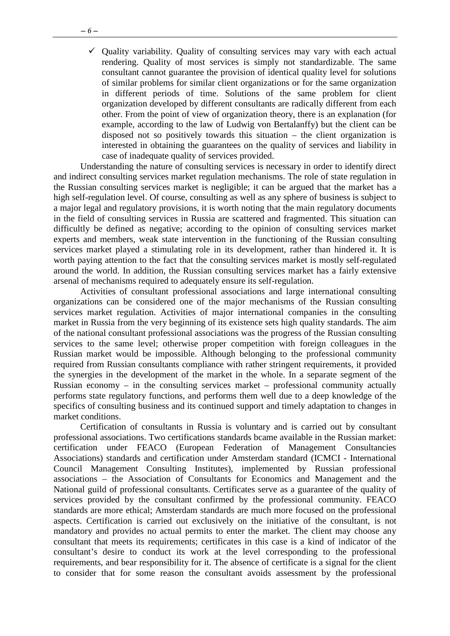$\checkmark$  Quality variability. Quality of consulting services may vary with each actual rendering. Quality of most services is simply not standardizable. The same consultant cannot guarantee the provision of identical quality level for solutions of similar problems for similar client organizations or for the same organization in different periods of time. Solutions of the same problem for client organization developed by different consultants are radically different from each other. From the point of view of organization theory, there is an explanation (for example, according to the law of Ludwig von Bertalanffy) but the client can be disposed not so positively towards this situation – the client organization is interested in obtaining the guarantees on the quality of services and liability in case of inadequate quality of services provided.

Understanding the nature of consulting services is necessary in order to identify direct and indirect consulting services market regulation mechanisms. The role of state regulation in the Russian consulting services market is negligible; it can be argued that the market has a high self-regulation level. Of course, consulting as well as any sphere of business is subject to a major legal and regulatory provisions, it is worth noting that the main regulatory documents in the field of consulting services in Russia are scattered and fragmented. This situation can difficultly be defined as negative; according to the opinion of consulting services market experts and members, weak state intervention in the functioning of the Russian consulting services market played a stimulating role in its development, rather than hindered it. It is worth paying attention to the fact that the consulting services market is mostly self-regulated around the world. In addition, the Russian consulting services market has a fairly extensive arsenal of mechanisms required to adequately ensure its self-regulation.

Activities of consultant professional associations and large international consulting organizations can be considered one of the major mechanisms of the Russian consulting services market regulation. Activities of major international companies in the consulting market in Russia from the very beginning of its existence sets high quality standards. The aim of the national consultant professional associations was the progress of the Russian consulting services to the same level; otherwise proper competition with foreign colleagues in the Russian market would be impossible. Although belonging to the professional community required from Russian consultants compliance with rather stringent requirements, it provided the synergies in the development of the market in the whole. In a separate segment of the Russian economy – in the consulting services market – professional community actually performs state regulatory functions, and performs them well due to a deep knowledge of the specifics of consulting business and its continued support and timely adaptation to changes in market conditions.

Certification of consultants in Russia is voluntary and is carried out by consultant professional associations. Two certifications standards bcame available in the Russian market: certification under FEACO (European Federation of Management Consultancies Associations) standards and certification under Amsterdam standard (ICMCI - International Council Management Consulting Institutes), implemented by Russian professional associations – the Association of Consultants for Economics and Management and the National guild of professional consultants. Certificates serve as a guarantee of the quality of services provided by the consultant confirmed by the professional community. FEACO standards are more ethical; Amsterdam standards are much more focused on the professional aspects. Certification is carried out exclusively on the initiative of the consultant, is not mandatory and provides no actual permits to enter the market. The client may choose any consultant that meets its requirements; certificates in this case is a kind of indicator of the consultant's desire to conduct its work at the level corresponding to the professional requirements, and bear responsibility for it. The absence of certificate is a signal for the client to consider that for some reason the consultant avoids assessment by the professional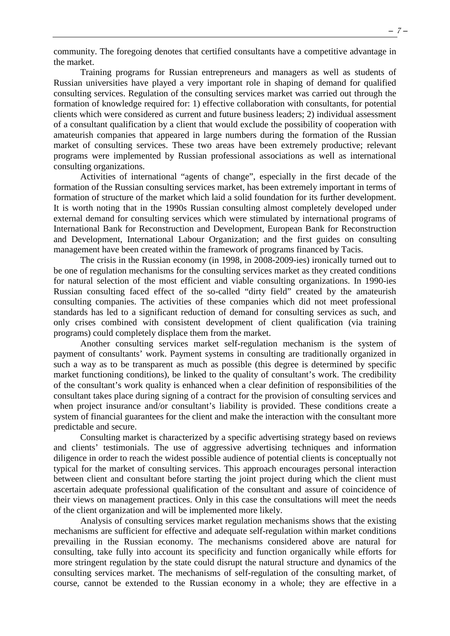community. The foregoing denotes that certified consultants have a competitive advantage in the market.

Training programs for Russian entrepreneurs and managers as well as students of Russian universities have played a very important role in shaping of demand for qualified consulting services. Regulation of the consulting services market was carried out through the formation of knowledge required for: 1) effective collaboration with consultants, for potential clients which were considered as current and future business leaders; 2) individual assessment of a consultant qualification by a client that would exclude the possibility of cooperation with amateurish companies that appeared in large numbers during the formation of the Russian market of consulting services. These two areas have been extremely productive; relevant programs were implemented by Russian professional associations as well as international consulting organizations.

Activities of international "agents of change", especially in the first decade of the formation of the Russian consulting services market, has been extremely important in terms of formation of structure of the market which laid a solid foundation for its further development. It is worth noting that in the 1990s Russian consulting almost completely developed under external demand for consulting services which were stimulated by international programs of International Bank for Reconstruction and Development, European Bank for Reconstruction and Development, International Labour Organization; and the first guides on consulting management have been created within the framework of programs financed by Tacis.

The crisis in the Russian economy (in 1998, in 2008-2009-ies) ironically turned out to be one of regulation mechanisms for the consulting services market as they created conditions for natural selection of the most efficient and viable consulting organizations. In 1990-ies Russian consulting faced effect of the so-called "dirty field" created by the amateurish consulting companies. The activities of these companies which did not meet professional standards has led to a significant reduction of demand for consulting services as such, and only crises combined with consistent development of client qualification (via training programs) could completely displace them from the market.

Another consulting services market self-regulation mechanism is the system of payment of consultants' work. Payment systems in consulting are traditionally organized in such a way as to be transparent as much as possible (this degree is determined by specific market functioning conditions), be linked to the quality of consultant's work. The credibility of the consultant's work quality is enhanced when a clear definition of responsibilities of the consultant takes place during signing of a contract for the provision of consulting services and when project insurance and/or consultant's liability is provided. These conditions create a system of financial guarantees for the client and make the interaction with the consultant more predictable and secure.

Consulting market is characterized by a specific advertising strategy based on reviews and clients' testimonials. The use of aggressive advertising techniques and information diligence in order to reach the widest possible audience of potential clients is conceptually not typical for the market of consulting services. This approach encourages personal interaction between client and consultant before starting the joint project during which the client must ascertain adequate professional qualification of the consultant and assure of coincidence of their views on management practices. Only in this case the consultations will meet the needs of the client organization and will be implemented more likely.

Analysis of consulting services market regulation mechanisms shows that the existing mechanisms are sufficient for effective and adequate self-regulation within market conditions prevailing in the Russian economy. The mechanisms considered above are natural for consulting, take fully into account its specificity and function organically while efforts for more stringent regulation by the state could disrupt the natural structure and dynamics of the consulting services market. The mechanisms of self-regulation of the consulting market, of course, cannot be extended to the Russian economy in a whole; they are effective in a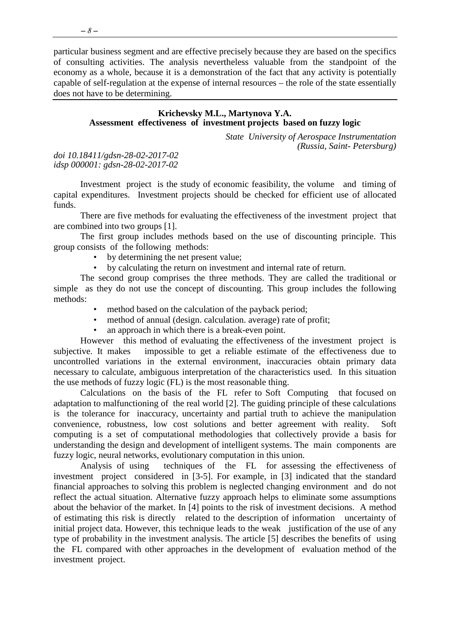particular business segment and are effective precisely because they are based on the specifics of consulting activities. The analysis nevertheless valuable from the standpoint of the economy as a whole, because it is a demonstration of the fact that any activity is potentially capable of self-regulation at the expense of internal resources – the role of the state essentially does not have to be determining.

#### <span id="page-7-0"></span>**Krichevsky M.L., Martynova Y.A. Assessment effectiveness of investment projects based on fuzzy logic**

*State University of Aerospace Instrumentation (Russia, Saint- Petersburg)*

*doi 10.18411/gdsn-28-02-2017-02 idsp 000001: gdsn-28-02-2017-02*

Investment project is the study of economic feasibility, the volume and timing of capital expenditures. Investment projects should be checked for efficient use of allocated funds.

There are five methods for evaluating the effectiveness of the investment project that are combined into two groups [1].

The first group includes methods based on the use of discounting principle. This group consists of the following methods:

- by determining the net present value;
- by calculating the return on investment and internal rate of return.

The second group comprises the three methods. They are called the traditional or simple as they do not use the concept of discounting. This group includes the following methods:

- method based on the calculation of the payback period;
- method of annual (design. calculation. average) rate of profit;
- an approach in which there is a break-even point.

However this method of evaluating the effectiveness of the investment project is subjective. It makes impossible to get a reliable estimate of the effectiveness due to uncontrolled variations in the external environment, inaccuracies obtain primary data necessary to calculate, ambiguous interpretation of the characteristics used. In this situation the use methods of fuzzy logic (FL) is the most reasonable thing.

Calculations on the basis of the FL refer to Soft Computing that focused on adaptation to malfunctioning of the real world [2]. The guiding principle of these calculations is the tolerance for inaccuracy, uncertainty and partial truth to achieve the manipulation convenience, robustness, low cost solutions and better agreement with reality. Soft computing is a set of computational methodologies that collectively provide a basis for understanding the design and development of intelligent systems. The main components are fuzzy logic, neural networks, evolutionary computation in this union.

Analysis of using techniques of the FL for assessing the effectiveness of investment project considered in [3-5]. For example, in [3] indicated that the standard financial approaches to solving this problem is neglected changing environment and do not reflect the actual situation. Alternative fuzzy approach helps to eliminate some assumptions about the behavior of the market. In [4] points to the risk of investment decisions. A method of estimating this risk is directly related to the description of information uncertainty of initial project data. However, this technique leads to the weak justification of the use of any type of probability in the investment analysis. The article [5] describes the benefits of using the FL compared with other approaches in the development of evaluation method of the investment project.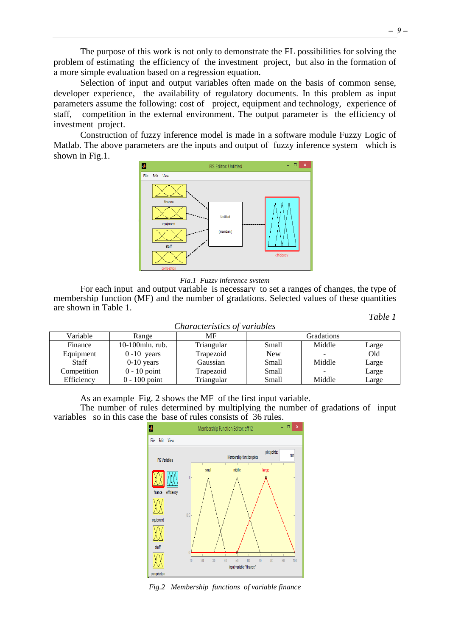The purpose of this work is not only to demonstrate the FL possibilities for solving the problem of estimating the efficiency of the investment project, but also in the formation of a more simple evaluation based on a regression equation.

Selection of input and output variables often made on the basis of common sense, developer experience, the availability of regulatory documents. In this problem as input parameters assume the following: cost of project, equipment and technology, experience of staff, competition in the external environment. The output parameter is the efficiency of investment project.

Construction of fuzzy inference model is made in a software module Fuzzy Logic of Matlab. The above parameters are the inputs and output of fuzzy inference system which is shown in Fig.1.





For each input and output variable is necessary to set a ranges of changes, the type of membership function (MF) and the number of gradations. Selected values of these quantities are shown in Table 1.

*Table 1*

| <u> U IVUI WUVU I UUVUU U</u><br>, <i>.</i> |                 |            |            |            |       |  |  |
|---------------------------------------------|-----------------|------------|------------|------------|-------|--|--|
| Variable                                    | Range           | MF         |            | Gradations |       |  |  |
| Finance                                     | 10-100mln. rub. | Triangular | Small      | Middle     | Large |  |  |
| Equipment                                   | $0-10$ years    | Trapezoid  | <b>New</b> |            | Old   |  |  |
| <b>Staff</b>                                | $0-10$ years    | Gaussian   | Small      | Middle     | Large |  |  |
| Competition                                 | $0 - 10$ point  | Trapezoid  | Small      |            | Large |  |  |
| Efficiency                                  | $0 - 100$ point | Triangular | Small      | Middle     | Large |  |  |

#### *Characteristics of variables*

As an example Fig. 2 shows the MF of the first input variable.

The number of rules determined by multiplying the number of gradations of input variables so in this case the base of rules consists of 36 rules.



*Fig.2 Membership functions of variable finance*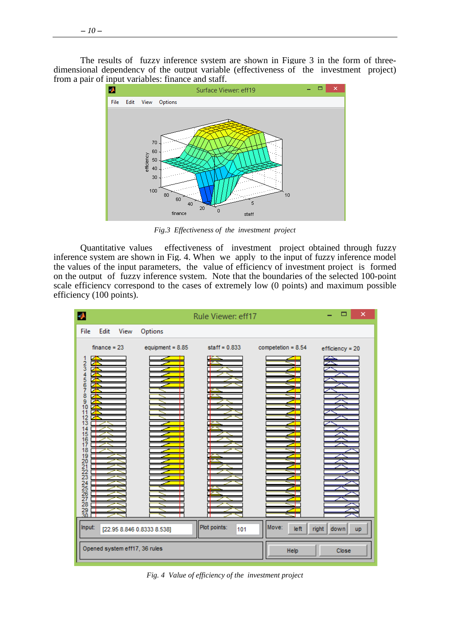The results of fuzzy inference system are shown in Figure 3 in the form of threedimensional dependency of the output variable (effectiveness of the investment project) from a pair of input variables: finance and staff.<br>Surface Viewer: eff19



*Fig.3 Effectiveness of the investment project*

Quantitative values effectiveness of investment project obtained through fuzzy inference system are shown in Fig. 4. When we apply to the input of fuzzy inference model the values of the input parameters, the value of efficiency of investment project is formed on the output of fuzzy inference system. Note that the boundaries of the selected 100-point scale efficiency correspond to the cases of extremely low (0 points) and maximum possible efficiency (100 points).

| А                                                                                                                                                                                | ×                          |                     |                      |                            |
|----------------------------------------------------------------------------------------------------------------------------------------------------------------------------------|----------------------------|---------------------|----------------------|----------------------------|
| File<br>Edit<br>View                                                                                                                                                             | Options                    |                     |                      |                            |
| $finance = 23$<br>◘<br>123456789<br>Z<br>o<br>₹<br>뎕<br>◢<br>10<br>▱<br>11<br>12<br>13<br>14<br>15<br>16<br>17<br>18<br>19<br>20<br>21<br>22<br>23<br>2425262728<br>$^{29}_{30}$ | equipment = $8.85$         | staff = $0.833$     | competetion = $8.54$ | efficiency = 20            |
| Input:                                                                                                                                                                           | [22.95 8.846 0.8333 8.538] | Plot points:<br>101 | Move:<br>left        | right<br>down<br><b>up</b> |
| Opened system eff17, 36 rules                                                                                                                                                    |                            |                     | Help                 | Close                      |

*Fig. 4 Value of efficiency of the investment project*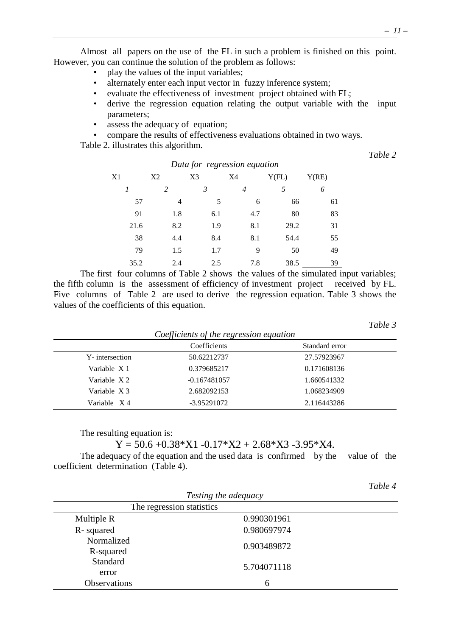Almost all papers on the use of the FL in such a problem is finished on this point. However, you can continue the solution of the problem as follows:

- play the values of the input variables;
- alternately enter each input vector in fuzzy inference system;
- evaluate the effectiveness of investment project obtained with FL;<br>• derive the regression equation relating the output variable with
- derive the regression equation relating the output variable with the input parameters;
- assess the adequacy of equation;
- compare the results of effectiveness evaluations obtained in two ways.

Table 2. illustrates this algorithm.

*Table 2*

| Data for regression equation |                |     |                |       |       |  |  |  |
|------------------------------|----------------|-----|----------------|-------|-------|--|--|--|
| X1                           | X <sub>2</sub> | X3  | X4             | Y(FL) | Y(RE) |  |  |  |
| $\overline{I}$               | 2              | 3   | $\overline{4}$ | 5     | 6     |  |  |  |
| 57                           | 4              | 5   | 6              | 66    | 61    |  |  |  |
| 91                           | 1.8            | 6.1 | 4.7            | 80    | 83    |  |  |  |
| 21.6                         | 8.2            | 1.9 | 8.1            | 29.2  | 31    |  |  |  |
| 38                           | 4.4            | 8.4 | 8.1            | 54.4  | 55    |  |  |  |
| 79                           | 1.5            | 1.7 | 9              | 50    | 49    |  |  |  |
| 35.2                         | 2.4            | 2.5 | 7.8            | 38.5  | 39    |  |  |  |

The first four columns of Table 2 shows the values of the simulated input variables; the fifth column is the assessment of efficiency of investment project received by FL. Five columns of Table 2 are used to derive the regression equation. Table 3 shows the values of the coefficients of this equation.

*Table 3*

|                | Coefficients   | Standard error |  |
|----------------|----------------|----------------|--|
| Y-intersection | 50.62212737    | 27.57923967    |  |
| Variable X 1   | 0.379685217    | 0.171608136    |  |
| Variable X2    | $-0.167481057$ | 1.660541332    |  |
| Variable X3    | 2.682092153    | 1.068234909    |  |
| Variable $X4$  | -3.95291072    | 2.116443286    |  |

The resulting equation is:

 $Y = 50.6 + 0.38 * X1 - 0.17 * X2 + 2.68 * X3 - 3.95 * X4.$ 

The adequacy of the equation and the used data is confirmed by the value of the coefficient determination (Table 4).

|                           |                      | Table 4 |
|---------------------------|----------------------|---------|
|                           | Testing the adequacy |         |
| The regression statistics |                      |         |
| Multiple R                | 0.990301961          |         |
| R-squared                 | 0.980697974          |         |
| Normalized                | 0.903489872          |         |
| R-squared                 |                      |         |
| Standard                  | 5.704071118          |         |
| error                     |                      |         |
| Observations              | 6                    |         |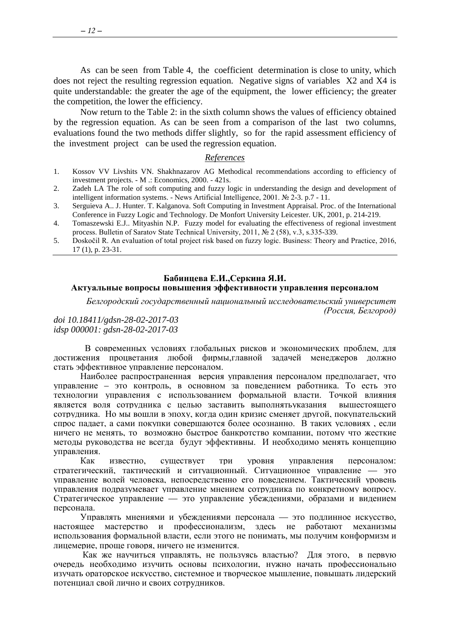As can be seen from Table 4, the coefficient determination is close to unity, which does not reject the resulting regression equation. Negative signs of variables X2 and X4 is quite understandable: the greater the age of the equipment, the lower efficiency; the greater the competition, the lower the efficiency.

Now return to the Table 2: in the sixth column shows the values of efficiency obtained by the regression equation. As can be seen from a comparison of the last two columns, evaluations found the two methods differ slightly, so for the rapid assessment efficiency of the investment project can be used the regression equation.

# *References*

- 1. Kossov VV Livshits VN. Shakhnazarov AG Methodical recommendations according to efficiency of investment projects. - M .: Economics, 2000. - 421s.
- 2. Zadeh LA The role of soft computing and fuzzy logic in understanding the design and development of intelligent information systems. - News Artificial Intelligence, 2001. № 2-3. p.7 - 11.
- 3. Serguieva A.. J. Hunter. T. Kalganova. Soft Computing in Investment Appraisal. Proc. of the International Conference in Fuzzy Logic and Technology. De Monfort University Leicester. UK, 2001, p. 214-219.
- 4. Tomaszewski E.J.. Mityashin N.P. Fuzzy model for evaluating the effectiveness of regional investment process. Bulletin of Saratov State Technical University, 2011, № 2 (58), v.3, s.335-339.
- 5. Doskočil R. An evaluation of total project risk based on fuzzy logic. Business: Theory and Practice, 2016, 17 (1), p. 23-31.

#### <span id="page-11-0"></span>**Бабинцева Е.И.,Серкина Я.И. Актуальные вопросы повышения эффективности управления персоналом**

*Белгородский государственный национальный исследовательский университет (Россия, Белгород)*

#### *doi 10.18411/gdsn-28-02-2017-03 idsp 000001: gdsn-28-02-2017-03*

 В современных условиях глобальных рисков и экономических проблем, для достижения процветания любой фирмы,главной задачей менеджеров должно стать эффективное управление персоналом.

Наиболее распространенная версия управления персоналом предполагает, что управление – это контроль, в основном за поведением работника. То есть это технологии управления с использованием формальной власти. Точкой влияния является воля сотрудника с целью заставить выполнятьуказания вышестоящего сотрудника. Но мы вошли в эпоху, когда один кризис сменяет другой, покупательский спрос падает, а сами покупки совершаются более осознанно. В таких условиях , если ничего не менять, то возможно быстрое банкротство компании, потому что жесткие методы руководства не всегда будут эффективны. И необходимо менять концепцию управления.

Как известно, существует три уровня управления персоналом: стратегический, тактический и ситуационный. Ситуационное управление — это управление волей человека, непосредственно его поведением. Тактический уровень управления подразумевает управление мнением сотрудника по конкретному вопросу. Стратегическое управление — это управление убеждениями, образами и видением персонала.

Управлять мнениями и убеждениями персонала — это подлинное искусство, настоящее мастерство и профессионализм, здесь не работают механизмы использования формальной власти, если этого не понимать, мы получим конформизм и лицемерие, проще говоря, ничего не изменится.

Как же научиться управлять, не пользуясь властью? Для этого, в первую очередь необходимо изучить основы психологии, нужно начать профессионально изучать ораторское искусство, системное и творческое мышление, повышать лидерский потенциал свой лично и своих сотрудников.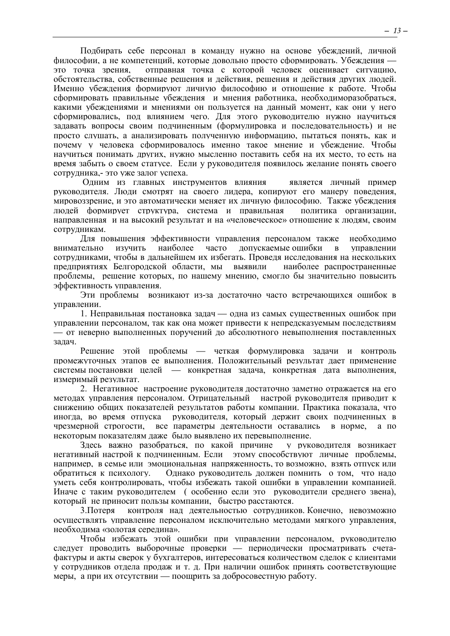Подбирать себе персонал в команду нужно на основе убеждений, личной философии, а не компетенций, которые довольно просто сформировать. Убеждения это точка зрения, отправная точка с которой человек оценивает ситуацию, обстоятельства, собственные решения и действия, решения и действия других людей. Именно убеждения формируют личную философию и отношение к работе. Чтобы сформировать правильные убеждения и мнения работника, необходиморазобраться, какими убеждениями и мнениями он пользуется на данный момент, как они у него сформировались, под влиянием чего. Для этого руководителю нужно научиться задавать вопросы своим подчиненным (формулировка и последовательность) и не просто слушать, а анализировать полученную информацию, пытаться понять, как и почему у человека сформировалось именно такое мнение и убеждение. Чтобы научиться понимать других, нужно мысленно поставить себя на их место, то есть на время забыть о своем статусе. Если у руководителя появилось желание понять своего сотрудника,- это уже залог успеха.

Одним из главных инструментов влияния является личный пример руководителя. Люди смотрят на своего лидера, копируют его манеру поведения, мировоззрение, и это автоматически меняет их личную философию. Также убеждения людей формирует структура, система и правильная политика организации, направленная и на высокий результат и на «человеческое» отношение к людям, своим сотрудникам.

Для повышения эффективности управления персоналом также необходимо внимательно изучить наиболее часто допускаемые ошибки в управлении сотрудниками, чтобы в дальнейшем их избегать. Проведя исследования на нескольких предприятиях Белгородской области, мы выявили наиболее распространенные проблемы, решение которых, по нашему мнению, смогло бы значительно повысить эффективность управления.

Эти проблемы возникают из-за достаточно часто встречающихся ошибок в управлении.

1. Неправильная постановка задач — одна из самых существенных ошибок при управлении персоналом, так как она может привести к непредсказуемым последствиям — от неверно выполненных поручений до абсолютного невыполнения поставленных задач.

Решение этой проблемы — четкая формулировка задачи и контроль промежуточных этапов ее выполнения. Положительный результат дает применение системы постановки целей — конкретная задача, конкретная дата выполнения, измеримый результат.

2. Негативное настроение руководителя достаточно заметно отражается на его методах управления персоналом. Отрицательный настрой руководителя приводит к снижению общих показателей результатов работы компании. Практика показала, что иногда, во время отпуска руководителя, который держит своих подчиненных в чрезмерной строгости, все параметры деятельности оставались в норме, а по некоторым показателям даже было выявлено их перевыполнение.

Здесь важно разобраться, по какой причине негативный настрой к подчиненным. Если этому способствуют личные проблемы, например, в семье или эмоциональная напряженность, то возможно, взять отпуск или обратиться к психологу. Однако руководитель должен помнить о том, что надо уметь себя контролировать, чтобы избежать такой ошибки в управлении компанией. Иначе с таким руководителем ( особенно если это руководители среднего звена), который не приносит пользы компании, быстро расстаются.

3.Потеря контроля над деятельностью сотрудников. Конечно, невозможно осуществлять управление персоналом исключительно методами мягкого управления, необходима «золотая середина».

Чтобы избежать этой ошибки при управлении персоналом, руководителю следует проводить выборочные проверки — периодически просматривать счетафактуры и акты сверок у бухгалтеров, интересоваться количеством сделок с клиентами у сотрудников отдела продаж и т. д. При наличии ошибок принять соответствующие меры, а при их отсутствии — поощрить за добросовестную работу.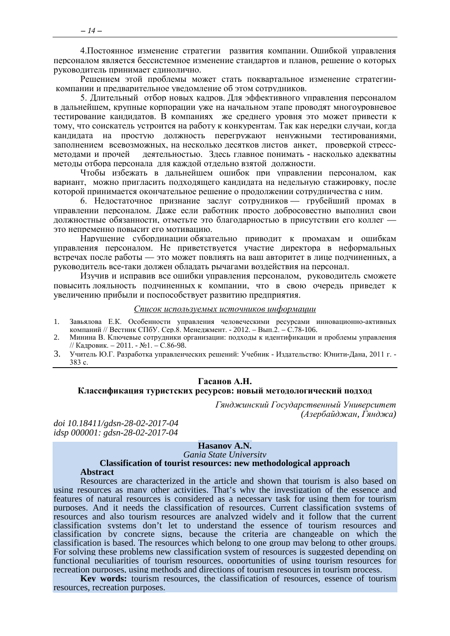4. Постоянное изменение стратегии развития компании. Ошибкой управления персоналом является бессистемное изменение стандартов и планов, решение о которых руководитель принимает единолично.

Решением этой проблемы может стать поквартальное изменение стратегиикомпании и предварительное уведомление об этом сотрудников.

5. Длительный отбор новых кадров. Для эффективного управления персоналом в дальнейшем, крупные корпорации уже на начальном этапе проводят многоуровневое тестирование кандидатов. В компаниях же среднего уровня это может привести к тому, что соискатель устроится на работу к конкурентам. Так как нередки случаи, когда кандидата на простую должность перегружают ненужными тестированиями, заполнением всевозможных, на несколько десятков листов анкет, проверкой стрессдеятельностью. Здесь главное понимать - насколько адекватны метолами и прочей методы отбора персонала для каждой отдельно взятой должности.

Чтобы избежать в дальнейшем ошибок при управлении персоналом, как вариант, можно пригласить подходящего кандидата на недельную стажировку, после которой принимается окончательное решение о продолжении сотрудничества с ним.

6. Недостаточное признание заслуг сотрудников — грубейший промах в управлении персоналом. Даже если работник просто добросовестно выполнил свои должностные обязанности, отметьте это благодарностью в присутствии его коллег это непременно повысит его мотиванию.

Нарушение субординации обязательно приводит к промахам и ошибкам управления персоналом. Не приветствуется участие директора в неформальных встречах после работы - это может повлиять на ваш авторитет в лице подчиненных, а руководитель все-таки должен обладать рычагами воздействия на персонал.

Изучив и исправив все ошибки управления персоналом, руководитель сможете повысить лояльность подчиненных к компании, что в свою очередь приведет к увеличению прибыли и поспособствует развитию предприятия.

#### Список используемых источников информации

- Завьялова Е.К. Особенности управления человеческими ресурсами инновационно-активных компаний // Вестник СПбУ. Сер.8. Менеджмент. 2012. Вып.2. С.78-106.  $1.$
- Минина В. Ключевые сотрудники организации: подходы к идентификации и проблемы управления  $2^{1}$ // Кадровик. - 2011. - №1. - С.86-98.
- <span id="page-13-0"></span>3. Учитель Ю.Г. Разработка управленческих решений: Учебник - Излательство: Юнити-Лана, 2011 г. - $383c$

#### Гасанов А.Н.

# Классификация туристских ресурсов: новый методологический подход

Гянджинский Государственный Университет (Азербайджан, Гянджа)

doi 10.18411/gdsn-28-02-2017-04 idsp 000001: gdsn-28-02-2017-04

#### Hasanov A.N.

#### Gania State University

**Classification of tourist resources: new methodological approach Abstract** 

Resources are characterized in the article and shown that tourism is also based on using resources as many other activities. That's why the investigation of the essence and features of natural resources is considered as a necessary task for using them for tourism purposes. And it needs the classification of resources. Current classification systems of resources and also tourism resources are analyzed widely and it follow that the current classification systems don't let to understand the essence of tourism resources and classification by concrete signs, because the criteria are changeable on which the classification is based. The resources which belong to one group may belong to other groups. For solving these problems new classification system of resources is suggested depending on functional peculiarities of tourism resources, opportunities of using tourism resources for recreation purposes, using methods and directions of tourism resources in tourism process.

**Key words:** tourism resources, the classification of resources, essence of tourism resources, recreation purposes.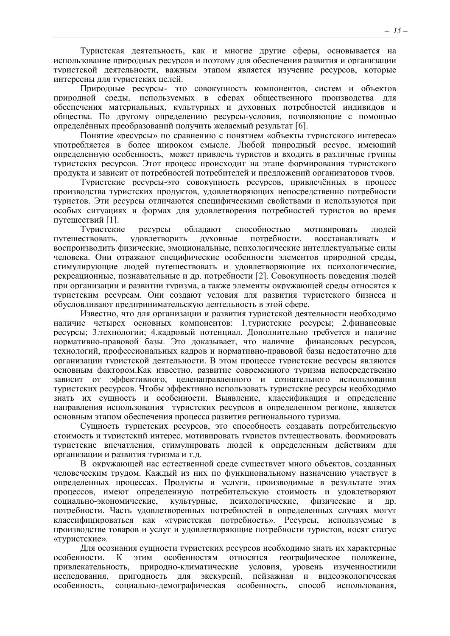Туристская деятельность, как и многие другие сферы, основывается на использование природных ресурсов и поэтому для обеспечения развития и организации туристской деятельности, важным этапом является изучение ресурсов, которые интересны для туристских целей.

Природные ресурсы- это совокупность компонентов, систем и объектов природной среды, используемых в сферах общественного производства для обеспечения материальных, культурных и духовных потребностей индивидов и общества. По другому определению ресурсы-условия, позволяющие с помощью определённых преобразований получить желаемый результат [6].

Понятие «ресурсы» по сравнению с понятием «объекты туристского интереса» употребляется в более широком смысле. Любой природный ресурс, имеющий определенную особенность, может привлечь туристов и входить в различные группы туристских ресурсов. Этот процесс происходит на этапе формирования туристского продукта и зависит от потребностей потребителей и предложений организаторов туров.

Туристские ресурсы-это совокупность ресурсов, привлечённых в процесс производства туристских продуктов, удовлетворяющих непосредственно потребности туристов. Эти ресурсы отличаются специфическими свойствами и используются при особых ситуациях и формах для удовлетворения потребностей туристов во время путешествий [1].

Туристские ресурсы обладают способностью мотивировать людей путешествовать, удовлетворить духовные потребности, восстанавливать и воспроизводить физические, эмоциональные, психологические интеллектуальные силы человека. Они отражают специфические особенности элементов природной среды, стимулирующие людей путешествовать и удовлетворяющие их психологические, рекреационные, познавательные и др. потребности [2]. Совокупность поведения людей при организации и развитии туризма, а также элементы окружающей среды относятся к туристским ресурсам. Они создают условия для развития туристского бизнеса и обусловливают предпринимательскую деятельность в этой сфере.

Известно, что для организации и развития туристской деятельности необходимо наличие четырех основных компонентов: 1.туристские ресурсы; 2.финансовые ресурсы; 3.технологии; 4.кадровый потенциал. Дополнительно требуется и наличие нормативно-правовой базы. Это доказывает, что наличие финансовых ресурсов, технологий, профессиональных кадров и нормативно-правовой базы недостаточно для организации туристской деятельности. В этом процессе туристские ресурсы являются основным фактором.Как известно, развитие современного туризма непосредственно зависит от эффективного, целенаправленного и сознательного использования туристских ресурсов. Чтобы эффективно использовать туристские ресурсы необходимо знать их сущность и особенности. Выявление, классификация и определение направления использования туристских ресурсов в определенном регионе, является основным этапом обеспечения процесса развития регионального туризма.

Сущность туристских ресурсов, это способность создавать потребительскую стоимость и туристский интерес, мотивировать туристов путешествовать, формировать туристские впечатления, стимулировать людей к определенным действиям для организации и развития туризма и т.д.

В окружающей нас естественной среде существует много объектов, созданных человеческим трудом. Каждый из них по функциональному назначению участвует в определенных процессах. Продукты и услуги, производимые в результате этих процессов, имеют определенную потребительскую стоимость и удовлетворяют социально-экономические, культурные, психологические, физические и др. потребности. Часть удовлетворенных потребностей в определенных случаях могут классифицироваться как «туристская потребность». Ресурсы, используемые в производстве товаров и услуг и удовлетворяющие потребности туристов, носят статус «туристские».

Для осознания сущности туристских ресурсов необходимо знать их характерные особенности. К этим особенностям относятся географическое положение, привлекательность, природно-климатические условия, уровень изученностиили исследования, пригодность для экскурсий, пейзажная и видеоэкологическая особенность, социально-демографическая особенность, способ использования,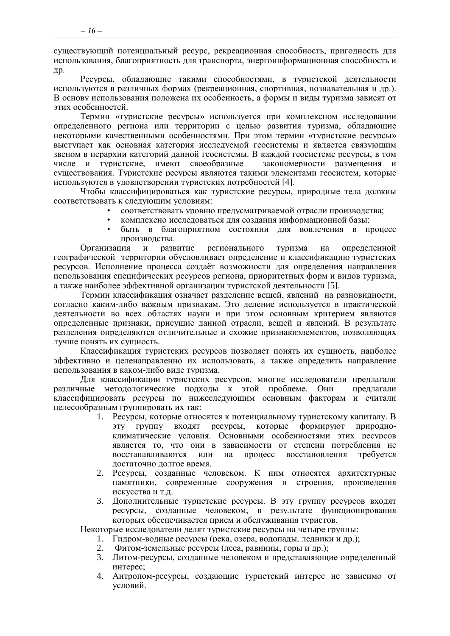существующий потенциальный ресурс, рекреационная способность, пригодность для использования, благоприятность для транспорта, энергоинформационная способность и др.

Ресурсы, обладающие такими способностями, в туристской деятельности используются в различных формах (рекреационная, спортивная, познавательная и др.). В основу использования положена их особенность, а формы и виды туризма зависят от этих особенностей.

Термин «туристские ресурсы» используется при комплексном исследовании определенного региона или территории с целью развития туризма, обладающие некоторыми качественными особенностями. При этом термин «туристские ресурсы» выступает как основная категория исследуемой геосистемы и является связующим звеном в иерархии категорий данной геосистемы. В каждой геосистеме ресурсы, в том числе и туристские, имеют своеобразные закономерности размешения и существования. Туристские ресурсы являются такими элементами геосистем, которые используются в удовлетворении туристских потребностей [4].

Чтобы классифицироваться как туристские ресурсы, природные тела должны соответствовать к следующим условиям:

- соответствовать уровню предусматриваемой отрасли производства;
	- комплексно исследоваться для создания информационной базы;
- быть в благоприятном состоянии для вовлечения в процесс производства.

регионального туризма Организация  $\overline{M}$ развитие на опрелеленной географической территории обусловливает определение и классификацию туристских ресурсов. Исполнение процесса создаёт возможности для определения направления использования специфических ресурсов региона, приоритетных форм и видов туризма, а также наиболее эффективной организации туристской деятельности [5].

Термин классификация означает разделение вещей, явлений на разновидности, согласно каким-либо важным признакам. Это деление используется в практической леятельности во всех областях науки и при этом основным критерием являются определенные признаки, присущие данной отрасли, вещей и явлений. В результате разделения определяются отличительные и схожие признакиэлементов, позволяющих лучше понять их сущность.

Классификация туристских ресурсов позволяет понять их сущность, наиболее эффективно и целенаправленно их использовать, а также определить направление использования в каком-либо виде туризма.

Лля классификации туристских ресурсов, многие исследователи предлагали различные методологические подходы к этой проблеме. Они предлагали классифицировать ресурсы по нижеследующим основным факторам и считали целесообразным группировать их так:

- 1. Ресурсы, которые относятся к потенциальному туристскому капиталу. В **ГРУППУ** входят ресурсы. которые формируют природно-**OTE** климатические условия. Основными особенностями этих ресурсов является то, что они в зависимости от степени потребления не восстанавливаются или на процесс восстановления требуется достаточно долгое время.
- 2. Ресурсы, созданные человеком. К ним относятся архитектурные памятники, современные сооружения и строения, произведения искусства и т.д.
- Дополнительные туристские ресурсы. В эту группу ресурсов входят  $\mathfrak{Z}$ . ресурсы, созданные человеком, в результате функционирования которых обеспечивается прием и обслуживания туристов.

Некоторые исследователи делят туристские ресурсы на четыре группы:

- 1. Гидром-водные ресурсы (река, озера, водопады, ледники и др.);
- Фитом-земельные ресурсы (леса, равнины, горы и др.);  $2.$
- 3. Литом-ресурсы, созданные человеком и представляющие определенный интерес:
- 4. Антропом-ресурсы, создающие туристский интерес не зависимо от условий.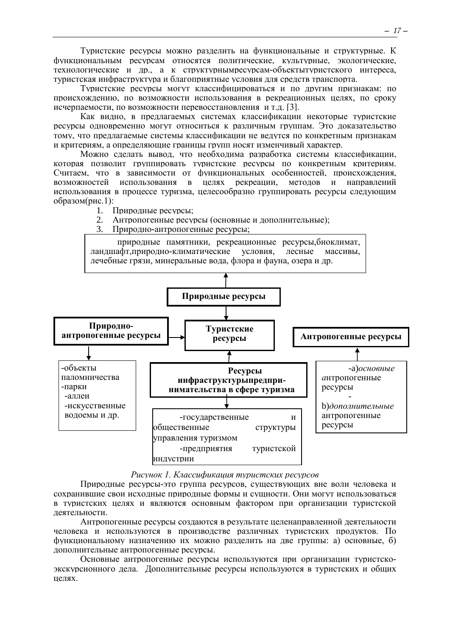Туристские ресурсы можно разделить на функциональные и структурные. К функциональным ресурсам относятся политические, культурные, экологические, технологические и др., а к структурнымресурсам-объектытуристского интереса, туристская инфраструктура и благоприятные условия для средств транспорта.

Туристские ресурсы могут классифицироваться и по другим признакам: по происхождению, по возможности использования в рекреационных целях, по сроку исчерпаемости, по возможности перевосстановления и т.д. [3].

Как видно, в предлагаемых системах классификации некоторые туристские ресурсы одновременно могут относиться к различным группам. Это доказательство тому, что предлагаемые системы классификации не ведутся по конкретным признакам и критериям, а определяющие границы групп носят изменчивый характер.

Можно сделать вывод, что необходима разработка системы классификации, которая позволит группировать туристские ресурсы по конкретным критериям. Считаем, что в зависимости от функциональных особенностей, происхождения, возможностей использования в целях рекреации, методов и направлений использования в процессе туризма, целесообразно группировать ресурсы следующим образом(рис.1):

- 1. Природные ресурсы;
- 2. Антропогенные ресурсы (основные и дополнительные);
- 3. Природно-антропогенные ресурсы;



# *Рисунок 1. Классификация туристских ресурсов*

Природные ресурсы-это группа ресурсов, существующих вне воли человека и сохранившие свои исходные природные формы и сущности. Они могут использоваться в туристских целях и являются основным фактором при организации туристской деятельности.

Антропогенные ресурсы создаются в результате целенаправленной деятельности человека и используются в производстве различных туристских продуктов. По функциональному назначению их можно разделить на две группы: а) основные, б) дополнительные антропогенные ресурсы.

Основные антропогенные ресурсы используются при организации туристскоэкскурсионного дела. Дополнительные ресурсы используются в туристских и общих целях.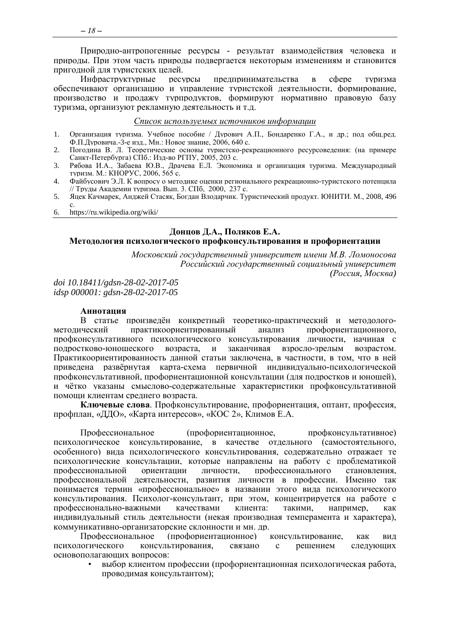Природно-антропогенные ресурсы - результат взаимодействия человека и природы. При этом часть природы подвергается некоторым изменениям и становится пригодной для туристских целей.

Инфраструктурные ресурсы предпринимательства  $\, {\bf B} \,$ cobepe туризма обеспечивают организацию и управление туристской деятельности, формирование, производство и продажу турпродуктов, формируют нормативно правовую базу туризма, организуют рекламную деятельность и т.д.

#### Список используемых источников информации

- Организация туризма. Учебное пособие / Дурович А.П., Бондаренко Г.А., и др.; под общ.ред.  $1<sup>1</sup>$ Ф.П. Луровича. - 3-е изд., Мн.: Новое знание, 2006, 640 с.
- $\overline{2}$ . Погодина В. Л. Теоретические основы туристско-рекреационного ресурсоведения: (на примере Санкт-Петербурга) СПб.: Изд-во РГПУ, 2005, 203 с.
- Рябова И.А., Забаева Ю.В., Драчева Е.Л. Экономика и организация туризма. Международный туризм. М.: КНОРУС, 2006, 565 с. 3.
- Файбусович Э.Л. К вопросу о методике оценки регионального рекреационно-туристского потенцила  $\overline{4}$ // Труды Академии туризма. Вып. 3. СПб. 2000, 237 с.
- Яцек Качмарек, Анджей Стасяк, Богдан Влодарчик. Туристический продукт. ЮНИТИ. М., 2008, 496  $5<sub>1</sub>$  $\mathbf{c}$ .
- <span id="page-17-0"></span>https://ru.wikipedia.org/wiki/ 6.

#### Донцов Д.А., Поляков Е.А.

#### Методология психологического профконсультирования и профориентации

Московский государственный университет имени М.В. Ломоносова Российский государственный социальный университет (Россия, Москва)

doi 10.18411/gdsn-28-02-2017-05 idsp 000001: gdsn-28-02-2017-05

#### Аннотация

В статье произвелён конкретный теоретико-практический и метолологопрактикоориентированный метолический анализ профориентационного. профконсультативного психологического консультирования личности, начиная с подростково-юношеского возраста.  $\mathbf{H}$ заканчивая взросло-зрелым возрастом. Практикоориентированность данной статьи заключена, в частности, в том, что в ней приведена развёрнутая карта-схема первичной индивидуально-психологической профконсультативной, профориентационной консультации (для подростков и юношей), и чётко указаны смыслово-содержательные характеристики профконсультативной помоши клиентам среднего возраста.

Ключевые слова. Профконсультирование, профориентация, оптант, профессия, профплан, «ДДО», «Карта интересов», «КОС 2», Климов Е.А.

Профессиональное (профориентационное, профконсультативное) психологическое консультирование, в качестве отдельного (самостоятельного, особенного) вида психологического консультирования, содержательно отражает те психологические консультации, которые направлены на работу с проблематикой профессиональной ориентании личности. профессионального становления. профессиональной деятельности, развития личности в профессии. Именно так понимается термин «профессиональное» в названии этого вида психологического консультирования. Психолог-консультант, при этом, концентрируется на работе с профессионально-важными клиента: качествами такими, например. как индивидуальный стиль деятельности (некая производная темперамента и характера), коммуникативно-организаторские склонности и мн. др.

Профессиональное (профориентационное) консультирование, как ВИД психологического консультирования, связано  $\mathbf{c}$ решением следующих основополагающих вопросов:

выбор клиентом профессии (профориентационная психологическая работа, проводимая консультантом);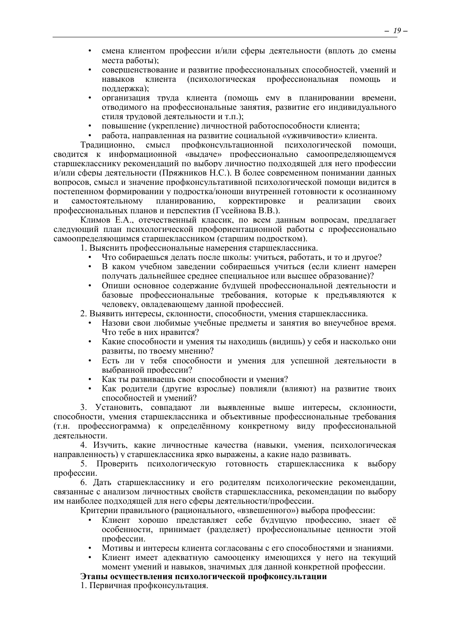- смена клиентом профессии и/или сферы деятельности (вплоть до смены места работы);
- совершенствование и развитие профессиональных способностей, умений и навыков клиента (психологическая профессиональная помощь и поддержка);
- организация труда клиента (помощь ему в планировании времени, отводимого на профессиональные занятия, развитие его индивидуального стиля трудовой деятельности и т.п.);
- повышение (укрепление) личностной работоспособности клиента;
- работа, направленная на развитие социальной «уживчивости» клиента.

Традиционно, смысл профконсультационной психологической помощи, сводится к информационной «выдаче» профессионально самоопределяющемуся старшекласснику рекомендаций по выбору личностно подходящей для него профессии и/или сферы деятельности (Пряжников Н.С.). В более современном понимании данных вопросов, смысл и значение профконсультативной психологической помощи видится в постепенном формировании у подростка/юноши внутренней готовности к осознанному и самостоятельному планированию, корректировке и реализации своих профессиональных планов и перспектив (Гусейнова В.В.).

Климов Е.А., отечественный классик, по всем данным вопросам, предлагает следующий план психологической профориентационной работы с профессионально самоопределяющимся старшеклассником (старшим подростком).

- 1. Выяснить профессиональные намерения старшеклассника.
	- Что собираешься делать после школы: учиться, работать, и то и другое?
	- В каком учебном заведении собираешься учиться (если клиент намерен получать дальнейшее среднее специальное или высшее образование)?
	- Опиши основное содержание будущей профессиональной деятельности и базовые профессиональные требования, которые к предъявляются к человеку, овладевающему данной профессией.
- 2. Выявить интересы, склонности, способности, умения старшеклассника.
	- Назови свои любимые учебные предметы и занятия во внеучебное время. Что тебе в них нравится?
	- Какие способности и умения ты находишь (видишь) у себя и насколько они развиты, по твоему мнению?
	- Есть ли у тебя способности и умения для успешной деятельности в выбранной профессии?
	- Как ты развиваешь свои способности и умения?
	- Как родители (другие взрослые) повлияли (влияют) на развитие твоих способностей и умений?

3. Установить, совпадают ли выявленные выше интересы, склонности, способности, умения старшеклассника и объективные профессиональные требования (т.н. профессиограмма) к определённому конкретному виду профессиональной деятельности.

4. Изучить, какие личностные качества (навыки, умения, психологическая направленность) у старшеклассника ярко выражены, а какие надо развивать.

5. Проверить психологическую готовность старшеклассника к выбору профессии.

6. Дать старшекласснику и его родителям психологические рекомендации, связанные с анализом личностных свойств старшеклассника, рекомендации по выбору им наиболее подходящей для него сферы деятельности/профессии.

Критерии правильного (рационального, «взвешенного») выбора профессии:

- Клиент хорошо представляет себе будущую профессию, знает её особенности, принимает (разделяет) профессиональные ценности этой профессии.
- Мотивы и интересы клиента согласованы с его способностями и знаниями.
- Клиент имеет адекватную самооценку имеющихся у него на текущий момент умений и навыков, значимых для данной конкретной профессии.

# **Этапы осуществления психологической профконсультации**

1. Первичная профконсультация.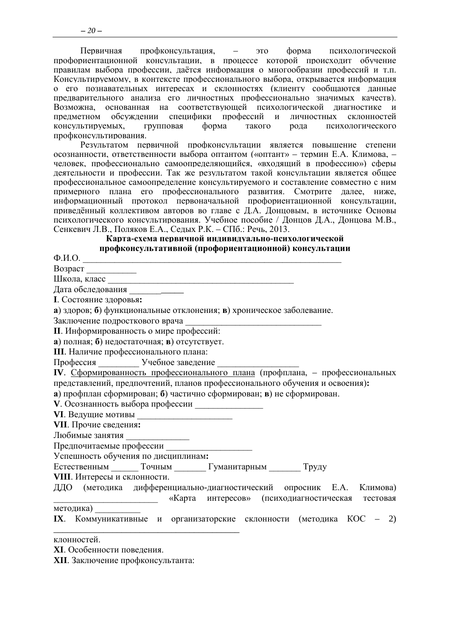Первичная профконсультания. ЭТО форма психологической профориентационной консультации, в процессе которой происходит обучение правилам выбора профессии, даётся информация о многообразии профессий и т.п. Консультируемому, в контексте профессионального выбора, открывается информация о его познавательных интересах и склонностях (клиенту сообщаются данные предварительного анализа его личностных профессионально значимых качеств). Возможна, основанная на соответствующей психологической диагностике и предметном обсуждении специфики профессий  $\mathbf{M}$ личностных склонностей консультируемых. групповая форма такого психологического рода профконсультирования.

Результатом первичной профконсультации является повышение степени осознанности, ответственности выбора оптантом («оптант» - термин Е.А. Климова, человек, профессионально самоопределяющийся, «входящий в профессию») сферы деятельности и профессии. Так же результатом такой консультации является общее профессиональное самоопределение консультируемого и составление совместно с ним примерного плана его профессионального развития. Смотрите далее, ниже, информационный протокол первоначальной профориентационной консультации, приведённый коллективом авторов во главе с Д.А. Донцовым, в источнике Основы психологического консультирования. Учебное пособие / Донцов Д.А., Донцова М.В., Сенкевич Л.В., Поляков Е.А., Седых Р.К. - СПб.: Речь, 2013.

# Карта-схема первичной индивидуально-психологической профконсультативной (профориентационной) консультации

 $\Phi$ .*H*.O.

 $Boapac$ T

Школа, класс

Дата обследования

**I**. Состояние здоровья:

а) здоров; б) функциональные отклонения; в) хроническое заболевание.

Заключение подросткового врача

**II**. Информированность о мире профессий:

а) полная; б) недостаточная; в) отсутствует.

**III**. Наличие профессионального плана:

Профессия Учебное заведение

IV. Сформированность профессионального плана (профилана, - профессиональных представлений, предпочтений, планов профессионального обучения и освоения): а) профплан сформирован; б) частично сформирован; в) не сформирован.

V. Осознанность выбора профессии

**VI**. Ведущие мотивы

**VII**. Прочие сведения:

Любимые занятия Предпочитаемые профессии

Успешность обучения по дисциплинам:

Естественным Точным Гуманитарным Труду

**VIII**. Интересы и склонности.

ЛЛО (методика дифференциально-диагностический опросник Е.А. Климова) «Карта интересов» (психодиагностическая тестовая методика)

IX. Коммуникативные и организаторские склонности (методика КОС - 2)

клонностей.

**XI**. Особенности поведения.

**XII**. Заключение профконсультанта: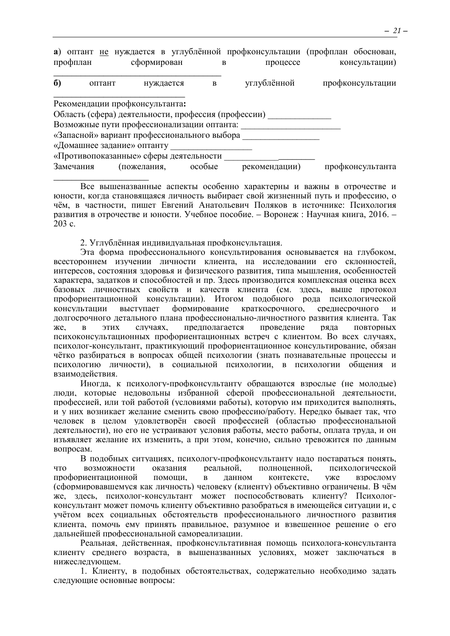а) оптант не нуждается в углублённой профконсультации (профплан обоснован, профплан сформирован процессе консультации)  $\overline{R}$  $\boldsymbol{6}$ нуждается углублённой профконсультации оптант  $\overline{B}$ Рекомендации профконсультанта: Область (сфера) деятельности, профессия (профессии) \_\_\_\_\_\_\_\_\_\_\_\_\_ Возможные пути профессионализации оптанта: «Запасной» вариант профессионального выбора «Домашнее задание» оптанту «Противопоказанные» сферы деятельности \_\_\_\_\_\_\_\_\_\_\_\_\_\_  $\overline{\text{особые}}$  рекомендации) профконсультанта Замечания (пожелания,

Все вышеназванные аспекты особенно характерны и важны в отрочестве и юности, когда становящаяся личность выбирает свой жизненный путь и профессию, о чём, в частности, пишет Евгений Анатольевич Поляков в источнике: Психология развития в отрочестве и юности. Учебное пособие. - Воронеж : Научная книга, 2016. - $203$  c.

2. Углублённая индивидуальная профконсультация.

Эта форма профессионального консультирования основывается на глубоком. всестороннем изучении личности клиента, на исследовании его склонностей, интересов, состояния здоровья и физического развития, типа мышления, особенностей характера, задатков и способностей и пр. Здесь производится комплексная оценка всех базовых личностных свойств и качеств клиента (см. здесь, выше протокол профориентационной консультации). Итогом подобного рода психологической консультации выступает формирование краткосрочного, среднесрочного  $\mathbf{u}$ долгосрочного детального плана профессионально-личностного развития клиента. Так случаях. прелполагается провеление ряла ПОВТОРНЫХ жe.  $\overline{R}$ этих психоконсультационных проформентационных встреч с клиентом. Во всех случаях, психолог-консультант, практикующий профориентационное консультирование, обязан чётко разбираться в вопросах общей психологии (знать познавательные процессы и психологию личности), в социальной психологии, в психологии общения и взаимодействия.

Иногда, к психологу-профконсультанту обращаются взрослые (не молодые) люди, которые недовольны избранной сферой профессиональной деятельности, профессией, или той работой (условиями работы), которую им приходится выполнять, и у них возникает желание сменить свою профессию/работу. Нерелко бывает так, что человек в целом удовлетворён своей профессией (областью профессиональной деятельности), но его не устраивают условия работы, место работы, оплата труда, и он изъявляет желание их изменить, а при этом, конечно, сильно тревожится по данным вопросам.

В подобных ситуациях, психологу-профконсультанту надо постараться понять, возможности оказания реальной. полноненной. психологической ЧТО профориентационной помоши.  $\mathbf{B}$ ланном контексте. vже **ВЗРОСЛОМУ** (сформировавшемуся как личность) человеку (клиенту) объективно ограничены. В чём же, здесь, психолог-консультант может поспособствовать клиенту? Психологконсультант может помочь клиенту объективно разобраться в имеющейся ситуации и, с учётом всех социальных обстоятельств профессионального личностного развития клиента, помочь ему принять правильное, разумное и взвешенное решение о его дальнейшей профессиональной самореализации.

Реальная, действенная, профконсультативная помощь психолога-консультанта клиенту среднего возраста, в вышеназванных условиях, может заключаться в нижеследующем.

1. Клиенту, в подобных обстоятельствах, содержательно необходимо задать следующие основные вопросы: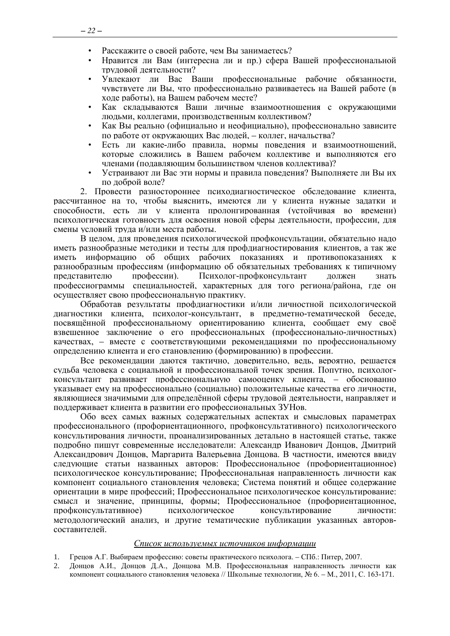- Расскажите о своей работе, чем Вы занимаетесь?
- Нравится ли Вам (интересна ли и пр.) сфера Вашей профессиональной трудовой деятельности?
- Увлекают ли Вас Ваши профессиональные рабочие обязанности, чувствуете ли Вы, что профессионально развиваетесь на Вашей работе (в ходе работы), на Вашем рабочем месте?
- Как складываются Ваши личные взаимоотношения с окружающими людьми, коллегами, производственным коллективом?
- Как Вы реально (официально и неофициально), профессионально зависите по работе от окружающих Вас людей, – коллег, начальства?
- Есть ли какие-либо правила, нормы поведения и взаимоотношений, которые сложились в Вашем рабочем коллективе и выполняются его членами (подавляющим большинством членов коллектива)?
- Устраивают ли Вас эти нормы и правила поведения? Выполняете ли Вы их по доброй воле?

2. Провести разностороннее психодиагностическое обследование клиента, рассчитанное на то, чтобы выяснить, имеются ли у клиента нужные задатки и способности, есть ли у клиента пролонгированная (устойчивая во времени) психологическая готовность для освоения новой сферы деятельности, профессии, для смены условий труда и/или места работы.

В целом, для проведения психологической профконсультации, обязательно надо иметь разнообразные методики и тесты для профдиагностирования клиентов, а так же иметь информацию об общих рабочих показаниях и противопоказаниях к разнообразным профессиям (информацию об обязательных требованиях к типичному представителю профессии). Психолог-профконсультант должен знать профессиограммы специальностей, характерных для того региона/района, где он осуществляет свою профессиональную практику.

Обработав результаты профдиагностики и/или личностной психологической диагностики клиента, психолог-консультант, в предметно-тематической беседе, посвящённой профессиональному ориентированию клиента, сообщает ему своё взвешенное заключение о его профессиональных (профессионально-личностных) качествах, – вместе с соответствующими рекомендациями по профессиональному определению клиента и его становлению (формированию) в профессии.

Все рекомендации даются тактично, доверительно, ведь, вероятно, решается судьба человека с социальной и профессиональной точек зрения. Попутно, психологконсультант развивает профессиональную самооценку клиента, – обоснованно указывает ему на профессионально (социально) положительные качества его личности, являющиеся значимыми для определённой сферы трудовой деятельности, направляет и поддерживает клиента в развитии его профессиональных ЗУНов.

Обо всех самых важных содержательных аспектах и смысловых параметрах профессионального (профориентационного, профконсультативного) психологического консультирования личности, проанализированных детально в настоящей статье, также подробно пишут современные исследователи: Александр Иванович Донцов, Дмитрий Александрович Донцов, Маргарита Валерьевна Донцова. В частности, имеются ввиду следующие статьи названных авторов: Профессиональное (профориентационное) психологическое консультирование; Профессиональная направленность личности как компонент социального становления человека; Система понятий и общее содержание ориентации в мире профессий; Профессиональное психологическое консультирование: смысл и значение, принципы, формы; Профессиональное (профориентационное, профконсультативное) психологическое консультирование личности: методологический анализ, и другие тематические публикации указанных авторовсоставителей.

#### *Список используемых источников информации*

- 1. Грецов А.Г. Выбираем профессию: советы практического психолога. СПб.: Питер, 2007.
- 2. Донцов А.И., Донцов Д.А., Донцова М.В. Профессиональная направленность личности как компонент социального становления человека // Школьные технологии, № 6. – М., 2011, С. 163-171.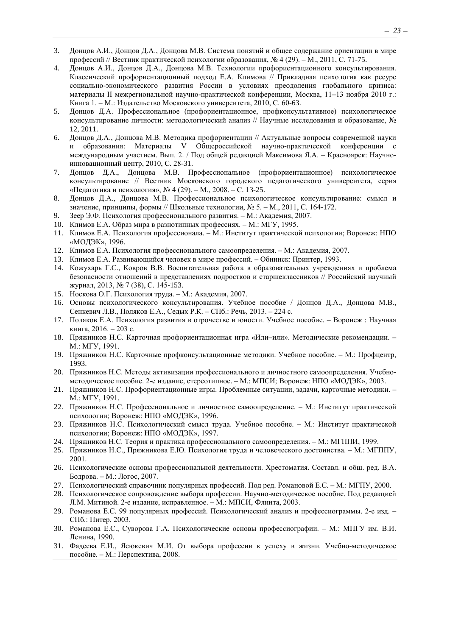- 3. Донцов А.И., Донцов Д.А., Донцова М.В. Система понятий и общее содержание ориентации в мире профессий // Вестник практической психологии образования, № 4 (29). – М., 2011, С. 71-75.
- 4. Донцов А.И., Донцов Д.А., Донцова М.В. Технологии профориентационного консультирования. Классический профориентационный подход Е.А. Климова // Прикладная психология как ресурс социально-экономического развития России в условиях преодоления глобального кризиса: материалы II межрегиональной научно-практической конференции, Москва, 11–13 ноября 2010 г.: Книга 1. – М.: Издательство Московского университета, 2010, С. 60-63.
- 5. Донцов Д.А. Профессиональное (профориентационное, профконсультативное) психологическое консультирование личности: методологический анализ // Научные исследования и образование, № 12, 2011.
- 6. Донцов Д.А., Донцова М.В. Методика профориентации // Актуальные вопросы современной науки и образования: Материалы V Общероссийской научно-практической конференции с международным участием. Вып. 2. / Под общей редакцией Максимова Я.А. – Красноярск: Научноинновационный центр, 2010, С. 28-31.
- 7. Донцов Д.А., Донцова М.В. Профессиональное (профориентационное) психологическое консультирование // Вестник Московского городского педагогического университета, серия «Педагогика и психология», № 4 (29). – М., 2008. – С. 13-25.
- 8. Донцов Д.А., Донцова М.В. Профессиональное психологическое консультирование: смысл и значение, принципы, формы // Школьные технологии, № 5. – М., 2011, С. 164-172.
- 9. Зеер Э.Ф. Психология профессионального развития. М.: Академия, 2007.
- 10. Климов Е.А. Образ мира в разнотипных профессиях. М.: МГУ, 1995.
- 11. Климов Е.А. Психология профессионала. М.: Институт практической психологии; Воронеж: НПО «МОДЭК», 1996.
- 12. Климов Е.А. Психология профессионального самоопределения. М.: Академия, 2007.
- 13. Климов Е.А. Развивающийся человек в мире профессий. Обнинск: Принтер, 1993.
- 14. Кожухарь Г.С., Ковров В.В. Воспитательная работа в образовательных учреждениях и проблема безопасности отношений в представлениях подростков и старшеклассников // Российский научный журнал, 2013, № 7 (38), С. 145-153.
- 15. Носкова О.Г. Психология труда. М.: Академия, 2007.
- 16. Основы психологического консультирования. Учебное пособие / Донцов Д.А., Донцова М.В., Сенкевич Л.В., Поляков Е.А., Седых Р.К. – СПб.: Речь, 2013. – 224 с.
- 17. Поляков Е.А. Психология развития в отрочестве и юности. Учебное пособие. Воронеж : Научная книга, 2016. – 203 с.
- 18. Пряжников Н.С. Карточная профориентационная игра «Или–или». Методические рекомендации. М.: МГУ, 1991.
- 19. Пряжников Н.С. Карточные профконсультационные методики. Учебное пособие. М.: Профцентр, 1993.
- 20. Пряжников Н.С. Методы активизации профессионального и личностного самоопределения. Учебнометодическое пособие. 2-е издание, стереотипное. – М.: МПСИ; Воронеж: НПО «МОДЭК», 2003.
- 21. Пряжников Н.С. Профориентационные игры. Проблемные ситуации, задачи, карточные методики. М.: МГУ, 1991.
- 22. Пряжников Н.С. Профессиональное и личностное самоопределение. М.: Институт практической психологии; Воронеж: НПО «МОДЭК», 1996.
- 23. Пряжников Н.С. Психологический смысл труда. Учебное пособие. М.: Институт практической психологии; Воронеж: НПО «МОДЭК», 1997.
- 24. Пряжников Н.С. Теория и практика профессионального самоопределения. М.: МГППИ, 1999.
- 25. Пряжников Н.С., Пряжникова Е.Ю. Психология труда и человеческого достоинства. М.: МГППУ, 2001.
- 26. Психологические основы профессиональной деятельности. Хрестоматия. Составл. и общ. ред. В.А. Бодрова. – М.: Логос, 2007.
- 27. Психологический справочник популярных профессий. Под ред. Романовой Е.С. М.: МГПУ, 2000.
- 28. Психологическое сопровождение выбора профессии. Научно-методическое пособие. Под редакцией Л.М. Митиной. 2-е издание, исправленное. – М.: МПСИ, Флинта, 2003.
- 29. Романова Е.С. 99 популярных профессий. Психологический анализ и профессиограммы. 2-е изд. СПб.: Питер, 2003.
- 30. Романова Е.С., Суворова Г.А. Психологические основы профессиографии. М.: МПГУ им. В.И. Ленина, 1990.
- 31. Фадеева Е.И., Ясюкевич М.И. От выбора профессии к успеху в жизни. Учебно-методическое пособие. – М.: Перспектива, 2008.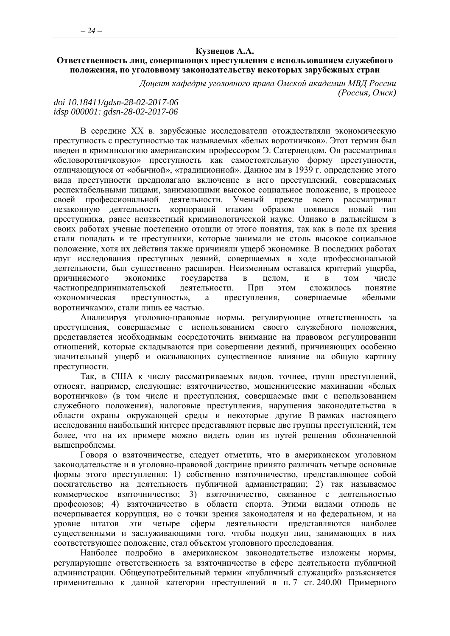#### **Кузнецов А.А.**

#### <span id="page-23-0"></span>**Ответственность лиц, совершающих преступления с использованием служебного положения, по уголовному законодательству некоторых зарубежных стран**

*Доцент кафедры уголовного права Омской академии МВД России (Россия, Омск)*

#### *doi 10.18411/gdsn-28-02-2017-06 idsp 000001: gdsn-28-02-2017-06*

В середине XX в. зарубежные исследователи отождествляли экономическую преступность с преступностью так называемых «белых воротничков». Этот термин был введен в криминологию американским профессором Э. Сатерлендом. Он рассматривал «беловоротничковую» преступность как самостоятельную форму преступности, отличающуюся от «обычной», «традиционной». Данное им в 1939 г. определение этого вида преступности предполагало включение в него преступлений, совершаемых респектабельными лицами, занимающими высокое социальное положение, в процессе своей профессиональной деятельности. Ученый прежде всего рассматривал незаконную деятельность корпораций итаким образом появился новый тип преступника, ранее неизвестный криминологической науке. Однако в дальнейшем в своих работах ученые постепенно отошли от этого понятия, так как в поле их зрения стали попадать и те преступники, которые занимали не столь высокое социальное положение, хотя их действия также причиняли ущерб экономике. В последних работах круг исследования преступных деяний, совершаемых в ходе профессиональной деятельности, был существенно расширен. Неизменным оставался критерий ущерба, причиняемого экономике государства в целом, и в том числе частнопредпринимательской деятельности. При этом сложилось понятие «экономическая преступность», а преступления, совершаемые «белыми воротничками», стали лишь ее частью.

Анализируя уголовно-правовые нормы, регулирующие ответственность за преступления, совершаемые с использованием своего служебного положения, представляется необходимым сосредоточить внимание на правовом регулировании отношений, которые складываются при совершении деяний, причиняющих особенно значительный ущерб и оказывающих существенное влияние на общую картину преступности.

Так, в США к числу рассматриваемых видов, точнее, групп преступлений, относят, например, следующие: взяточничество, мошеннические махинации «белых воротничков» (в том числе и преступления, совершаемые ими с использованием служебного положения), налоговые преступления, нарушения законодательства в области охраны окружающей среды и некоторые другие В рамках настоящего исследования наибольший интерес представляют первые две группы преступлений, тем более, что на их примере можно видеть один из путей решения обозначенной вышепроблемы.

Говоря о взяточничестве, следует отметить, что в американском уголовном законодательстве и в уголовно-правовой доктрине принято различать четыре основные формы этого преступления: 1) собственно взяточничество, представляющее собой посягательство на деятельность публичной администрации; 2) так называемое коммерческое взяточничество; 3) взяточничество, связанное с деятельностью профсоюзов; 4) взяточничество в области спорта. Этими видами отнюдь не исчерпывается коррупция, но с точки зрения законодателя и на федеральном, и на уровне штатов эти четыре сферы деятельности представляются наиболее существенными и заслуживающими того, чтобы подкуп лиц, занимающих в них соответствующее положение, стал объектом уголовного преследования.

Наиболее подробно в американском законодательстве изложены нормы, регулирующие ответственность за взяточничество в сфере деятельности публичной администрации. Общеупотребительный термин «публичный служащий» разъясняется применительно к данной категории преступлений в п. 7 ст. 240.00 Примерного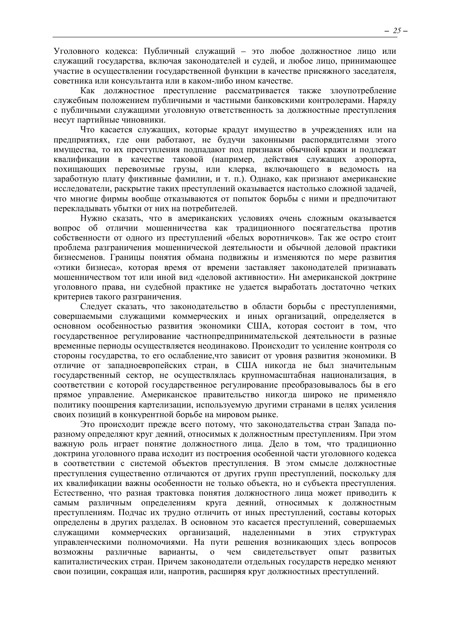Уголовного кодекса: Публичный служащий - это любое должностное лицо или служащий государства, включая законодателей и судей, и любое лицо, принимающее участие в осуществлении государственной функции в качестве присяжного заседателя, советника или консультанта или в каком-либо ином качестве.

Как должностное преступление рассматривается также злоупотребление служебным положением публичными и частными банковскими контролерами. Наряду с публичными служащими уголовную ответственность за должностные преступления несут партийные чиновники.

Что касается служащих, которые крадут имущество в учреждениях или на предприятиях, где они работают, не будучи законными распорядителями этого имущества, то их преступления подпадают под признаки обычной кражи и подлежат квалификации в качестве таковой (например, действия служащих аэропорта, похищающих перевозимые грузы, или клерка, включающего в ведомость на заработную плату фиктивные фамилии, и т. п.). Однако, как признают американские исследователи, раскрытие таких преступлений оказывается настолько сложной задачей, что многие фирмы вообще отказываются от попыток борьбы с ними и предпочитают перекладывать убытки от них на потребителей.

Нужно сказать, что в американских условиях очень сложным оказывается вопрос об отличии мошенничества как традиционного посягательства против собственности от одного из преступлений «белых воротничков». Так же остро стоит проблема разграничения мошеннической леятельности и обычной леловой практики бизнесменов. Границы понятия обмана подвижны и изменяются по мере развития «этики бизнеса», которая время от времени заставляет законодателей признавать мощенничеством тот или иной вид «деловой активности». Ни американской доктрине уголовного права, ни судебной практике не удается выработать достаточно четких критериев такого разграничения.

Следует сказать, что законодательство в области борьбы с преступлениями, совершаемыми служащими коммерческих и иных организаций, определяется в основном особенностью развития экономики США, которая состоит в том, что государственное регулирование частнопредпринимательской деятельности в разные временные периоды осуществляется неодинаково. Происходит то усиление контроля со стороны государства, то его ослабление что зависит от уровня развития экономики. В отличие от западноевропейских стран, в США никогда не был значительным государственный сектор, не осуществлялась крупномасштабная национализация, в соответствии с которой государственное регулирование преобразовывалось бы в его прямое управление. Американское правительство никогда широко не применяло политику поощрения картелизации, используемую другими странами в целях усиления своих позиций в конкурентной борьбе на мировом рынке.

Это происходит прежде всего потому, что законодательства стран Запада поразному определяют круг деяний, относимых к должностным преступлениям. При этом важную роль играет понятие должностного лица. Дело в том, что традиционно доктрина уголовного права исходит из построения особенной части уголовного кодекса в соответствии с системой объектов преступления. В этом смысле должностные преступления существенно отличаются от других групп преступлений, поскольку для их квалификации важны особенности не только объекта, но и субъекта преступления. Естественно, что разная трактовка понятия должностного лица может приводить к самым различным определениям круга деяний, относимых к должностным преступлениям. Подчас их трудно отличить от иных преступлений, составы которых определены в других разделах. В основном это касается преступлений, совершаемых ЭТИХ служащими коммерческих организаций, наделенными  $\overline{B}$ структурах управленческими полномочиями. На пути решения возникающих здесь вопросов возможны различные варианты,  $\overline{O}$ чем свидетельствует ОПЫТ развитых капиталистических стран. Причем законодатели отдельных государств нередко меняют свои позиции, сокращая или, напротив, расширяя круг должностных преступлений.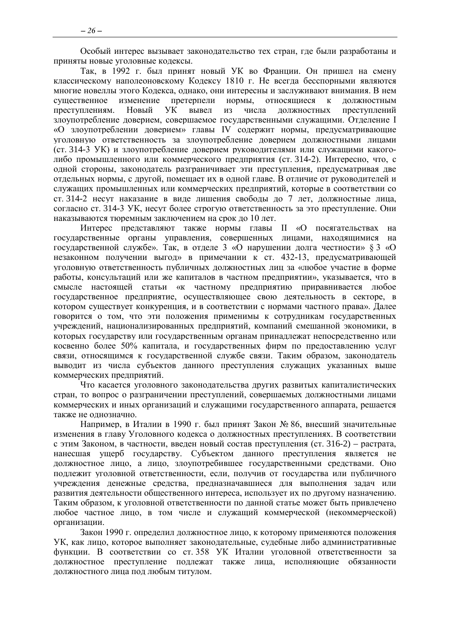Особый интерес вызывает законодательство тех стран, где были разработаны и приняты новые уголовные кодексы.

Так, в 1992 г. был принят новый УК во Франции. Он пришел на смену классическому наполеоновскому Кодексу 1810 г. Не всегда бесспорными являются многие новеллы этого Кодекса, однако, они интересны и заслуживают внимания. В нем существенное изменение претерпели нормы, относящиеся к должностным преступлениям. Новый УК вывел из числа должностных преступлений злоупотребление доверием, совершаемое государственными служащими. Отделение I «О злоупотреблении доверием» главы IV содержит нормы, предусматривающие уголовную ответственность за злоупотребление доверием должностными лицами (ст. 314-3 УК) и злоупотребление доверием руководителями или служащими какоголибо промышленного или коммерческого предприятия (ст. 314-2). Интересно, что, с одной стороны, законодатель разграничивает эти преступления, предусматривая две отдельных нормы, с другой, помещает их в одной главе. В отличие от руководителей и служащих промышленных или коммерческих предприятий, которые в соответствии со ст. 314-2 несут наказание в виде лишения свободы до 7 лет, должностные лица, согласно ст. 314-3 УК, несут более строгую ответственность за это преступление. Они наказываются тюремным заключением на срок до 10 лет.

Интерес представляют также нормы главы II «О посягательствах на государственные органы управления, совершенных лицами, находящимися на государственной службе». Так, в отделе 3 «О нарушении долга честности» § 3 «О незаконном получении выгод» в примечании к ст. 432-13, предусматривающей уголовную ответственность публичных должностных лиц за «любое участие в форме работы, консультаций или же капиталов в частном предприятии», указывается, что в смысле настоящей статьи «к частному предприятию приравнивается любое государственное предприятие, осуществляющее свою деятельность в секторе, в котором существует конкуренция, и в соответствии с нормами частного права». Далее говорится о том, что эти положения применимы к сотрудникам государственных учреждений, национализированных предприятий, компаний смешанной экономики, в которых государству или государственным органам принадлежат непосредственно или косвенно более 50% капитала, и государственных фирм по предоставлению услуг связи, относящимся к государственной службе связи. Таким образом, законодатель выводит из числа субъектов данного преступления служащих указанных выше коммерческих предприятий.

Что касается уголовного законодательства других развитых капиталистических стран, то вопрос о разграничении преступлений, совершаемых должностными лицами коммерческих и иных организаций и служащими государственного аппарата, решается также не однозначно.

Например, в Италии в 1990 г. был принят Закон № 86, внесший значительные изменения в главу Уголовного кодекса о должностных преступлениях. В соответствии с этим Законом, в частности, введен новый состав преступления (ст. 316-2) – растрата, нанесшая ущерб государству. Субъектом данного преступления является не должностное лицо, а лицо, злоупотребившее государственными средствами. Оно подлежит уголовной ответственности, если, получив от государства или публичного учреждения денежные средства, предназначавшиеся для выполнения задач или развития деятельности общественного интереса, использует их по другому назначению. Таким образом, к уголовной ответственности по данной статье может быть привлечено любое частное лицо, в том числе и служащий коммерческой (некоммерческой) организации.

Закон 1990 г. определил должностное лицо, к которому применяются положения УК, как лицо, которое выполняет законодательные, судебные либо административные функции. В соответствии со ст. 358 УК Италии уголовной ответственности за должностное преступление подлежат также лица, исполняющие обязанности должностного лица под любым титулом.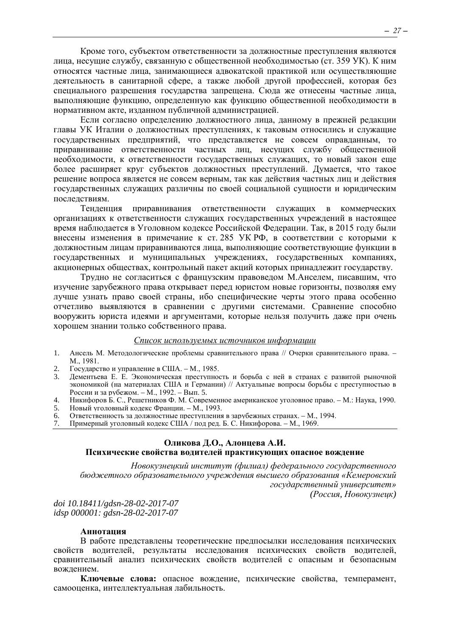Кроме того, субъектом ответственности за должностные преступления являются лица, несущие службу, связанную с общественной необходимостью (ст. 359 УК). К ним относятся частные лица, занимающиеся адвокатской практикой или осуществляющие деятельность в санитарной сфере, а также любой другой профессией, которая без специального разрешения государства запрещена. Сюда же отнесены частные лица, выполняющие функцию, определенную как функцию общественной необходимости в нормативном акте, изданном публичной администрацией.

Если согласно определению должностного лица, данному в прежней редакции главы УК Италии о должностных преступлениях, к таковым относились и служащие государственных предприятий, что представляется не совсем оправданным, то приравнивание ответственности частных лиц, несущих службу общественной необходимости, к ответственности государственных служащих, то новый закон еще более расширяет круг субъектов должностных преступлений. Думается, что такое решение вопроса является не совсем верным, так как действия частных лиц и действия государственных служащих различны по своей социальной сущности и юридическим последствиям.

Тенденция приравнивания ответственности служащих в коммерческих организациях к ответственности служащих государственных учреждений в настоящее время наблюдается в Уголовном кодексе Российской Федерации. Так, в 2015 году были внесены изменения в примечание к ст. 285 УК РФ, в соответствии с которыми к лолжностным лицам приравниваются лица, выполняющие соответствующие функции в государственных и муниципальных учреждениях, государственных компаниях, акционерных обществах, контрольный пакет акций которых принадлежит государству.

Трудно не согласиться с французским правоведом М.Анселем, писавшим, что изучение зарубежного права открывает перед юристом новые горизонты, позволяя ему лучше узнать право своей страны, ибо специфические черты этого права особенно отчетливо выявляются в сравнении с другими системами. Сравнение способно вооружить юриста идеями и аргументами, которые нельзя получить даже при очень хорошем знании только собственного права.

#### Список используемых источников информации

- $1.$ Ансель М. Методологические проблемы сравнительного права // Очерки сравнительного права. -M., 1981.
- Государство и управление в США. М., 1985.  $2.$
- Дементьева Е. Е. Экономическая преступность и борьба с ней в странах с развитой рыночной  $3<sub>1</sub>$ экономикой (на материалах США и Германии) // Актуальные вопросы борьбы с преступностью в России и за рубежом. - М., 1992. - Вып. 5.
- Никифоров Б. С., Решетников Ф. М. Современное американское уголовное право. М.: Наука, 1990.  $4.$ Новый уголовный кодекс Франции. - М., 1993.  $5<sub>1</sub>$
- Ответственность за должностные преступления в зарубежных странах. М., 1994. 6.
- <span id="page-26-0"></span>Примерный уголовный кодекс США / под ред. Б. С. Никифорова. - М., 1969.  $7\overline{ }$

# Оликова Д.О., Алонцева А.И.

#### Психические свойства водителей практикующих опасное вождение

Новокузнецкий институт (филиал) федерального государственного бюджетного образовательного учреждения высшего образования «Кемеровский государственный университет» (Россия, Новокузнецк)

doi 10.18411/gdsn-28-02-2017-07 idsp 000001: gdsn-28-02-2017-07

#### Аннотация

В работе представлены теоретические предпосылки исследования психических свойств водителей, результаты исследования психических свойств водителей, сравнительный анализ психических свойств волителей с опасным и безопасным вожлением.

Ключевые слова: опасное вождение, психические свойства, темперамент, самооценка, интеллектуальная лабильность.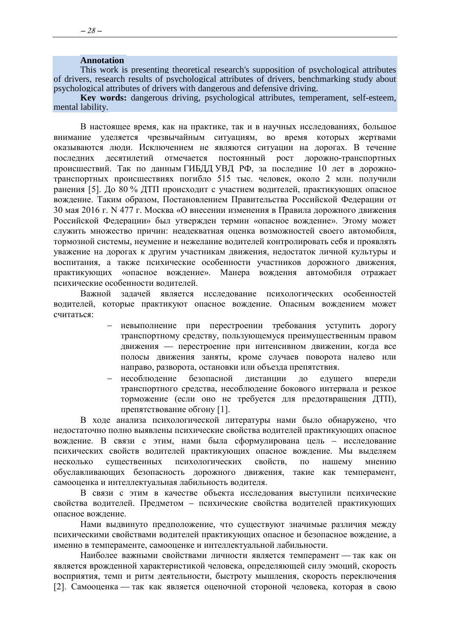#### **Annotation**

This work is presenting theoretical research's supposition of psychological attributes of drivers, research results of psychological attributes of drivers, benchmarking study about psychological attributes of drivers with dangerous and defensive driving.

**Key words:** dangerous driving, psychological attributes, temperament, self-esteem, mental lability.

В настоящее время, как на практике, так и в научных исследованиях, большое внимание уделяется чрезвычайным ситуациям, во время которых жертвами оказываются люди. Исключением не являются ситуации на дорогах. В течение последних десятилетий отмечается постоянный рост дорожно-транспортных происшествий. Так по данным ГИБДД УВД РФ, за последние 10 лет в дорожнотранспортных происшествиях погибло 515 тыс. человек, около 2 млн. получили ранения [5]. До 80 % ДТП происходит с участием водителей, практикующих опасное вождение. Таким образом, Постановлением Правительства Российской Федерации от 30 мая 2016 г. N 477 г. Москва «О внесении изменения в Правила дорожного движения Российской Федерации» был утвержден термин «опасное вождение». Этому может служить множество причин: неадекватная оценка возможностей своего автомобиля, тормозной системы, неумение и нежелание водителей контролировать себя и проявлять уважение на дорогах к другим участникам движения, недостаток личной культуры и воспитания, а также психические особенности участников дорожного движения, практикующих «опасное вождение». Манера вождения автомобиля отражает психические особенности водителей.

Важной задачей является исследование психологических особенностей водителей, которые практикуют опасное вождение. Опасным вождением может считаться:

- невыполнение при перестроении требования уступить дорогу транспортному средству, пользующемуся преимущественным правом движения — перестроение при интенсивном движении, когда все полосы движения заняты, кроме случаев поворота налево или направо, разворота, остановки или объезда препятствия.
- несоблюдение безопасной дистанции до едущего впереди транспортного средства, несоблюдение бокового интервала и резкое торможение (если оно не требуется для предотвращения ДТП), препятствование обгону [1].

В ходе анализа психологической литературы нами было обнаружено, что недостаточно полно выявлены психические свойства водителей практикующих опасное вождение. В связи с этим, нами была сформулирована цель – исследование психических свойств водителей практикующих опасное вождение. Мы выделяем несколько существенных психологических свойств, по нашему мнению обуславливающих безопасность дорожного движения, такие как темперамент, самооценка и интеллектуальная лабильность водителя.

В связи с этим в качестве объекта исследования выступили психические свойства водителей. Предметом – психические свойства водителей практикующих опасное вождение.

Нами выдвинуто предположение, что существуют значимые различия между психическими свойствами водителей практикующих опасное и безопасное вождение, а именно в темпераменте, самооценке и интеллектуальной лабильности.

Наиболее важными свойствами личности является темперамент — так как он является врожденной характеристикой человека, определяющей силу эмоций, скорость восприятия, темп и ритм деятельности, быстроту мышления, скорость переключения [2]. Самооценка — так как является оценочной стороной человека, которая в свою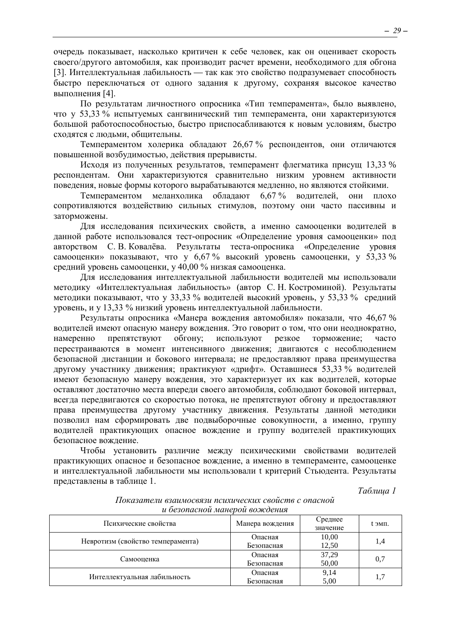очередь показывает, насколько критичен к себе человек, как он оценивает скорость своего/другого автомобиля, как производит расчет времени, необходимого для обгона [3]. Интеллектуальная лабильность — так как это свойство подразумевает способность быстро переключаться от одного задания к другому, сохраняя высокое качество выполнения [4].

По результатам личностного опросника «Тип темперамента», было выявлено, что у 53,33 % испытуемых сангвинический тип темперамента, они характеризуются большой работоспособностью, быстро приспосабливаются к новым условиям, быстро сходятся с людьми, общительны.

Темпераментом холерика обладают 26,67 % респондентов, они отличаются повышенной возбудимостью, действия прерывисты.

Исходя из полученных результатов, темперамент флегматика присущ 13,33 % респондентам. Они характеризуются сравнительно низким уровнем активности поведения, новые формы которого вырабатываются медленно, но являются стойкими.

Темпераментом меланхолика обладают 6,67 % водителей, они плохо сопротивляются воздействию сильных стимулов, поэтому они часто пассивны и заторможены.

Для исследования психических свойств, а именно самооценки водителей в данной работе использовался тест-опросник «Определение уровня самооценки» под авторством С. В. Ковалёва. Результаты теста-опросника «Определение уровня самооценки» показывают, что у 6,67 % высокий уровень самооценки, у 53,33 % средний уровень самооценки, у 40,00 % низкая самооценка.

Для исследования интеллектуальной лабильности водителей мы использовали методику «Интеллектуальная лабильность» (автор С. Н. Костроминой). Результаты методики показывают, что у 33,33 % водителей высокий уровень, у 53,33 % средний уровень, и у 13,33 % низкий уровень интеллектуальной лабильности.

Результаты опросника «Манера вождения автомобиля» показали, что 46,67 % водителей имеют опасную манеру вождения. Это говорит о том, что они неоднократно, намеренно препятствуют обгону; используют резкое торможение; часто перестраиваются в момент интенсивного движения; двигаются с несоблюдением безопасной дистанции и бокового интервала; не предоставляют права преимущества другому участнику движения; практикуют «дрифт». Оставшиеся 53,33 % водителей имеют безопасную манеру вождения, это характеризует их как водителей, которые оставляют достаточно места впереди своего автомобиля, соблюдают боковой интервал, всегда передвигаются со скоростью потока, не препятствуют обгону и предоставляют права преимущества другому участнику движения. Результаты данной методики позволил нам сформировать две подвыборочные совокупности, а именно, группу водителей практикующих опасное вождение и группу водителей практикующих безопасное вождение.

Чтобы установить различие между психическими свойствами водителей практикующих опасное и безопасное вождение, а именно в темпераменте, самооценке и интеллектуальной лабильности мы использовали t критерий Стьюдента. Результаты представлены в таблице 1.

*Таблица 1*

| u ocoonuchou municipou oomeochum  |                    |                     |        |  |  |  |  |
|-----------------------------------|--------------------|---------------------|--------|--|--|--|--|
| Психические свойства              | Манера вождения    | Среднее<br>значение | t эмп. |  |  |  |  |
|                                   | Опасная            | 10,00               |        |  |  |  |  |
| Невротизм (свойство темперамента) | Безопасная         | 12,50               | 1,4    |  |  |  |  |
| Самооценка                        | Опасная            | 37,29               |        |  |  |  |  |
|                                   | Безопасная         | 50,00               | 0,7    |  |  |  |  |
|                                   | Опасная            | 9,14                |        |  |  |  |  |
| Интеллектуальная лабильность      | 5,00<br>Безопасная |                     | 1,7    |  |  |  |  |

*Показатели взаимосвязи психических свойств с опасной и безопасной манерой вождения*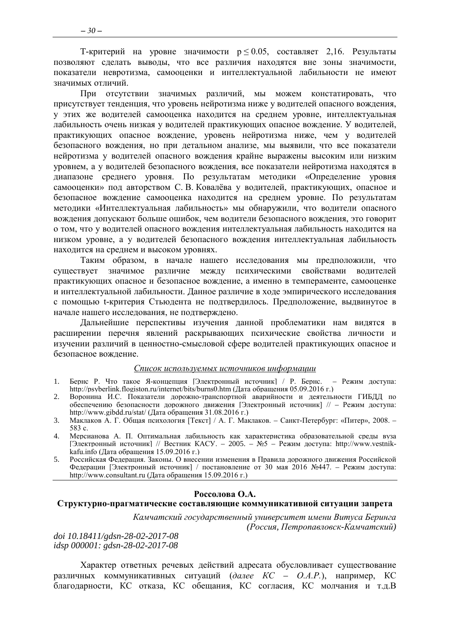T-критерий на уровне значимости  $p \le 0.05$ , составляет 2,16. Результаты позволяют сделать выводы, что все различия находятся вне зоны значимости, показатели невротизма, самооценки и интеллектуальной лабильности не имеют значимых отличий.

При отсутствии значимых различий, мы можем констатировать, что присутствует тенденция, что уровень нейротизма ниже у водителей опасного вождения, у этих же водителей самооценка находится на среднем уровне, интеллектуальная лабильность очень низкая у водителей практикующих опасное вождение. У водителей, практикующих опасное вождение, уровень нейротизма ниже, чем у водителей безопасного вождения, но при детальном анализе, мы выявили, что все показатели нейротизма у водителей опасного вождения крайне выражены высоким или низким уровнем, а у водителей безопасного вождения, все показатели нейротизма находятся в диапазоне среднего уровня. По результатам методики «Определение уровня самооценки» под авторством С. В. Ковалёва у водителей, практикующих, опасное и безопасное вождение самооценка находится на среднем уровне. По результатам методики «Интеллектуальная лабильность» мы обнаружили, что водители опасного вождения допускают больше ошибок, чем водители безопасного вождения, это говорит о том, что у водителей опасного вождения интеллектуальная лабильность находится на низком уровне, а у водителей безопасного вождения интеллектуальная лабильность находится на среднем и высоком уровнях.

Таким образом, в начале нашего исследования мы предположили, что существует значимое различие между психическими свойствами водителей практикующих опасное и безопасное вождение, а именно в темпераменте, самооценке и интеллектуальной лабильности. Данное различие в ходе эмпирического исследования с помощью t-критерия Стьюдента не подтвердилось. Предположение, выдвинутое в начале нашего исследования, не подтверждено.

Дальнейшие перспективы изучения данной проблематики нам видятся в расширении перечня явлений раскрывающих психические свойства личности и изучении различий в ценностно-смысловой сфере водителей практикующих опасное и безопасное вождение.

#### *Список используемых источников информации*

- 1. Бернс Р. Что такое Я-концепция [Электронный источник] / Р. Бернс. Режим доступа: http://psyberlink.flogiston.ru/internet/bits/burns0.htm (Дата обращения 05.09.2016 г.)
- 2. Воронина И.С. Показатели дорожно-транспортной аварийности и деятельности ГИБДД по обеспечению безопасности дорожного движения [Электронный источник] // – Режим доступа: http://www.gibdd.ru/stat/ (Дата обращения 31.08.2016 г.)
- 3. Маклаков А. Г. Общая психология [Текст] / А. Г. Маклаков. Санкт-Петербург: «Питер», 2008. 583 с.
- 4. Мерсианова А. П. Оптимальная лабильность как характеристика образовательной среды вуза [Электронный источник] // Вестник КАСУ. – 2005. – №5 – Режим доступа: http://www.vestnikkafu.info (Дата обращения 15.09.2016 г.)
- 5. Российская Федерация. Законы. О внесении изменения в Правила дорожного движения Российской Федерации [Электронный источник] / постановление от 30 мая 2016 №447. – Режим доступа: http://www.consultant.ru (Дата обращения 15.09.2016 г.)

#### **Россолова О.А.**

#### <span id="page-29-0"></span>**Структурно-прагматические составляющие коммуникативной ситуации запрета**

*Камчатский государственный университет имени Витуса Беринга (Россия, Петропавловск-Камчатский)*

*doi 10.18411/gdsn-28-02-2017-08 idsp 000001: gdsn-28-02-2017-08*

Характер ответных речевых действий адресата обусловливает существование различных коммуникативных ситуаций (*далее КС – О.А.Р.*), например, КС благодарности, КС отказа, КС обещания, КС согласия, КС молчания и т.д.В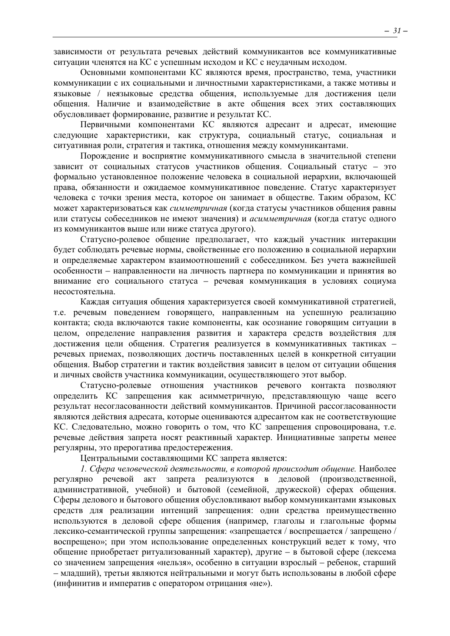зависимости от результата речевых действий коммуникантов все коммуникативные ситуации членятся на КС с успешным исходом и КС с неудачным исходом.

Основными компонентами КС являются время, пространство, тема, участники коммуникации с их социальными и личностными характеристиками, а также мотивы и языковые / неязыковые средства общения, используемые для достижения цели общения. Наличие и взаимодействие в акте общения всех этих составляющих обусловливает формирование, развитие и результат КС.

Первичными компонентами КС являются адресант и адресат, имеющие следующие характеристики, как структура, социальный статус, социальная и ситуативная роли, стратегия и тактика, отношения между коммуникантами.

Порождение и восприятие коммуникативного смысла в значительной степени зависит от социальных статусов участников общения. Социальный статус - это формально установленное положение человека в социальной иерархии, включающей права, обязанности и ожидаемое коммуникативное поведение. Статус характеризует человека с точки зрения места, которое он занимает в обществе. Таким образом, КС может характеризоваться как симметричная (когда статусы участников общения равны или статусы собеседников не имеют значения) и асимметричная (когда статус одного из коммуникантов выше или ниже статуса другого).

Статусно-ролевое общение предполагает, что каждый участник интеракции будет соблюдать речевые нормы, свойственные его положению в социальной иерархии и определяемые характером взаимоотношений с собеседником. Без учета важнейшей особенности - направленности на личность партнера по коммуникации и принятия во внимание его социального статуса - речевая коммуникация в условиях социума несостоятельна.

Каждая ситуация общения характеризуется своей коммуникативной стратегией, т.е. речевым поведением говорящего, направленным на успешную реализацию контакта; сюда включаются такие компоненты, как осознание говорящим ситуации в целом, определение направления развития и характера средств воздействия для достижения цели общения. Стратегия реализуется в коммуникативных тактиках речевых приемах, позволяющих достичь поставленных целей в конкретной ситуации общения. Выбор стратегии и тактик воздействия зависит в целом от ситуации общения и личных свойств участника коммуникации, осуществляющего этот выбор.

Статусно-ролевые отношения участников речевого контакта позволяют определить КС запрещения как асимметричную, представляющую чаще всего результат несогласованности действий коммуникантов. Причиной рассогласованности являются действия адресата, которые оцениваются адресантом как не соответствующие КС. Следовательно, можно говорить о том, что КС запрещения спровоцирована, т.е. речевые действия запрета носят реактивный характер. Инициативные запреты менее регулярны, это прерогатива предостережения.

Центральными составляющими КС запрета является:

1. Сфера человеческой деятельности, в которой происходит общение. Наиболее регулярно запрета реализуются в деловой (производственной, речевой акт административной, учебной) и бытовой (семейной, дружеской) сферах общения. Сферы делового и бытового общения обусловливают выбор коммуникантами языковых средств для реализации интенций запрещения: одни средства преимущественно используются в деловой сфере общения (например, глаголы и глагольные формы лексико-семантической группы запрещения: «запрещается / воспрещается / запрещено / воспрешено»: при этом использование определенных конструкций ведет к тому, что общение приобретает ритуализованный характер), другие - в бытовой сфере (лексема со значением запрещения «нельзя», особенно в ситуации взрослый - ребенок, старший - младший), третьи являются нейтральными и могут быть использованы в любой сфере (инфинитив и императив с оператором отрицания «не»).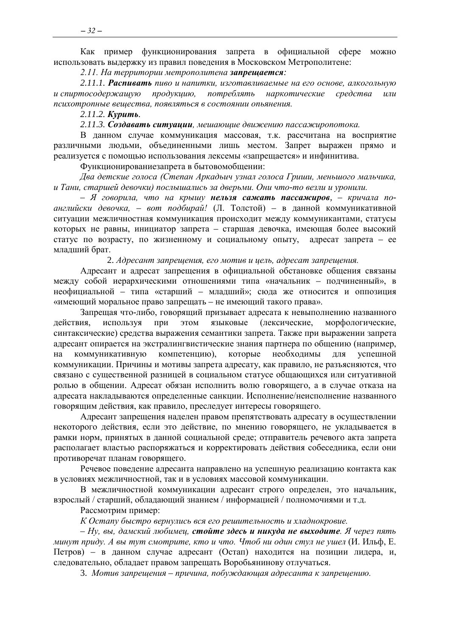Как пример функционирования запрета в официальной сфере можно использовать выдержку из правил поведения в Московском Метрополитене:

*2.11. На территории метрополитена запрещается:*

*2.11.1. Распивать пиво и напитки, изготавливаемые на его основе, алкогольную и спиртосодержащую продукцию, потреблять наркотические средства или психотропные вещества, появляться в состоянии опьянения.*

*2.11.2. Курить.*

*2.11.3. Создавать ситуации, мешающие движению пассажиропотока.*

В данном случае коммуникация массовая, т.к. рассчитана на восприятие различными людьми, объединенными лишь местом. Запрет выражен прямо и реализуется с помощью использования лексемы «запрещается» и инфинитива.

Функционированиезапрета в бытовомобщении:

*Два детские голоса (Степан Аркадьич узнал голоса Гриши, меньшого мальчика, и Тани, старшей девочки) послышались за дверьми. Они что-то везли и уронили.*

*– Я говорила, что на крышу нельзя сажать пассажиров, – кричала поанглийски девочка, – вот подбирай!* (Л. Толстой) – в данной коммуникативной ситуации межличностная коммуникация происходит между коммуникантами, статусы которых не равны, инициатор запрета – старшая девочка, имеющая более высокий статус по возрасту, по жизненному и социальному опыту, адресат запрета – ее младший брат.

2. *Адресант запрещения, его мотив и цель, адресат запрещения.*

Адресант и адресат запрещения в официальной обстановке общения связаны между собой иерархическими отношениями типа «начальник – подчиненный», в неофициальной – типа «старший – младший»; сюда же относится и оппозиция «имеющий моральное право запрещать – не имеющий такого права».

Запрещая что-либо, говорящий призывает адресата к невыполнению названного действия, используя при этом языковые (лексические, морфологические, синтаксические) средства выражения семантики запрета. Также при выражении запрета адресант опирается на экстралингвистические знания партнера по общению (например, на коммуникативную компетенцию), которые необходимы для успешной коммуникации. Причины и мотивы запрета адресату, как правило, не разъясняются, что связано с существенной разницей в социальном статусе общающихся или ситуативной ролью в общении. Адресат обязан исполнить волю говорящего, а в случае отказа на адресата накладываются определенные санкции. Исполнение/неисполнение названного говорящим действия, как правило, преследует интересы говорящего.

Адресант запрещения наделен правом препятствовать адресату в осуществлении некоторого действия, если это действие, по мнению говорящего, не укладывается в рамки норм, принятых в данной социальной среде; отправитель речевого акта запрета располагает властью распоряжаться и корректировать действия собеседника, если они противоречат планам говорящего.

Речевое поведение адресанта направлено на успешную реализацию контакта как в условиях межличностной, так и в условиях массовой коммуникации.

В межличностной коммуникации адресант строго определен, это начальник, взрослый / старший, обладающий знанием / информацией / полномочиями и т.д.

Рассмотрим пример:

*К Остапу быстро вернулись вся его решительность и хладнокровие.*

*– Ну, вы, дамский любимец, стойте здесь и никуда не выходите. Я через пять минут приду. А вы тут смотрите, кто и что. Чтоб ни один стул не ушел* (И. Ильф, Е. Петров) – в данном случае адресант (Остап) находится на позиции лидера, и, следовательно, обладает правом запрещать Воробьянинову отлучаться.

3. *Мотив запрещения – причина, побуждающая адресанта к запрещению.*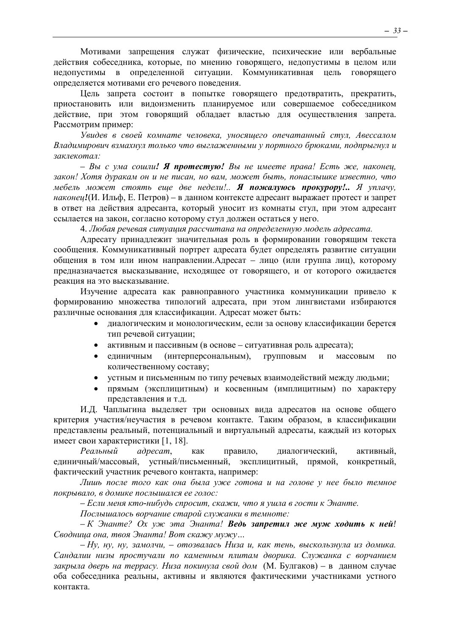Мотивами запрещения служат физические, психические или вербальные действия собеседника, которые, по мнению говорящего, недопустимы в целом или недопустимы в определенной ситуации. Коммуникативная цель говорящего определяется мотивами его речевого поведения.

Цель запрета состоит в попытке говорящего предотвратить, прекратить, приостановить или видоизменить планируемое или совершаемое собеседником действие, при этом говорящий обладает властью для осуществления запрета. Рассмотрим пример:

*Увидев в своей комнате человека, уносящего опечатанный стул, Авессалом Владимирович взмахнул только что выглаженными у портного брюками, подпрыгнул и заклекотал:*

*– Вы с ума сошли! Я протестую! Вы не имеете права! Есть же, наконец, закон! Хотя дуракам он и не писан, но вам, может быть, понаслышке известно, что мебель может стоять еще две недели!.. Я пожалуюсь прокурору!.. Я уплачу, наконец!*(И. Ильф, Е. Петров) – в данном контексте адресант выражает протест и запрет в ответ на действия адресанта, который уносит из комнаты стул, при этом адресант ссылается на закон, согласно которому стул должен остаться у него.

4. *Любая речевая ситуация рассчитана на определенную модель адресата.*

Адресату принадлежит значительная роль в формировании говорящим текста сообщения. Коммуникативный портрет адресата будет определять развитие ситуации общения в том или ином направлении.Адресат – лицо (или группа лиц), которому предназначается высказывание, исходящее от говорящего, и от которого ожидается реакция на это высказывание.

Изучение адресата как равноправного участника коммуникации привело к формированию множества типологий адресата, при этом лингвистами избираются различные основания для классификации. Адресат может быть:

- диалогическим и монологическим, если за основу классификации берется тип речевой ситуации;
- активным и пассивным (в основе ситуативная роль адресата);
- единичным (интерперсональным), групповым и массовым по количественному составу;
- устным и письменным по типу речевых взаимодействий между людьми;
- прямым (эксплицитным) и косвенным (имплицитным) по характеру представления и т.д.

И.Д. Чаплыгина выделяет три основных вида адресатов на основе общего критерия участия/неучастия в речевом контакте. Таким образом, в классификации представлены реальный, потенциальный и виртуальный адресаты, каждый из которых имеет свои характеристики [1, 18].

*Реальный адресат*, как правило, диалогический, активный, единичный/массовый, устный/письменный, эксплицитный, прямой, конкретный, фактический участник речевого контакта, например:

*Лишь после того как она была уже готова и на голове у нее было темное покрывало, в домике послышался ее голос:*

*– Если меня кто-нибудь спросит, скажи, что я ушла в гости к Энанте.*

*Послышалось ворчание старой служанки в темноте:*

*– К Энанте? Ох уж эта Энанта! Ведь запретил же муж ходить к ней! Сводница она, твоя Энанта! Вот скажу мужу…* 

*– Ну, ну, ну, замолчи, – отозвалась Низа и, как тень, выскользнула из домика. Сандалии низы простучали по каменным плитам дворика. Служанка с ворчанием закрыла дверь на террасу. Низа покинула свой дом* (М. Булгаков) – в данном случае оба собеседника реальны, активны и являются фактическими участниками устного контакта.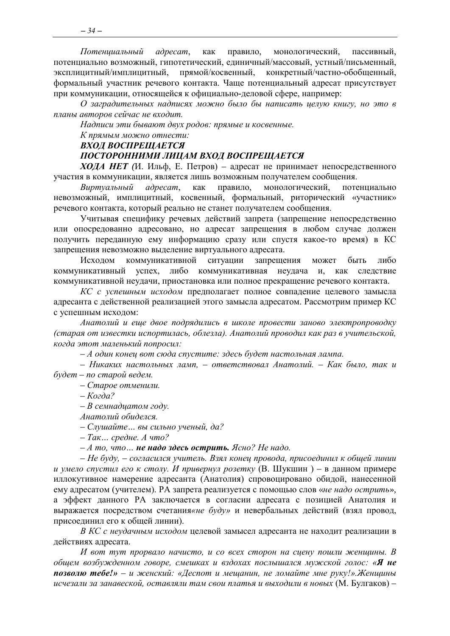Потенциальный  $adpecam$ , как правило, монологический, пассивный. потенциально возможный, гипотетический, единичный/массовый, устный/письменный, эксплицитный/имплицитный, прямой/косвенный, конкретный/частно-обобщенный. формальный участник речевого контакта. Чаще потенциальный адресат присутствует при коммуникации, относящейся к официально-деловой сфере, например:

О заградительных надписях можно было бы написать иелую книгу, но это в планы авторов сейчас не входит.

Надписи эти бывают двух родов: прямые и косвенные.

К прямым можно отнести:

ВХОД ВОСПРЕЩАЕТСЯ

#### ПОСТОРОННИМИ ЛИЦАМ ВХОД ВОСПРЕЩАЕТСЯ

**ХОДА НЕТ** (И. Ильф, Е. Петров) – адресат не принимает непосредственного участия в коммуникации, является лишь возможным получателем сообщения.

Виртуальный адресат, как правило, монологический, потенциально невозможный, имплицитный, косвенный, формальный, риторический «участник» речевого контакта, который реально не станет получателем сообщения.

Учитывая специфику речевых действий запрета (запрещение непосредственно или опосредованно адресовано, но адресат запрещения в любом случае должен получить переданную ему информацию сразу или спустя какое-то время) в КС запрещения невозможно выделение виртуального адресата.

коммуникативной ситуации Исходом запрещения может быть либо успех, либо коммуникативная неудача и, как следствие коммуникативный коммуникативной неудачи, приостановка или полное прекращение речевого контакта.

КС с успешным исходом предполагает полное совпадение целевого замысла адресанта с действенной реализацией этого замысла адресатом. Рассмотрим пример КС с успешным исходом:

Анатолий и еще двое подрядились в школе провести заново электропроводку (старая от известки испортилась, облезла). Анатолий проводил как раз в учительской, когда этот маленький попросил:

- А один конец вот сюда спустите: здесь будет настольная лампа.

- Никаких настольных ламп, - ответствовал Анатолий. - Как было, так и будет – по старой ведем.

- Старое отменили.

 $-Kozda$ ?

 $-B$  семнадцатом году.

Анатолий обиделся.

- Слушайте... вы сильно ученый, да?

 $-$  Так... средне. А что?

 $-A$  то, что... не надо здесь острить. Ясно? Не надо.

– Не буду, – согласился учитель. Взял конец провода, присоединил к общей линии и умело спустил его к столу. И привернул розетку (В. Шукшин) – в данном примере иллокутивное намерение адресанта (Анатолия) спровоцировано обидой, нанесенной ему адресатом (учителем). РА запрета реализуется с помощью слов «не надо острить», а эффект данного РА заключается в согласии адресата с позицией Анатолия и выражается посредством счетания«не буду» и невербальных действий (взял провод. присоединил его к общей линии).

В КС с неудачным исходом целевой замысел адресанта не находит реализации в действиях адресата.

И вот тут прорвало начисто, и со всех сторон на сцену пошли женщины. В общем возбужденном говоре, смешках и вздохах послышался мужской голос: «Я не позволю тебе!» - и женский: «Деспот и мещанин, не ломайте мне руку!».Женщины исчезали за занавеской, оставляли там свои платья и выходили в новых (М. Булгаков) -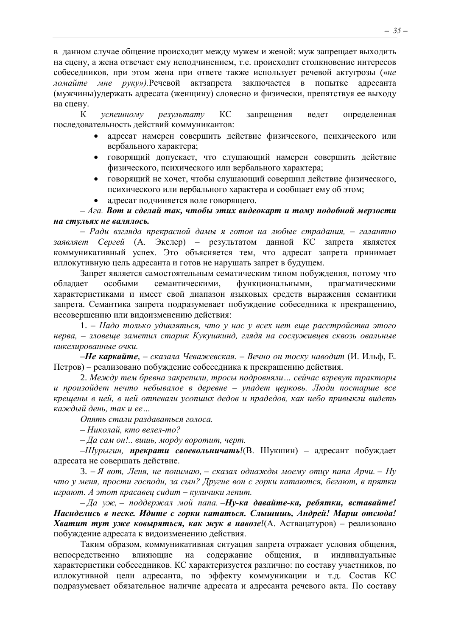в данном случае общение происходит между мужем и женой: муж запрещает выходить на сцену, а жена отвечает ему неподчинением, т.е. происходит столкновение интересов собеседников, при этом жена при ответе также использует речевой актугрозы («*не ломайте мне руку»).*Речевой актзапрета заключается в попытке адресанта (мужчины)удержать адресата (женщину) словесно и физически, препятствуя ее выходу на сцену.

К *успешному результату* КС запрещения ведет определенная последовательность действий коммуникантов:

- адресат намерен совершить действие физического, психического или вербального характера;
- говорящий допускает, что слушающий намерен совершить действие физического, психического или вербального характера;
- говорящий не хочет, чтобы слушающий совершил действие физического, психического или вербального характера и сообщает ему об этом;
- адресат подчиняется воле говорящего.

*– Ага. Вот и сделай так, чтобы этих видеокарт и тому подобной мерзости на стульях не валялось.*

*– Ради взгляда прекрасной дамы я готов на любые страдания, – галантно заявляет Сергей* (А. Экслер) – результатом данной КС запрета является коммуникативный успех. Это объясняется тем, что адресат запрета принимает иллокутивную цель адресанта и готов не нарушать запрет в будущем.

Запрет является самостоятельным сематическим типом побуждения, потому что обладает особыми семантическими, функциональными, прагматическими характеристиками и имеет свой диапазон языковых средств выражения семантики запрета. Семантика запрета подразумевает побуждение собеседника к прекращению, несовершению или видоизменению действия:

1. *– Надо только удивляться, что у нас у всех нет еще расстройства этого нерва, – зловеще заметил старик Кукушкинд, глядя на сослуживцев сквозь овальные никелированные очки.*

*–Не каркайте, – сказала Чеважевская. – Вечно он тоску наводит* (И. Ильф, Е. Петров) *–* реализовано побуждение собеседника к прекращению действия.

2. *Между тем бревна закрепили, тросы подровняли… сейчас взревут тракторы и произойдет нечто небывалое в деревне – упадет церковь. Люди постарше все крещены в ней, в ней отпевали усопших дедов и прадедов, как небо привыкли видеть каждый день, так и ее…*

*Опять стали раздаваться голоса.*

*– Николай, кто велел-то?*

*– Да сам он!.. вишь, морду воротит, черт.*

*–Шурыгин, прекрати своевольничать!*(В. Шукшин) *–* адресант побуждает адресата не совершать действие.

3. – *Я вот, Леня, не понимаю, – сказал однажды моему отцу папа Арчи. – Ну что у меня, прости господи, за сын? Другие вон с горки катаются, бегают, в прятки играют. А этот красавец сидит – куличики лепит.*

*– Да уж, – поддержал мой папа. –Ну-ка давайте-ка, ребятки, вставайте! Насиделись в песке. Идите с горки кататься. Слышишь, Андрей! Марш отсюда! Хватит тут уже ковыряться, как жук в навозе!*(А. Аствацатуров) *–* реализовано побуждение адресата к видоизменению действия.

Таким образом, коммуникативная ситуация запрета отражает условия общения, непосредственно влияющие на содержание общения, и индивидуальные характеристики собеседников. КС характеризуется различно: по составу участников, по иллокутивной цели адресанта, по эффекту коммуникации и т.д. Состав КС подразумевает обязательное наличие адресата и адресанта речевого акта. По составу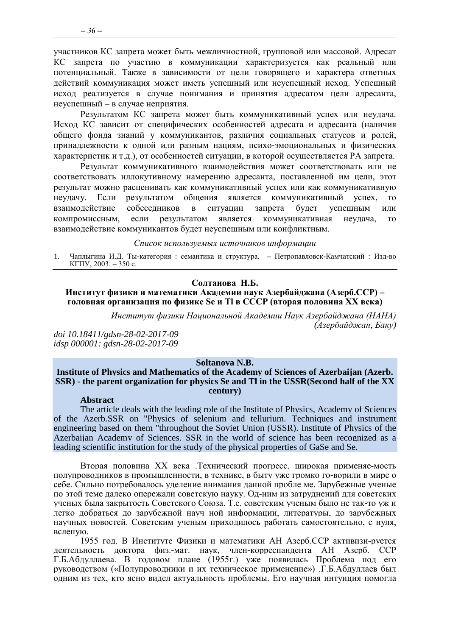участников КС запрета может быть межличностной, групповой или массовой. Адресат КС запрета по участию в коммуникации характеризуется как реальный или потенциальный. Также в зависимости от цели говорящего и характера ответных действий коммуникация может иметь успешный или неуспешный исход. Успешный исход реализуется в случае понимания и принятия адресатом цели адресанта, неуспешный – в случае неприятия.

Результатом КС запрета может быть коммуникативный успех или неудача. Исход КС зависит от специфических особенностей адресата и адресанта (наличия общего фонда знаний у коммуникантов, различия социальных статусов и ролей, принадлежности к одной или разным нациям, психо-эмоциональных и физических характеристик и т.д.), от особенностей ситуации, в которой осуществляется РА запрета.

Результат коммуникативного взаимодействия может соответствовать или не соответствовать иллокутивному намерению адресанта, поставленной им цели, этот результат можно расценивать как коммуникативный успех или как коммуникативную неудачу. Если результатом общения является коммуникативный успех, то взаимодействие собеседников в ситуации запрета будет успешным или компромиссным, если результатом является коммуникативная неудача, то взаимодействие коммуникантов будет неуспешным или конфликтным.

#### *Список используемых источников информации*

<span id="page-35-0"></span>1. Чаплыгина И.Д. Ты-категория : семантика и структура. – Петропавловск-Камчатский : Изд-во КГПУ, 2003. – 350 с.

#### **Солтанова Н.Б.**

#### **Институт физики и математики Академии наук Азербайджана (Азерб.ССР) – головная организация по физике Se и Tl в СССР (вторая половина XX века)**

*Институт физики Национальной Академии Наук Азербайджана (НАНА) (Азербайджан, Баку)*

*doi 10.18411/gdsn-28-02-2017-09 idsp 000001: gdsn-28-02-2017-09*

#### **Soltanova N.B.**

#### **Institute of Physics and Mathematics of the Academy of Sciences of Azerbaijan (Azerb. SSR) - the parent organization for physics Se and Tl in the USSR(Second half of the XX century)**

#### **Abstract**

The article deals with the leading role of the Institute of Physics, Academy of Sciences of the Azerb.SSR on "Physics of selenium and tellurium. Techniques and instrument engineering based on them "throughout the Soviet Union (USSR). Institute of Physics of the Azerbaijan Academy of Sciences. SSR in the world of science has been recognized as a leading scientific institution for the study of the physical properties of GaSe and Se.

Вторая половина ХХ века .Технический прогресс, широкая применяе-мость полупроводников в промышленности, в технике, в быту уже громко го-ворили в мире о себе. Сильно потребовалось уделение внимания данной пробле ме. Зарубежные ученые по этой теме далеко опережали советскую науку. Од-ним из затруднений для советских ученых была закрытость Советского Союза. Т.е. советским ученым было не так-то уж и легко добраться до зарубежной науч ной информации, литературы, до зарубежных научных новостей. Советским ученым приходилось работать самостоятельно, с нуля, вслепую.

1955 год. В Институте Физики и математики АН Азерб.ССР активизи-руется деятельность доктора физ.-мат. наук, член-корреспандента АН Азерб. ССР Г.Б.Абдуллаева. В годовом плане (1955г.) уже появилась Проблема под его руководством («Полупроводники и их техническое применение») .Г.Б.Абдуллаев был одним из тех, кто ясно видел актуальность проблемы. Его научная интуиция помогла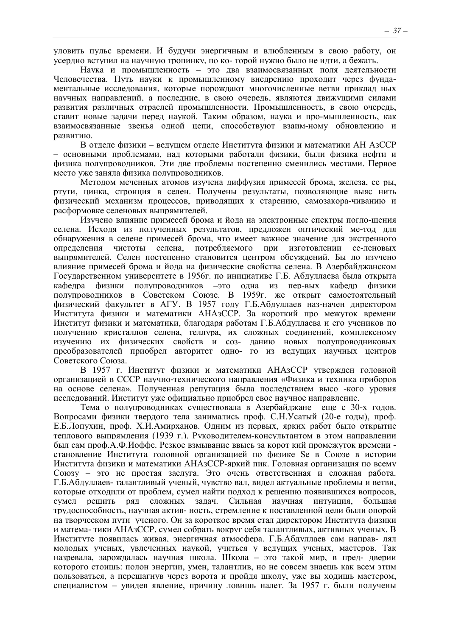уловить пульс времени. И будучи энергичным и влюбленным в свою работу, он усердно вступил на научную тропинку, по ко- торой нужно было не идти, а бежать.

Наука и промышленность - это два взаимосвязанных поля деятельности Человечества. Путь науки к промышленному внедрению проходит через фундаментальные исследования, которые порождают многочисленные ветви приклад ных научных направлений, а последние, в свою очередь, являются движущими силами развития различных отраслей промышленности. Промышленность, в свою очередь, ставит новые задачи перед наукой. Таким образом, наука и про-мышленность, как взаимосвязанные звенья одной цепи, способствуют взаим-ному обновлению и развитию.

В отделе физики - ведущем отделе Института физики и математики АН АзССР – основными проблемами, над которыми работали физики, были физика нефти и физика полупроводников. Эти две проблемы постепенно сменились местами. Первое место уже заняла физика полупроводников.

Методом меченных атомов изучена диффузия примесей брома, железа, се ры, ртути, цинка, стронция в селен. Получены результаты, позволяющие выяс нить физический механизм процессов, приводящих к старению, самозакора-чиванию и расформовке селеновых выпрямителей.

Изучено влияние примесей брома и йода на электронные спектры погло-щения селена. Исходя из полученных результатов, предложен оптический ме-тод для обнаружения в селене примесей брома, что имеет важное значение для экстренного опрелеления чистоты селена. потребляемого  $\Pi$ D $\Pi$ изготовлении се-леновых выпрямителей. Селен постепенно становится центром обсуждений. Бы ло изучено влияние примесей брома и йода на физические свойства селена. В Азербайджанском Государственном университете в 1956г. по инициативе Г.Б. Абдуллаева была открыта физики полупроводников -это одна из пер-вых кафедр кафедра физики полупроводников в Советском Союзе. В 1959г. же открыт самостоятельный физический факультет в АГУ. В 1957 году Г.Б.Абдуллаев наз-начен директором Института физики и математики АНАзССР. За короткий про межуток времени Институт физики и математики, благодаря работам Г.Б.Абдуллаева и его учеников по получению кристаллов селена, теллура, их сложных соединений, комплексному изучению их физических свойств и соз- данию новых полупроводниковых преобразователей приобрел авторитет одно- го из ведущих научных центров Советского Союза.

В 1957 г. Институт физики и математики АНАзССР утвержден головной организацией в СССР научно-технического направления «Физика и техника приборов на основе селена». Полученная репутация была последствием высо -кого уровня исследований. Институт уже официально приобрел свое научное направление.

Тема о полупроводниках существовала в Азербайджане еще с 30-х годов. Вопросами физики твердого тела занимались проф. С.Н.Усатый (20-е годы), проф. Е.Б.Лопухин, проф. Х.И.Амирханов. Одним из первых, ярких работ было открытие теплового выпрямления (1939 г.). Руководителем-консультантом в этом направлении был сам проф.А.Ф.Иоффе. Резкое взмывание ввысь за корот кий промежуток времени становление Института головной организацией по физике Se в Союзе в истории Института физики и математики АНАзССР-яркий пик. Головная организация по всему Союзу - это не простая заслуга. Это очень ответственная и сложная работа. Г.Б.Абдуллаев- талантливый ученый, чувство вал, видел актуальные проблемы и ветви, которые отходили от проблем, сумел найти подход к решению появившихся вопросов, сумел решить ряд сложных задач. Сильная научная ИНТУИНИЯ. большая трудоспособность, научная актив- ность, стремление к поставленной цели были опорой на творческом пути ученого. Он за короткое время стал директором Института физики и матема-тики АНАзССР, сумел собрать вокруг себя талантливых, активных ученых. В Институте появилась живая, энергичная атмосфера. Г.Б.Абдуллаев сам направ- лял молодых ученых, увлеченных наукой, учиться у ведущих ученых, мастеров. Так назревала, зарождалась научная школа. Школа - это такой мир, в пред-дверии которого стоишь: полон энергии, умен, талантлив, но не совсем знаешь как всем этим пользоваться, а перешагнув через ворота и пройдя школу, уже вы ходишь мастером, специалистом – увидев явление, причину ловишь налет. За 1957 г. были получены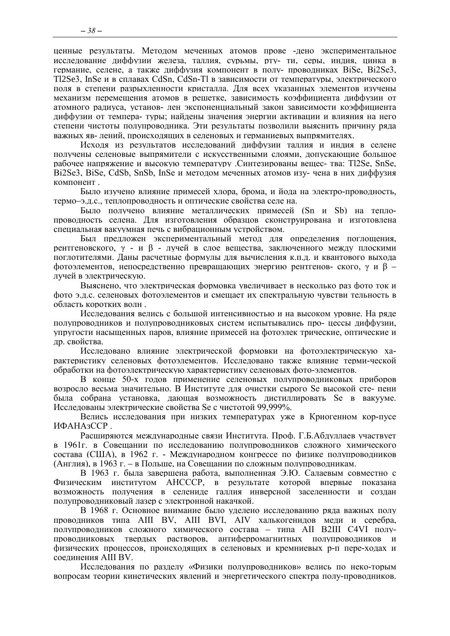ценные результаты. Методом меченных атомов прове -дено экспериментальное исследование диффузии железа, таллия, сурьмы, рту- ти, серы, индия, цинка в германие, селене, а также диффузия компонент в полу- проводниках BiSe, Bi2Se3, T12Se3, InSe и в сплавах CdSn, CdSn-Tl в зависимости от температуры, электрического поля в степени разрыхленности кристалла. Для всех указанных элементов изучены механизм перемещения атомов в решетке, зависимость коэффициента диффузии от атомного радиуса, установ- лен экспоненциальный закон зависимости коэффициента диффузии от темпера- туры; найдены значения энергии активации и влияния на него степени чистоты полупроводника. Эти результаты позволили выяснить причину ряда важных яв- лений, происходящих в селеновых и германиевых выпрямителях.

Исходя из результатов исследований диффузии таллия и индия в селене получены селеновые выпрямители с искусственными слоями, допускающие большое рабочее напряжение и высокую температуру .Синтезированы вещес- тва: Tl2Se, SnSe, Bi2Se3, BiSe, CdSb, SnSb, InSe и методом меченных атомов изу- чена в них диффузия компонент.

Было изучено влияние примесей хлора, брома, и йода на электро-проводность, термо-э.д.с., теплопроводность и оптические свойства селе на.

Было получено влияние металлических примесей (Sn и Sb) на теплопроводность селена. Для изготовления образцов сконструирована и изготовлена специальная вакуумная печь с вибрационным устройством.

Был предложен экспериментальный метод для определения поглощения, рентгеновского,  $\gamma$  - и  $\beta$  - лучей в слое вещества, заключенного между плоскими поглотителями. Даны расчетные формулы для вычисления к.п.д. и квантового выхода фотоэлементов, непосредственно превращающих энергию рентгенов- ского,  $\gamma$  и  $\beta$  лучей в электрическую.

Выяснено, что электрическая формовка увеличивает в несколько раз фото ток и фото э.д.с. селеновых фотоэлементов и смещает их спектральную чувстви тельность в область коротких волн

Исслелования велись с большой интенсивностью и на высоком уровне. На ряле полупроводников и полупроводниковых систем испытывались про- цессы диффузии, упругости насыщенных паров, влияние примесей на фотоэлек трические, оптические и др. свойства.

Исследовано влияние электрической формовки на фотоэлектрическую характеристику селеновых фотоэлементов. Исследовано также влияние терми-ческой обработки на фотоэлектрическую характеристику селеновых фото-элементов.

В конце 50-х голов применение селеновых полупроволниковых приборов возросло весьма значительно. В Институте для очистки сырого Se высокой сте- пени была собрана установка, дающая возможность дистиллировать Se в вакууме. Исследованы электрические свойства Se с чистотой 99,999%.

Велись исследования при низких температурах уже в Криогенном кор-пусе ИФАНАзССР.

Расширяются международные связи Института. Проф. Г.Б.Абдуллаев участвует в 1961 г. в Совещании по исследованию полупроводников сложного химического состава (США), в 1962 г. - Международном конгрессе по физике полупроводников (Англия), в 1963 г. – в Польше, на Совещании по сложным полупроводникам.

В 1963 г. была завершена работа, выполненная Э.Ю. Салаевым совместно с Физическим институтом АНСССР, в результате которой впервые показана возможность получения в селениде галлия инверсной заселенности и создан полупроводниковый лазер с электронной накачкой.

В 1968 г. Основное внимание было уделено исследованию ряда важных полу проводников типа AIII BV, AIII BVI, AIV халькогенидов меди и серебра, полупроводников сложного химического состава - типа АІІ В2III С4VI полупроводниковых твердых растворов, антиферромагнитных полупроводников и физических процессов, происходящих в селеновых и кремниевых р-п пере-ходах и соединения AIII BV.

Исследования по разделу «Физики полупроводников» велись по неко-торым вопросам теории кинетических явлений и энергетического спектра полу-проводников.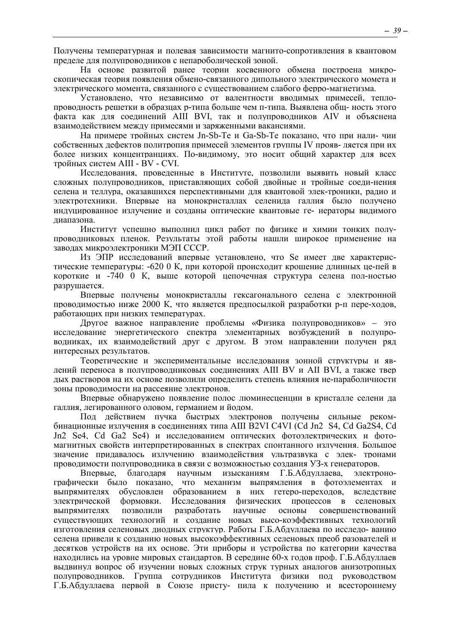Получены температурная и полевая зависимости магнито-сопротивления в квантовом пределе для полупроводников с непароболической зоной.

На основе развитой ранее теории косвенного обмена построена микроскопическая теория появления обмено-связанного дипольного электрического момета и электрического момента, связанного с существованием слабого ферро-магнетизма.

Установлено, что независимо от валентности вводимых примесей, теплопроводность решетки в образцах р-типа больше чем п-типа. Выявлена общ- ность этого факта как лля соелинений AIII BVI, так и полупроволников AIV и объяснена взаимодействием между примесями и заряженными вакансиями.

На примере тройных систем Jn-Sb-Te и Ga-Sb-Te показано, что при нали-чии собственных дефектов политропия примесей элементов группы IV прояв-ляется при их более низких концентранциях. По-видимому, это носит общий характер для всех тройных систем AIII - BV - CVI.

Исследования, проведенные в Институте, позволили выявить новый класс сложных полупроводников, приставляющих собой двойные и тройные соеди-нения селена и теллура, оказавшихся перспективными для квантовой элек-троники, радио и электротехники. Впервые на монокристаллах селенида галлия было получено индуцированное излучение и созданы оптические квантовые ге- нераторы видимого лиапазона.

Институт успешно выполнил цикл работ по физике и химии тонких полупроводниковых пленок. Результаты этой работы нашли широкое применение на заволах микроэлектроники МЭП СССР.

Из ЭПР исследований впервые установлено, что Se имеет две характеристические температуры: -620 0 К, при которой происходит крошение длинных це-пей в короткие и -740 0 К, выше которой цепочечная структура селена пол-ностью разрушается.

Впервые получены монокристаллы гексагонального селена с электронной проводимостью ниже 2000 К, что является предпосылкой разработки р-п пере-ходов, работающих при низких температурах.

Другое важное направление проблемы «Физика полупроводников» - это исследование энергетического спектра элементарных возбуждений в полупроводниках, их взаимодействий друг с другом. В этом направлении получен ряд интересных результатов.

Теоретические и экспериментальные исслелования зонной структуры и явлений переноса в полупроводниковых соединениях AIII BV и AII BVI, а также твер дых растворов на их основе позволили определить степень влияния не-параболичности зоны проводимости на рассеяние электронов.

Впервые обнаружено появление полос люминесценции в кристалле селени да галлия, легированного оловом, германием и йодом.

Под действием пучка быстрых электронов получены сильные рекомбинационные излучения в соелинениях типа AIII B2VI C4VI (Cd Jn2 S4. Cd Ga2S4. Cd Jn2 Se4, Cd Ga2 Se4) и исследованием оптических фотоэлектрических и фотомагнитных свойств интерпретированных в спектрах спонтанного излучения. Большое значение придавалось излучению взаимодействия ультразвука с элек- тронами проводимости полупроводника в связи с возможностью создания УЗ-х генераторов.

благодаря научным изысканиям Г.Б.Абдуллаева. Впервые электронографически было показано, что механизм выпрямления в фотоэлементах и выпрямителях обусловлен образованием в них гетеро-переходов, вследствие электрической формовки. Исследования физических процессов в селеновых разработать выпрямителях позволили научные основы совершенствований существующих технологий и создание новых высо-коэффективных технологий изготовления селеновых диодных структур. Работы Г.Б.Абдуллаева по исследо-ванию селена привели к созданию новых высокоэффективных селеновых преоб разователей и десятков устройств на их основе. Эти приборы и устройства по категории качества находились на уровне мировых стандартов. В середине 60-х годов проф. Г.Б.Абдуллаев выдвинул вопрос об изучении новых сложных струк турных аналогов анизотропных полупроводников. Группа сотрудников Института физики под руководством Г.Б.Абдуллаева первой в Союзе присту- пила к получению и всестороннему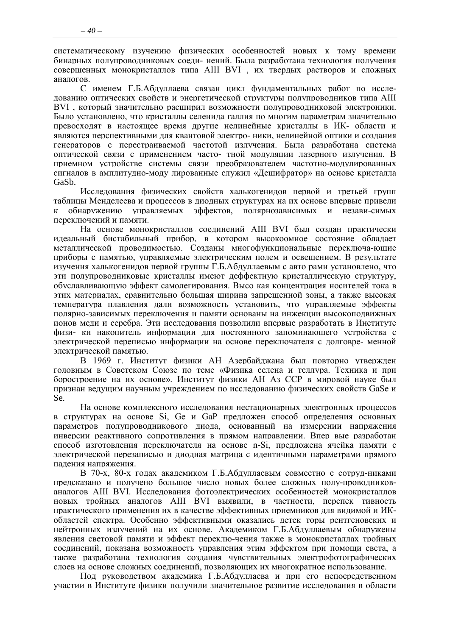систематическому изучению физических особенностей новых к тому времени бинарных полупроводниковых соеди- нений. Была разработана технология получения совершенных монокристаллов типа АIII ВVI , их твердых растворов и сложных аналогов.

С именем Г.Б.Абдуллаева связан цикл фундаментальных работ по исследованию оптических свойств и энергетической структуры полупроводников типа АIII ВVI , который значительно расширил возможности полупроводниковой электроники. Было установлено, что кристаллы селенида галлия по многим параметрам значительно превосходят в настоящее время другие нелинейные кристаллы в ИК- области и являются перспективными для квантовой электро- ники, нелинейной оптики и создания генераторов с перестраиваемой частотой излучения. Была разработана система оптической связи с применением часто- тной модуляции лазерного излучения. В приемном устройстве системы связи преобразователем частотно-модулированных сигналов в амплитудно-моду лированные служил «Дешифратор» на основе кристалла GaSb.

Исследования физических свойств халькогенидов первой и третьей групп таблицы Менделеева и процессов в диодных структурах на их основе впервые привели к обнаружению управляемых эффектов, полярнозависимых и незави-симых переключений и памяти.

На основе монокристаллов соединений АIII ВVI был создан практически идеальный бистабильный прибор, в котором высокоомное состояние обладает металлической проводимостью. Созданы многофункциональные переключа-ющие приборы с памятью, управляемые электрическим полем и освещением. В результате изучения халькогенидов первой группы Г.Б.Абдуллаевым с авто рами установлено, что эти полупроводниковые кристаллы имеют деффектную кристаллическую структуру, обуславливающую эффект самолегирования. Высо кая концентрация носителей тока в этих материалах, сравнительно большая ширина запрещенной зоны, а также высокая температура плавления дали возможность установить, что управляемые эффекты полярно-зависимых переключения и памяти основаны на инжекции высокоподвижных ионов меди и серебра. Эти исследования позволили впервые разработать в Институте физи- ки накопитель информации для постоянного запоминающего устройства с электрической переписью информации на основе переключателя с долговре- менной электрической памятью.

В 1969 г. Институт физики АН Азербайджана был повторно утвержден головным в Советском Союзе по теме «Физика селена и теллура. Техника и при боростроение на их основе». Институт физики АН Аз ССР в мировой науке был признан ведущим научным учреждением по исследованию физических свойств GaSe и Se.

На основе комплексного исследования нестационарных электронных процессов в структурах на основе Si, Ge и GaP предложен способ определения основных параметров полупроводникового диода, основанный на измерении напряжения инверсии реактивного сопротивления в прямом направлении. Впер вые разработан способ изготовления переключателя на основе n-Si, предложена ячейка памяти с электрической перезаписью и диодная матрица с идентичными параметрами прямого падения напряжения.

В 70-х, 80-х годах академиком Г.Б.Абдуллаевым совместно с сотруд-никами предсказано и получено большое число новых более сложных полу-проводникованалогов АIII ВVI. Исследования фотоэлектрических особенностей монокристаллов новых тройных аналогов АIII ВVI выявили, в частности, перспек тивность практического применения их в качестве эффективных приемников для видимой и ИКобластей спектра. Особенно эффективными оказались детек торы рентгеновских и нейтронных излучений на их основе. Академиком Г.Б.Абдуллаевым обнаружены явления световой памяти и эффект переклю-чения также в монокристаллах тройных соединений, показана возможность управления этим эффектом при помощи света, а также разработана технология создания чувствительных электрофотографических слоев на основе сложных соединений, позволяющих их многократное использование.

Под руководством академика Г.Б.Абдуллаева и при его непосредственном участии в Институте физики получили значительное развитие исследования в области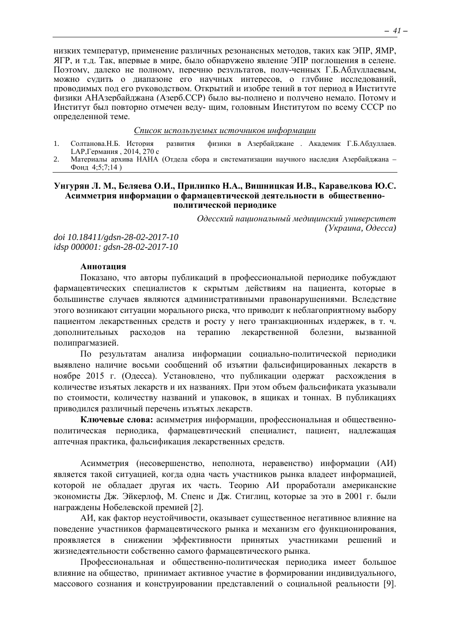низких температур, применение различных резонансных методов, таких как ЭПР, ЯМР, ЯГР, и т.д. Так, впервые в мире, было обнаружено явление ЭПР поглощения в селене. Поэтому, далеко не полному, перечню результатов, полу-ченных Г.Б.Абдуллаевым, можно судить о диапазоне его научных интересов, о глубине исследований, проводимых под его руководством. Открытий и изобре тений в тот период в Институте физики АНАзербайджана (Азерб.ССР) было вы-полнено и получено немало. Потому и Институт был повторно отмечен веду- щим, головным Институтом по всему СССР по определенной теме.

#### *Список используемых источников информации*

- 1. Солтанова.Н.Б. История развития физики в Азербайджане . Академик Г.Б.Абдуллаев. LAP,Германия , 2014, 270 с
- 2. Материалы архива НАНА (Отдела сбора и систематизации научного наследия Азербайджана Фонд 4;5;7;14 )

#### <span id="page-40-0"></span>**Унгурян Л. М., Беляева О.И., Прилипко Н.А., Вишницкая И.В., Каравелкова Ю.С. Асимметрия информации о фармацевтической деятельности в общественнополитической периодике**

*Одесский национальный медицинский университет (Украина, Одесса)*

*doi 10.18411/gdsn-28-02-2017-10 idsp 000001: gdsn-28-02-2017-10*

#### **Аннотация**

Показано, что авторы публикаций в профессиональной периодике побуждают фармацевтических специалистов к скрытым действиям на пациента, которые в большинстве случаев являются административными правонарушениями. Вследствие этого возникают ситуации морального риска, что приводит к неблагоприятному выбору пациентом лекарственных средств и росту у него транзакционных издержек, в т. ч. дополнительных расходов на терапию лекарственной болезни, вызванной полипрагмазией.

По результатам анализа информации социально-политической периодики выявлено наличие восьми сообщений об изъятии фальсифицированных лекарств в ноябре 2015 г. (Одесса). Установлено, что публикации одержат расхождения в количестве изъятых лекарств и их названиях. При этом объем фальсификата указывали по стоимости, количеству названий и упаковок, в ящиках и тоннах. В публикациях приводился различный перечень изъятых лекарств.

**Ключевые слова:** асимметрия информации, профессиональная и общественнополитическая периодика, фармацевтический специалист, пациент, надлежащая аптечная практика, фальсификация лекарственных средств.

Асимметрия (несовершенство, неполнота, неравенство) информации (АИ) является такой ситуацией, когда одна часть участников рынка владеет информацией, которой не обладает другая их часть. Теорию АИ проработали американские экономисты Дж. Эйкерлоф, М. Спенс и Дж. Стиглиц, которые за это в 2001 г. были награждены Нобелевской премией [2].

АИ, как фактор неустойчивости, оказывает существенное негативное влияние на поведение участников фармацевтического рынка и механизм его функционирования, проявляется в снижении эффективности принятых участниками решений и жизнедеятельности собственно самого фармацевтического рынка.

Профессиональная и общественно-политическая периодика имеет большое влияние на общество, принимает активное участие в формировании индивидуального, массового сознания и конструировании представлений о социальной реальности [9].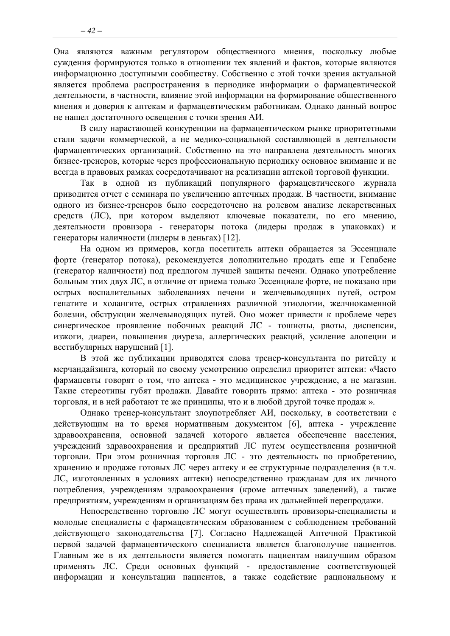Она являются важным регулятором общественного мнения, поскольку любые суждения формируются только в отношении тех явлений и фактов, которые являются информационно доступными сообществу. Собственно с этой точки зрения актуальной является проблема распространения в периодике информации о фармацевтической деятельности, в частности, влияние этой информации на формирование общественного мнения и доверия к аптекам и фармацевтическим работникам. Однако данный вопрос не нашел достаточного освещения с точки зрения АИ.

В силу нарастающей конкуренции на фармацевтическом рынке приоритетными стали задачи коммерческой, а не медико-социальной составляющей в деятельности фармацевтических организаций. Собственно на это направлена деятельность многих бизнес-тренеров, которые через профессиональную периодику основное внимание и не всегда в правовых рамках сосредотачивают на реализации аптекой торговой функции.

Так в одной из публикаций популярного фармацевтического журнала приводится отчет с семинара по увеличению аптечных продаж. В частности, внимание одного из бизнес-тренеров было сосредоточено на ролевом анализе лекарственных средств (ЛС), при котором выделяют ключевые показатели, по его мнению, деятельности провизора - генераторы потока (лидеры продаж в упаковках) и генераторы наличности (лидеры в деньгах) [12].

На одном из примеров, когда посетитель аптеки обращается за Эссенциале форте (генератор потока), рекомендуется дополнительно продать еще и Гепабене (генератор наличности) под предлогом лучшей защиты печени. Однако употребление больным этих двух ЛС, в отличие от приема только Эссенциале форте, не показано при острых воспалительных заболеваниях печени и желчевыводящих путей, остром гепатите и холангите, острых отравлениях различной этиологии, желчнокаменной болезни, обструкции желчевыводящих путей. Оно может привести к проблеме через синергическое проявление побочных реакций ЛС - тошноты, рвоты, диспепсии, изжоги, диареи, повышения диуреза, аллергических реакций, усиление алопеции и вестибулярных нарушений [1].

В этой же публикации приводятся слова тренер-консультанта по ритейлу и мерчандайзинга, который по своему усмотрению определил приоритет аптеки: «Часто фармацевты говорят о том, что аптека - это медицинское учреждение, а не магазин. Такие стереотипы губят продажи. Давайте говорить прямо: аптека - это розничная торговля, и в ней работают те же принципы, что и в любой другой точке продаж».

Однако тренер-консультант злоупотребляет АИ, поскольку, в соответствии с действующим на то время нормативным документом [6], аптека - учреждение здравоохранения, основной задачей которого является обеспечение населения, учреждений здравоохранения и предприятий ЛС путем осуществления розничной торговли. При этом розничная торговля ЛС - это деятельность по приобретению, хранению и продаже готовых ЛС через аптеку и ее структурные подразделения (в т.ч. ЛС, изготовленных в условиях аптеки) непосредственно гражданам для их личного потребления, учреждениям здравоохранения (кроме аптечных заведений), а также предприятиям, учреждениям и организациям без права их дальнейшей перепродажи.

Непосредственно торговлю ЛС могут осуществлять провизоры-специалисты и молодые специалисты с фармацевтическим образованием с соблюдением требований действующего законодательства [7]. Согласно Надлежащей Аптечной Практикой первой задачей фармацевтического специалиста является благополучие пациентов. Главным же в их деятельности является помогать пациентам наилучшим образом применять ЛС. Среди основных функций - предоставление соответствующей информации и консультации пациентов, а также содействие рациональному и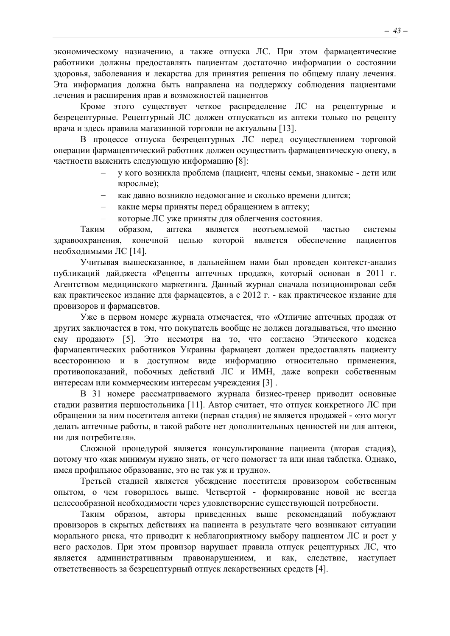экономическому назначению, а также отпуска ЛС. При этом фармацевтические работники должны предоставлять пациентам достаточно информации о состоянии здоровья, заболевания и лекарства для принятия решения по общему плану лечения. Эта информация должна быть направлена на поддержку соблюдения пациентами лечения и расширения прав и возможностей пациентов

Кроме этого существует четкое распределение ЛС на рецептурные и безрецептурные. Рецептурный ЛС должен отпускаться из аптеки только по рецепту врача и здесь правила магазинной торговли не актуальны [13].

В процессе отпуска безрецептурных ЛС перед осуществлением торговой операции фармацевтический работник должен осуществить фармацевтическую опеку, в частности выяснить следующую информацию [8]:

- у кого возникла проблема (пациент, члены семьи, знакомые дети или взрослые);
- как давно возникло недомогание и сколько времени длится;
- − какие меры приняты перед обращением в аптеку;
- которые ЛС уже приняты для облегчения состояния.

Таким образом, аптека является неотъемлемой частью системы здравоохранения, конечной целью которой является обеспечение пациентов необходимыми ЛС [14].

Учитывая вышесказанное, в дальнейшем нами был проведен контекст-анализ публикаций дайджеста «Рецепты аптечных продаж», который основан в 2011 г. Агентством медицинского маркетинга. Данный журнал сначала позиционировал себя как практическое издание для фармацевтов, а с 2012 г. - как практическое издание для провизоров и фармацевтов.

Уже в первом номере журнала отмечается, что «Отличие аптечных продаж от других заключается в том, что покупатель вообще не должен догадываться, что именно ему продают» [5]. Это несмотря на то, что согласно Этического кодекса фармацевтических работников Украины фармацевт должен предоставлять пациенту всестороннюю и в доступном виде информацию относительно применения, противопоказаний, побочных действий ЛС и ИМН, даже вопреки собственным интересам или коммерческим интересам учреждения [3] .

В 31 номере рассматриваемого журнала бизнес-тренер приводит основные стадии развития першостольника [11]. Автор считает, что отпуск конкретного ЛС при обращении за ним посетителя аптеки (первая стадия) не является продажей - «это могут делать аптечные работы, в такой работе нет дополнительных ценностей ни для аптеки, ни для потребителя».

Сложной процедурой является консультирование пациента (вторая стадия), потому что «как минимум нужно знать, от чего помогает та или иная таблетка. Однако, имея профильное образование, это не так уж и трудно».

Третьей стадией является убеждение посетителя провизором собственным опытом, о чем говорилось выше. Четвертой - формирование новой не всегда целесообразной необходимости через удовлетворение существующей потребности.

Таким образом, авторы приведенных выше рекомендаций побуждают провизоров в скрытых действиях на пациента в результате чего возникают ситуации морального риска, что приводит к неблагоприятному выбору пациентом ЛС и рост у него расходов. При этом провизор нарушает правила отпуск рецептурных ЛС, что является административным правонарушением, и как, следствие, наступает ответственность за безрецептурный отпуск лекарственных средств [4].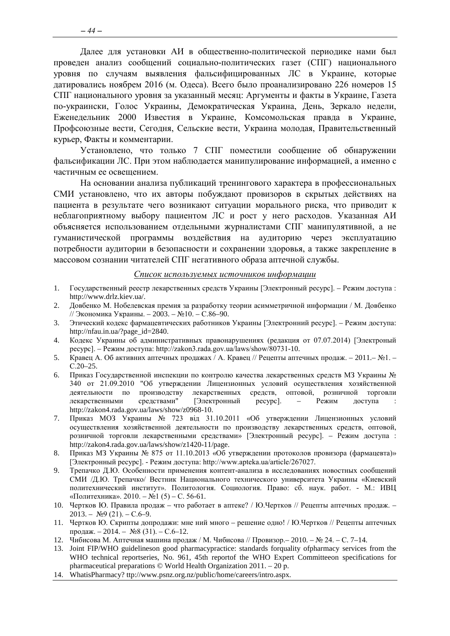Далее для установки АИ в общественно-политической периодике нами был проведен анализ сообщений социально-политических газет (СПГ) национального уровня по случаям выявления фальсифицированных ЛС в Украине, которые датировались ноябрем 2016 (м. Одеса). Всего было проанализировано 226 номеров 15 СПГ национального уровня за указанный месяц: Аргументы и факты в Украине, Газета по-украински, Голос Украины, Демократическая Украина, День, Зеркало недели, Еженедельник 2000 Известия в Украине, Комсомольская правда в Украине, Профсоюзные вести, Сегодня, Сельские вести, Украина молодая, Правительственный курьер, Факты и комментарии.

Установлено, что только 7 СПГ поместили сообщение об обнаружении фальсификации ЛС. При этом наблюдается манипулирование информацией, а именно с частичным ее освещением.

На основании анализа публикаций тренингового характера в профессиональных СМИ установлено, что их авторы побуждают провизоров в скрытых действиях на пациента в результате чего возникают ситуации морального риска, что приводит к неблагоприятному выбору пациентом ЛС и рост у него расходов. Указанная АИ объясняется использованием отдельными журналистами СПГ манипулятивной, а не гуманистической программы воздействия на аудиторию через эксплуатацию потребности аудитории в безопасности и сохранении здоровья, а также закрепление в массовом сознании читателей СПГ негативного образа аптечной службы.

#### *Список используемых источников информации*

- 1. Государственный реестр лекарственных средств Украины [Электронный ресурс]. Режим доступа : http://www.drlz.kiev.ua/.
- 2. Довбенко М. Нобелевская премия за разработку теории асимметричной информации / М. Довбенко // Экономика Украины. – 2003. – №10. – С.86–90.
- 3. Этический кодекс фармацевтических работников Украины [Электронний ресурс]. Режим доступа: http://nfau.in.ua/?page\_id=2840.
- 4. Кодекс Украины об административных правонарушениях (редакция от 07.07.2014) [Электроный ресурс]. – Режим доступа: http://zakon3.rada.gov.ua/laws/show/80731-10.
- 5. Кравец А. Об активних аптечных продажах / А. Кравец // Рецепты аптечных продаж. 2011.– №1. С.20–25.
- 6. Приказ Государственной инспекции по контролю качества лекарственных средств МЗ Украины № 340 от 21.09.2010 "Об утверждении Лицензионных условий осуществления хозяйственной деятельности по производству лекарственных средств, оптовой, розничной торговли лекарственными средствами" [Электронный ресурс]. - Режим доступа : лекарственными средствами" [Электронный ресурс]. – Режим доступа : http://zakon4.rada.gov.ua/laws/show/z0968-10.
- 7. Приказ МОЗ Украины № 723 від 31.10.2011 «Об утверждении Лицензионных условий осуществления хозяйственной деятельности по производству лекарственных средств, оптовой, розничной торговли лекарственными средствами» [Электронный ресурс]. – Режим доступа : http://zakon4.rada.gov.ua/laws/show/z1420-11/page.
- 8. Приказ МЗ Украины № 875 от 11.10.2013 «Об утверждении протоколов провизора (фармацевта)» [Электронный ресурс]. - Режим доступа: http://www.apteka.ua/article/267027.
- 9. Трепачко Д.Ю. Особенности применения контент-анализа в исследованиях новостных сообщений СМИ /Д.Ю. Трепачко/ Вестник Национального технического университета Украины «Киевский политехнический институт». Политология. Социология. Право: сб. наук. работ. - М.: ИВЦ «Политехника». 2010. – №1 (5) – С. 56-61.
- 10. Чертков Ю. Правила продаж что работает в аптеке? / Ю.Чертков // Рецепты аптечных продаж.  $2013. - N99(21) - C.6-9.$
- 11. Чертков Ю. Скрипты допродажи: мне ний много решение одно! / Ю.Чертков // Рецепты аптечных продаж. – 2014. – №8 (31). – С.6–12.
- 12. Чибисова М. Аптечная машина продаж / М. Чибисова // Провизор.– 2010. № 24. С. 7–14.
- 13. Joint FIP/WHO guidelineson good pharmacypractice: standards forquality ofpharmacy services from the WHO technical reportseries, No. 961, 45th reportof the WHO Expert Committeeon specifications for pharmaceutical preparations © World Health Organization 2011. – 20 р.
- 14. WhatisPharmacy? ttp://www.psnz.org.nz/public/home/careers/intro.aspx.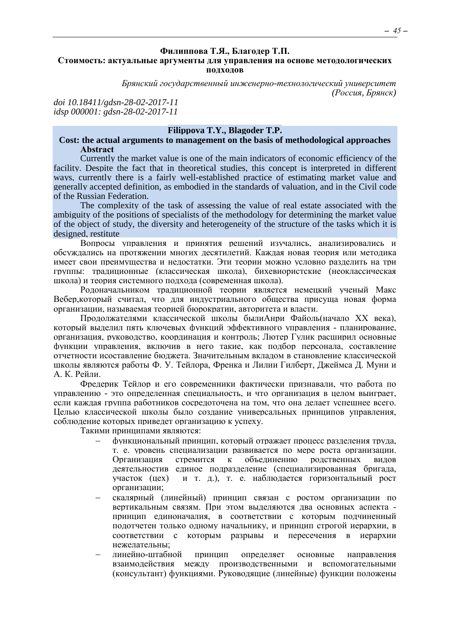#### <span id="page-44-0"></span>**Филиппова Т.Я., Благодер Т.П. Стоимость: актуальные аргументы для управления на основе методологических подходов**

*Брянский государственный инженерно-технологический университет (Россия, Брянск)*

*doi 10.18411/gdsn-28-02-2017-11 idsp 000001: gdsn-28-02-2017-11*

#### **Filippova T.Y., Blagoder T.P.**

#### **Cost: the actual arguments to management on the basis of methodological approaches Аbstract**

Currently the market value is one of the main indicators of economic efficiency of the facility. Despite the fact that in theoretical studies, this concept is interpreted in different ways, currently there is a fairly well-established practice of estimating market value and generally accepted definition, as embodied in the standards of valuation, and in the Civil code of the Russian Federation.

The complexity of the task of assessing the value of real estate associated with the ambiguity of the positions of specialists of the methodology for determining the market value of the object of study, the diversity and heterogeneity of the structure of the tasks which it is designed, restitute

Вопросы управления и принятия решений изучались, анализировались и обсуждались на протяжении многих десятилетий. Каждая новая теория или методика имеет свои преимущества и недостатки. Эти теории можно условно разделить на три группы: традиционные (классическая школа), бихевиористские (неоклассическая школа) и теория системного подхода (современная школа).

Родоначальником традиционной теории является немецкий ученый Макс Вебер,который считал, что для индустриального общества присуща новая форма организации, называемая теорией бюрократии, авторитета и власти.

Продолжателями классической школы былиАнри Файоль(начало XX века), который выделил пять ключевых функций эффективного управления - планирование, организация, руководство, координация и контроль; Лютер Гулик расширил основные функции управления, включив в него такие, как подбор персонала, составление отчетности исоставление бюджета. Значительным вкладом в становление классической школы являются работы Ф. У. Тейлора, Френка и Лилии Гилберт, Джеймса Д. Муни и А. К. Рейли.

Фредерик Тейлор и его современники фактически признавали, что работа по управлению - это определенная специальность, и что организация в целом выиграет, если каждая группа работников сосредоточена на том, что она делает успешнее всего. Целью классической школы было создание универсальных принципов управления, соблюдение которых приведет организацию к успеху.

Такими принципами являются:

- − функциональный принцип, который отражает процесс разделения труда, т. е. уровень специализации развивается по мере роста организации. Организация стремится к объединению родственных видов деятельностив единое подразделение (специализированная бригада, участок (цех) и т. д.), т. е. наблюдается горизонтальный рост организации;
- скалярный (линейный) принцип связан с ростом организации по вертикальным связям. При этом выделяются два основных аспекта принцип единоначалия, в соответствии с которым подчиненный подотчетен только одному начальнику, и принцип строгой иерархии, в соответствии с которым разрывы и пересечения в иерархии нежелательны;
- линейно-штабной принцип определяет основные направления взаимодействия между производственными и вспомогательными (консультант) функциями. Руководящие (линейные) функции положены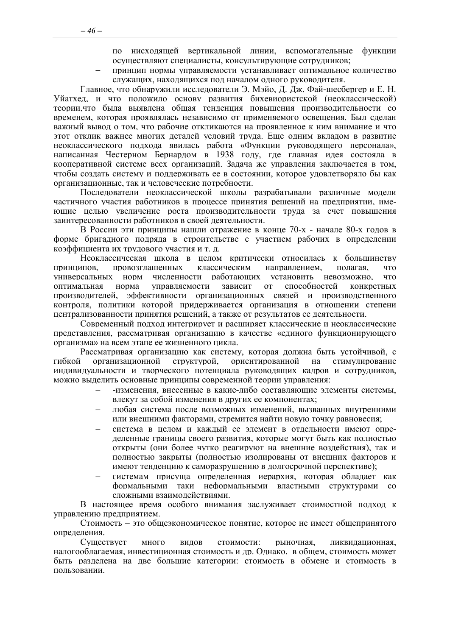по нисходящей вертикальной линии, вспомогательные функции осуществляют специалисты, консультирующие сотрудников;

принцип нормы управляемости устанавливает оптимальное количество служаних, нахолянихся пол началом олного руковолителя.

Главное, что обнаружили исследователи Э. Мэйо, Л. Лж. Фай-шесбергер и Е. Н. Уйатхед, и что положило основу развития бихевиористской (неоклассической) теории, что была выявлена общая тенденция повышения производительности со временем, которая проявлялась независимо от применяемого освещения. Был сделан важный вывод о том, что рабочие откликаются на проявленное к ним внимание и что этот отклик важнее многих деталей условий труда. Еще одним вкладом в развитие неоклассического подхода явилась работа «Функции руководящего персонала», написанная Честерном Бернардом в 1938 году, где главная идея состояла в кооперативной системе всех организаций. Задача же управления заключается в том, чтобы создать систему и поддерживать ее в состоянии, которое удовлетворяло бы как организационные, так и человеческие потребности.

Последователи неоклассической школы разрабатывали различные модели частичного участия работников в процессе принятия решений на предприятии, имеющие целью увеличение роста производительности труда за счет повышения заинтересованности работников в своей деятельности.

В России эти принципы нашли отражение в конце 70-х - начале 80-х годов в форме бригадного подряда в строительстве с участием рабочих в определении коэффициента их трудового участия и т. д.

Неоклассическая школа в целом критически относилась к большинству принципов. провозглашенных классическим направлением. полагая. что численности работающих установить невозможно, что универсальных норм оптимальная норма управляемости зависит  $\overline{0}$ способностей конкретных производителей, эффективности организационных связей и производственного контроля, политики которой придерживается организация в отношении степени централизованности принятия решений, а также от результатов ее деятельности.

Современный подход интегрирует и расширяет классические и неоклассические представления, рассматривая организацию в качестве «единого функционирующего организма» на всем этапе ее жизненного цикла.

Рассматривая организацию как систему, которая должна быть устойчивой, с организационной структурой, ориентированной на стимулирование гибкой индивидуальности и творческого потенциала руководящих кадров и сотрудников. можно выделить основные принципы современной теории управления:

- -изменения, внесенные в какие-либо составляющие элементы системы. влекут за собой изменения в других ее компонентах;
- любая система после возможных изменений, вызванных внутренними или внешними факторами, стремится найти новую точку равновесия:
- система в целом и каждый ее элемент в отдельности имеют определенные границы своего развития, которые могут быть как полностью открыты (они более чутко реагируют на внешние возлействия), так и полностью закрыты (полностью изолированы от внешних факторов и имеют тенденцию к саморазрушению в долгосрочной перспективе);
- системам присуща определенная иерархия, которая обладает как формальными таки неформальными властными структурами  $\rm{co}$ сложными взаимодействиями.

В настоящее время особого внимания заслуживает стоимостной подход к управлению предприятием.

Стоимость – это общеэкономическое понятие, которое не имеет общепринятого определения.

Сушествует МНОГО вилов стоимости: рыночная. ликвиланионная. налогооблагаемая, инвестиционная стоимость и др. Однако, в общем, стоимость может быть разделена на две большие категории: стоимость в обмене и стоимость в пользовании.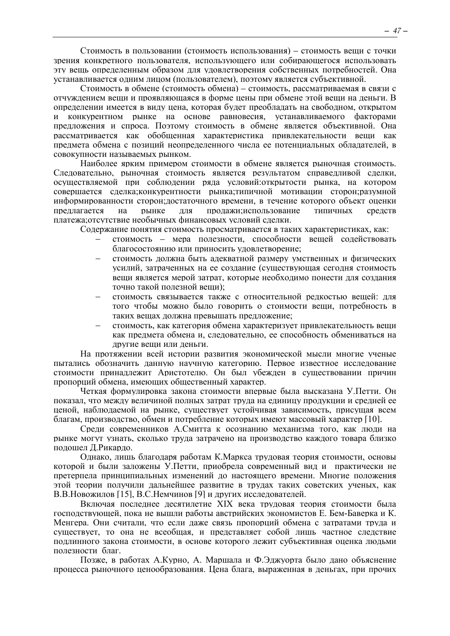Стоимость в пользовании (стоимость использования) - стоимость веши с точки зрения конкретного пользователя, использующего или собирающегося использовать эту вещь определенным образом для удовлетворения собственных потребностей. Она устанавливается одним лицом (пользователем), поэтому является субъективной.

Стоимость в обмене (стоимость обмена) - стоимость, рассматриваемая в связи с отчуждением вещи и проявляющаяся в форме цены при обмене этой вещи на деньги. В определении имеется в виду цена, которая будет преобладать на свободном, открытом конкурентном рынке на основе равновесия устанавливаемого факторами  $\overline{M}$ предложения и спроса. Поэтому стоимость в обмене является объективной. Она рассматривается как обобщенная характеристика привлекательности вещи как предмета обмена с позиций неопределенного числа ее потенциальных обладателей, в совокупности называемых рынком.

Наиболее ярким примером стоимости в обмене является рыночная стоимость. Следовательно, рыночная стоимость является результатом справедливой сделки, осуществляемой при соблюдении ряда условий: открытости рынка, на котором совершается сделка; конкурентности рынка; типичной мотивации сторон; разумной информированности сторон; достаточного времени, в течение которого объект оценки предлагается на рынке для продажи;использование **ТИПИЧНЫХ** средств платежа; отсутствие необычных финансовых условий сделки.

Содержание понятия стоимость просматривается в таких характеристиках, как:

- стоимость мера полезности, способности вешей содействовать благосостоянию или приносить удовлетворение;
- стоимость должна быть адекватной размеру умственных и физических усилий, затраченных на ее создание (существующая сегодня стоимость вещи является мерой затрат, которые необходимо понести для создания точно такой полезной веши):
- стоимость связывается также с относительной редкостью вещей: для того чтобы можно было говорить о стоимости вещи, потребность в таких вешах лолжна превышать предложение:
- стоимость, как категория обмена характеризует привлекательность вещи как предмета обмена и, следовательно, ее способность обмениваться на другие вещи или деньги.

На протяжении всей истории развития экономической мысли многие ученые пытались обозначить данную научную категорию. Первое известное исследование стоимости принадлежит Аристотелю. Он был убежден в существовании причин пропорций обмена, имеющих общественный характер.

Четкая формулировка закона стоимости впервые была высказана У.Петти. Он показал, что между величиной полных затрат труда на единицу продукции и средней ее ценой, наблюдаемой на рынке, существует устойчивая зависимость, присущая всем благам, произволство, обмен и потребление которых имеют массовый характер [10].

Среди современников А.Смитта к осознанию механизма того, как люди на рынке могут узнать, сколько труда затрачено на производство каждого товара близко полошел Д.Рикардо.

Однако, лишь благодаря работам К. Маркса трудовая теория стоимости, основы которой и были заложены У.Петти, приобрела современный вид и практически не претерпела принципиальных изменений до настоящего времени. Многие положения этой теории получили дальнейшее развитие в трудах таких советских ученых, как В.В. Новожилов [15], В.С. Немчинов [9] и других исследователей.

Включая последнее десятилетие XIX века трудовая теория стоимости была господствующей, пока не вышли работы австрийских экономистов Е. Бем-Баверка и К. Менгера. Они считали, что если даже связь пропорций обмена с затратами труда и существует, то она не всеобщая, и представляет собой лишь частное следствие подлинного закона стоимости, в основе которого лежит субъективная оценка людьми полезности благ.

Позже, в работах А.Курно, А. Маршала и Ф.Эджуорта было дано объяснение процесса рыночного ценообразования. Цена блага, выраженная в деньгах, при прочих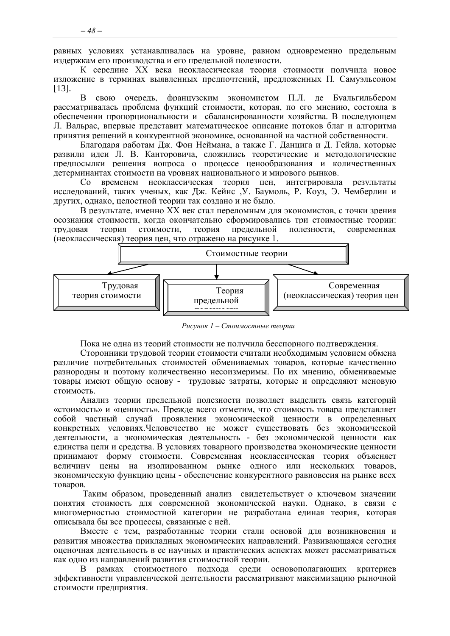равных условиях устанавливалась на уровне, равном одновременно предельным издержкам его производства и его предельной полезности.

К середине XX века неоклассическая теория стоимости получила новое изложение в терминах выявленных предпочтений, предложенных П. Самуэльсоном  $[13]$ .

В свою очередь, французским экономистом П.Л. де Буальгильбером рассматривалась проблема функций стоимости, которая, по его мнению, состояла в обеспечении пропоршиональности и сбалансированности хозяйства. В послелующем Л. Вальрас, впервые представит математическое описание потоков благ и алгоритма принятия решений в конкурентной экономике, основанной на частной собственности.

Благодаря работам Дж. Фон Неймана, а также Г. Данцига и Д. Гейла, которые развили идеи Л. В. Канторовича, сложились теоретические и методологические предпосылки решения вопроса о процессе ценообразования и количественных детерминантах стоимости на уровнях национального и мирового рынков.

Со временем неоклассическая теория цен, интегрировала результаты исследований, таких ученых, как Дж. Кейнс У. Баумоль, Р. Коуз, Э. Чемберлин и других, однако, целостной теории так создано и не было.

В результате, именно XX век стал переломным для экономистов, с точки зрения осознания стоимости, когда окончательно сформировались три стоимостные теории: **TDVJIORAS** теория стоимости. теория прелельной полезности. современная (неоклассическая) теория цен, что отражено на рисунке 1.



Рисунок 1 – Стоимостные теории

Пока не олна из теорий стоимости не получила бесспорного полтвержления.

Сторонники трудовой теории стоимости считали необходимым условием обмена различие потребительных стоимостей обмениваемых товаров, которые качественно разнородны и поэтому количественно несоизмеримы. По их мнению, обмениваемые товары имеют общую основу - трудовые затраты, которые и определяют меновую стоимость.

Анализ теории предельной полезности позволяет выделить связь категорий «стоимость» и «ценность». Прежде всего отметим, что стоимость товара представляет собой частный случай проявления экономической ценности в определенных конкретных условиях. Человечество не может существовать без экономической деятельности, а экономическая деятельность - без экономической ценности как единства цели и средства. В условиях товарного производства экономические ценности принимают форму стоимости. Современная неоклассическая теория объясняет величину цены на изолированном рынке одного или нескольких товаров, экономическую функцию цены - обеспечение конкурентного равновесия на рынке всех **TOB2DOB** 

Таким образом, проведенный анализ свидетельствует о ключевом значении понятия стоимость для современной экономической науки. Однако, в связи с многомерностью стоимостной категории не разработана единая теория, которая описывала бы все процессы, связанные с ней.

Вместе с тем, разработанные теории стали основой для возникновения и развития множества прикладных экономических направлений. Развивающаяся сегодня оценочная деятельность в ее научных и практических аспектах может рассматриваться как олно из направлений развития стоимостной теории.

 $\mathbf{B}$ рамках стоимостного подхода среди основополагающих критериев эффективности управленческой деятельности рассматривают максимизацию рыночной стоимости предприятия.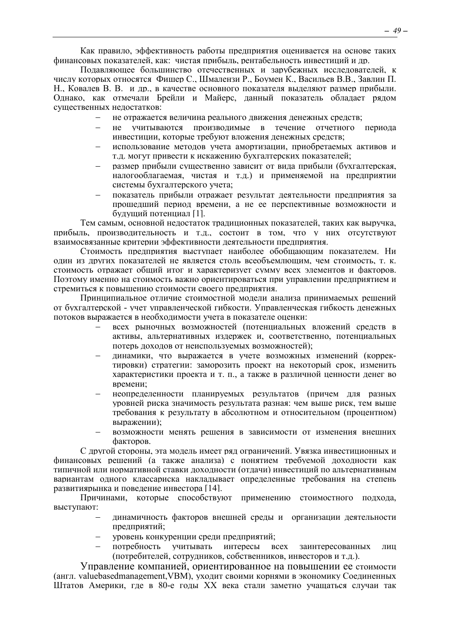Как правило, эффективность работы предприятия оценивается на основе таких финансовых показателей, как: чистая прибыль, рентабельность инвестиций и др.

Подавляющее большинство отечественных и зарубежных исследователей, к числу которых относятся Фишер С., Шмалензи Р., Боумен К., Васильев В.В., Завлин П. Н., Ковалев В. В. и др., в качестве основного показателя выделяют размер прибыли. Однако, как отмечали Брейли и Майерс, данный показатель обладает рядом существенных недостатков:

- не отражается величина реального движения денежных средств;
- не учитываются производимые в течение отчетного периода инвестиции, которые требуют вложения денежных средств;
- использование методов учета амортизации, приобретаемых активов и т.д. могут привести к искажению бухгалтерских показателей;
- размер прибыли существенно зависит от вида прибыли (бухгалтерская, налогооблагаемая, чистая и т.д.) и применяемой на предприятии системы бухгалтерского учета;
- показатель прибыли отражает результат деятельности предприятия за прошедший период времени, а не ее перспективные возможности и будущий потенциал [1].

Тем самым, основной недостаток традиционных показателей, таких как выручка, прибыль, производительность и т.д., состоит в том, что у них отсутствуют взаимосвязанные критерии эффективности деятельности предприятия.

Стоимость предприятия выступает наиболее обобщающим показателем. Ни один из других показателей не является столь всеобъемлющим, чем стоимость, т. к. стоимость отражает общий итог и характеризует сумму всех элементов и факторов. Поэтому именно на стоимость важно ориентироваться при управлении предприятием и стремиться к повышению стоимости своего предприятия.

Принципиальное отличие стоимостной модели анализа принимаемых решений от бухгалтерской - учет управленческой гибкости. Управленческая гибкость денежных потоков выражается в необходимости учета в показателе оценки:

- всех рыночных возможностей (потенциальных вложений средств в активы, альтернативных издержек и, соответственно, потенциальных потерь доходов от неиспользуемых возможностей);
- динамики, что выражается в учете возможных изменений (корректировки) стратегии: заморозить проект на некоторый срок, изменить характеристики проекта и т. п., а также в различной ценности денег во времени;
- неопределенности планируемых результатов (причем для разных уровней риска значимость результата разная: чем выше риск, тем выше требования к результату в абсолютном и относительном (процентном) выражении);
- возможности менять решения в зависимости от изменения внешних факторов.

С другой стороны, эта модель имеет ряд ограничений. Увязка инвестиционных и финансовых решений (а также анализа) с понятием требуемой доходности как типичной или нормативной ставки доходности (отдачи) инвестиций по альтернативным вариантам одного классариска накладывает определенные требования на степень развитиярынка и поведение инвестора [14].

Причинами, которые способствуют применению стоимостного подхода, выступают:

- динамичность факторов внешней среды и организации деятельности предприятий;
- уровень конкуренции среди предприятий;
- потребность учитывать интересы всех заинтересованных лиц (потребителей, сотрудников, собственников, инвесторов и т.д.).

Управление компанией, ориентированное на повышении ее стоимости (англ. valuebasedmanagement,VBM), уходит своими корнями в экономику Соединенных Штатов Америки, где в 80-е годы XX века стали заметно учащаться случаи так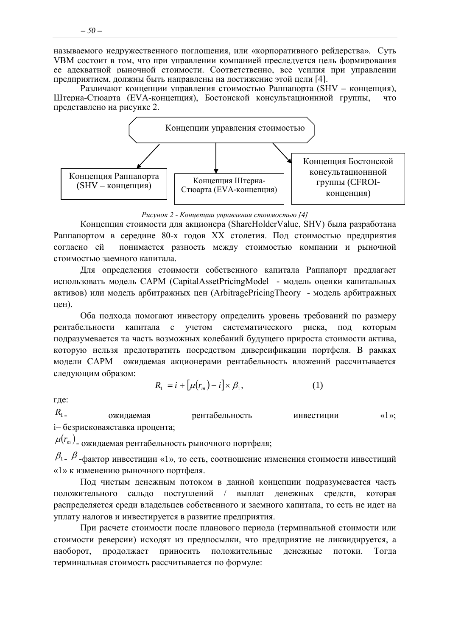называемого недружественного поглощения, или «корпоративного рейдерства». Суть VBM состоит в том, что при управлении компанией преследуется цель формирования ее адекватной рыночной стоимости. Соответственно, все усилия при управлении предприятием, должны быть направлены на достижение этой цели [4].

Различают концепции управления стоимостью Раппапорта (SHV - концепция). Штерна-Стюарта (EVA-концепция), Бостонской консультационнной группы, ЧТО представлено на рисунке 2.



Рисунок 2 - Концепции управления стоимостью [4]

Концепция стоимости для акционера (ShareHolderValue, SHV) была разработана Раппапортом в середине 80-х годов XX столетия. Под стоимостью предприятия согласно ей понимается разность между стоимостью компании и рыночной стоимостью заемного капитала.

Для определения стоимости собственного капитала Раппапорт предлагает использовать модель CAPM (CapitalAssetPricingModel - модель оценки капитальных активов) или модель арбитражных цен (ArbitragePricingTheory - модель арбитражных цен).

Оба подхода помогают инвестору определить уровень требований по размеру капитала с учетом систематического риска, рентабельности пол которым подразумевается та часть возможных колебаний будущего прироста стоимости актива, которую нельзя предотвратить посредством диверсификации портфеля. В рамках модели САРМ ожидаемая акционерами рентабельность вложений рассчитывается следующим образом:

$$
R_1 = i + \left[\mu(r_m) - i\right] \times \beta_1,\tag{1}
$$

где:

 $R_{1}$ ожидаемая рентабельность инвестиции  $\langle \langle 1 \rangle \rangle$ : і- безрисковаяставка процента;

 $\mu(r_m)$ - ожидаемая рентабельность рыночного портфеля;

 $\beta_1$ .  $\beta$ -фактор инвестиции «1», то есть, соотношение изменения стоимости инвестиций «1» к изменению рыночного портфеля.

Под чистым денежным потоком в данной концепции подразумевается часть положительного сальдо поступлений / выплат денежных средств, которая распределяется среди владельцев собственного и заемного капитала, то есть не идет на уплату налогов и инвестируется в развитие предприятия.

При расчете стоимости после планового периода (терминальной стоимости или стоимости реверсии) исходят из предпосылки, что предприятие не ликвидируется, а продолжает приносить положительные денежные наоборот. потоки. Тогла терминальная стоимость рассчитывается по формуле: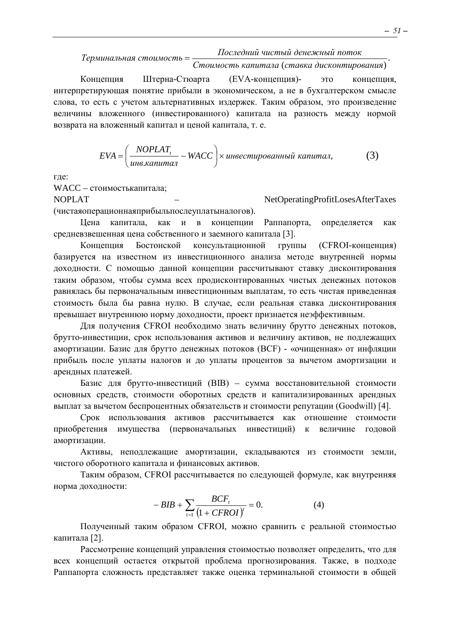# Последний чистый денежный поток

Терминальная стоимость = Стоимость капитала (ставка дисконтирования)

Концепция Штерна-Стюарта (ЕVА-концепция)это концепция. интерпретирующая понятие прибыли в экономическом, а не в бухгалтерском смысле слова, то есть с учетом альтернативных издержек. Таким образом, это произведение величины вложенного (инвестированного) капитала на разность между нормой возврата на вложенный капитал и ценой капитала, т. е.

$$
EVA = \left(\frac{NOPLAT_t}{u_{H6.Kanumaa}} - WACC\right) \times u_{H6} \times u_{H8} \times u_{H8} \times u_{H8} \times u_{H8} \times u_{H8} \times u_{H9} \tag{3}
$$

где:

WACC - стоимостькапитала:

**NOPLAT** NetOperatingProfitLosesAfterTaxes (чистаяоперационнаяприбыльпослеуплатыналогов).

Пена капитала, как и в концепции Раппапорта, определяется как средневзвешенная цена собственного и заемного капитала [3].

Концепция Бостонской консультационной группы (СFROI-конценция) базируется на известном из инвестиционного анализа методе внутренней нормы доходности. С помощью данной концепции рассчитывают ставку дисконтирования таким образом, чтобы сумма всех продисконтированных чистых денежных потоков равнялась бы первоначальным инвестиционным выплатам, то есть чистая приведенная стоимость была бы равна нулю. В случае, если реальная ставка дисконтирования превышает внутреннюю норму доходности, проект признается неэффективным.

Для получения CFROI необходимо знать величину брутто денежных потоков, брутто-инвестиции, срок использования активов и величину активов, не подлежащих амортизации. Базис для брутто денежных потоков (ВСF) - «очищенная» от инфляции прибыль после уплаты налогов и до уплаты процентов за вычетом амортизации и арендных платежей.

Базис для брутто-инвестиций (BIB) - сумма восстановительной стоимости основных средств, стоимости оборотных средств и капитализированных арендных выплат за вычетом беспроцентных обязательств и стоимости репутации (Goodwill) [4].

Срок использования активов рассчитывается как отношение стоимости приобретения имущества (первоначальных инвестиций) к величине годовой амортизации.

Активы, неподлежащие амортизации, складываются из стоимости земли, чистого оборотного капитала и финансовых активов.

Таким образом, CFROI рассчитывается по следующей формуле, как внутренняя норма доходности:

$$
-BIB + \sum_{t=1}^{BCF} \frac{BCF_t}{(1 + CFROI)^t} = 0.
$$
 (4)

Полученный таким образом CFROI, можно сравнить с реальной стоимостью капитала [2].

Рассмотрение концепций управления стоимостью позволяет определить, что для всех концепций остается открытой проблема прогнозирования. Также, в подходе Раппапорта сложность представляет также оценка терминальной стоимости в общей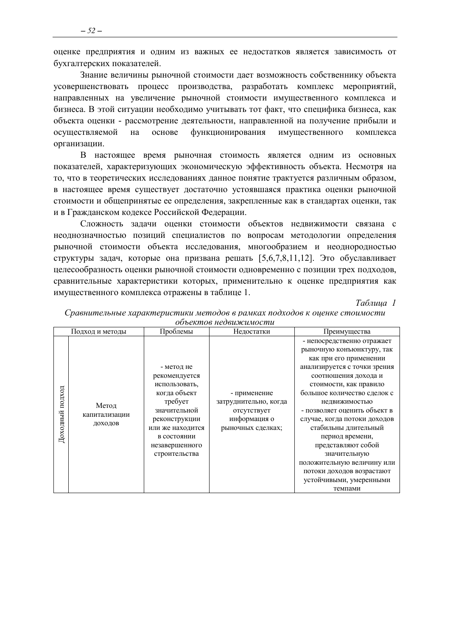оценке предприятия и одним из важных ее недостатков является зависимость от бухгалтерских показателей.

Знание величины рыночной стоимости дает возможность собственнику объекта усовершенствовать процесс производства, разработать комплекс мероприятий, направленных на увеличение рыночной стоимости имущественного комплекса и бизнеса. В этой ситуации необходимо учитывать тот факт, что специфика бизнеса, как объекта оценки - рассмотрение деятельности, направленной на получение прибыли и основе функционирования имушественного осушествляемой на комплекса организации.

В настоящее время рыночная стоимость является одним из основных показателей, характеризующих экономическую эффективность объекта. Несмотря на то, что в теоретических исследованиях данное понятие трактуется различным образом. в настоящее время существует достаточно устоявшаяся практика оценки рыночной стоимости и общепринятые ее определения, закрепленные как в стандартах оценки, так и в Гражданском кодексе Российской Федерации.

Сложность залачи оценки стоимости объектов нелвижимости связана с неоднозначностью позиций специалистов по вопросам методологии определения рыночной стоимости объекта исследования, многообразием и неоднородностью структуры задач, которые она призвана решать [5,6,7,8,11,12]. Это обуславливает нелесообразность оценки рыночной стоимости одновременно с позиции трех подходов. сравнительные характеристики которых, применительно к оценке предприятия как имущественного комплекса отражены в таблице 1.

Таблина 1

| <i>oo ockmoo ncoodmaanooma</i>                          |                                                                                                                                                                                |                                                                                           |                                                                                                                                                                                                                                                                                                                                                                                                                                                                       |  |  |  |  |
|---------------------------------------------------------|--------------------------------------------------------------------------------------------------------------------------------------------------------------------------------|-------------------------------------------------------------------------------------------|-----------------------------------------------------------------------------------------------------------------------------------------------------------------------------------------------------------------------------------------------------------------------------------------------------------------------------------------------------------------------------------------------------------------------------------------------------------------------|--|--|--|--|
| Подход и методы                                         | Проблемы                                                                                                                                                                       | Недостатки                                                                                | Преимущества                                                                                                                                                                                                                                                                                                                                                                                                                                                          |  |  |  |  |
| подход<br>Метод<br>Доходный<br>капитализации<br>доходов | - метод не<br>рекомендуется<br>использовать,<br>когда объект<br>требует<br>значительной<br>реконструкции<br>или же находится<br>в состоянии<br>незавершенного<br>строительства | - применение<br>затруднительно, когда<br>отсутствует<br>информация о<br>рыночных сделках; | - непосредственно отражает<br>рыночную конъюнктуру, так<br>как при его применении<br>анализируется с точки зрения<br>соотношения дохода и<br>стоимости, как правило<br>большое количество сделок с<br>недвижимостью<br>- позволяет оценить объект в<br>случае, когда потоки доходов<br>стабильны длительный<br>период времени,<br>представляют собой<br>значительную<br>положительную величину или<br>потоки доходов возрастают<br>устойчивыми, умеренными<br>темпами |  |  |  |  |

Сравнительные характеристики методов в рамках подходов к оиенке стоимости объектов недвижимости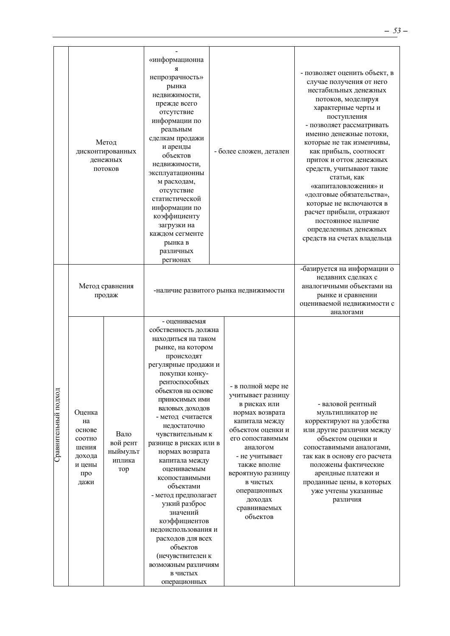|                      |                                                                              | Метод<br>дисконтированных<br>денежных<br>потоков | «информационна<br>Я<br>непрозрачность»<br>рынка<br>недвижимости,<br>прежде всего<br>отсутствие<br>информации по<br>реальным<br>сделкам продажи<br>и аренды<br>объектов<br>недвижимости,<br>эксплуатационны<br>м расходам,<br>отсутствие<br>статистической<br>информации по<br>коэффициенту<br>загрузки на<br>каждом сегменте<br>рынка в<br>различных<br>регионах                                                                                                                                                                                                                                   |  | - более сложен, детален                                                                                                                                                                                                                                                     | - позволяет оценить объект, в<br>случае получения от него<br>нестабильных денежных<br>потоков, моделируя<br>характерные черты и<br>поступления<br>- позволяет рассматривать<br>именно денежные потоки,<br>которые не так изменчивы,<br>как прибыль, соотносят<br>приток и отток денежных<br>средств, учитывают такие<br>статьи, как<br>«капиталовложения» и<br>«долговые обязательства»,<br>которые не включаются в<br>расчет прибыли, отражают<br>постоянное наличие<br>определенных денежных<br>средств на счетах владельца |
|----------------------|------------------------------------------------------------------------------|--------------------------------------------------|----------------------------------------------------------------------------------------------------------------------------------------------------------------------------------------------------------------------------------------------------------------------------------------------------------------------------------------------------------------------------------------------------------------------------------------------------------------------------------------------------------------------------------------------------------------------------------------------------|--|-----------------------------------------------------------------------------------------------------------------------------------------------------------------------------------------------------------------------------------------------------------------------------|-------------------------------------------------------------------------------------------------------------------------------------------------------------------------------------------------------------------------------------------------------------------------------------------------------------------------------------------------------------------------------------------------------------------------------------------------------------------------------------------------------------------------------|
|                      |                                                                              | Метод сравнения<br>продаж                        | -наличие развитого рынка недвижимости                                                                                                                                                                                                                                                                                                                                                                                                                                                                                                                                                              |  |                                                                                                                                                                                                                                                                             | -базируется на информации о<br>недавних сделках с<br>аналогичными объектами на<br>рынке и сравнении<br>оцениваемой недвижимости с<br>аналогами                                                                                                                                                                                                                                                                                                                                                                                |
| Сравнительный подход | Оценка<br>на<br>основе<br>соотно<br>шения<br>дохода<br>и цены<br>про<br>дажи | Вало<br>вой рент<br>ныймульт<br>иплика<br>тор    | - оцениваемая<br>собственность должна<br>находиться на таком<br>рынке, на котором<br>происходят<br>регулярные продажи и<br>покупки конку-<br>рентоспособных<br>объектов на основе<br>приносимых ими<br>валовых доходов<br>- метод считается<br>недостаточно<br>чувствительным к<br>разнице в рисках или в<br>нормах возврата<br>капитала между<br>оцениваемым<br>ксопоставимыми<br>объектами<br>- метод предполагает<br>узкий разброс<br>значений<br>коэффициентов<br>недоиспользования и<br>расходов для всех<br>объектов<br>(нечувствителен к<br>возможным различиям<br>в чистых<br>операционных |  | - в полной мере не<br>учитывает разницу<br>в рисках или<br>нормах возврата<br>капитала между<br>объектом оценки и<br>его сопоставимым<br>аналогом<br>- не учитывает<br>также вполне<br>вероятную разницу<br>в чистых<br>операционных<br>доходах<br>сравниваемых<br>объектов | - валовой рентный<br>мультипликатор не<br>корректируют на удобства<br>или другие различия между<br>объектом оценки и<br>сопоставимыми аналогами,<br>так как в основу его расчета<br>положены фактические<br>арендные платежи и<br>проданные цены, в которых<br>уже учтены указанные<br>различия                                                                                                                                                                                                                               |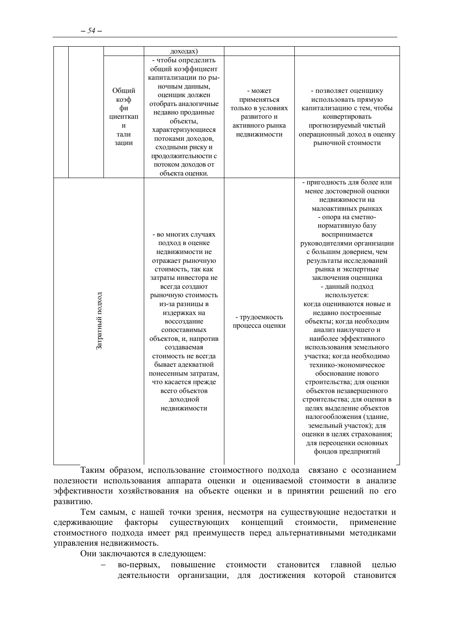|                  |                                                       | доходах)                                                                                                                                                                                                                                                                                                                                                                                                                |                                                                                               |                                                                                                                                                                                                                                                                                                                                                                                                                                                                                                                                                                                                                                                                                                                                                                                                                                      |
|------------------|-------------------------------------------------------|-------------------------------------------------------------------------------------------------------------------------------------------------------------------------------------------------------------------------------------------------------------------------------------------------------------------------------------------------------------------------------------------------------------------------|-----------------------------------------------------------------------------------------------|--------------------------------------------------------------------------------------------------------------------------------------------------------------------------------------------------------------------------------------------------------------------------------------------------------------------------------------------------------------------------------------------------------------------------------------------------------------------------------------------------------------------------------------------------------------------------------------------------------------------------------------------------------------------------------------------------------------------------------------------------------------------------------------------------------------------------------------|
|                  | Общий<br>коэф<br>фи<br>циенткап<br>И<br>тали<br>зации | - чтобы определить<br>общий коэффициент<br>капитализации по ры-<br>ночным данным,<br>оценщик должен<br>отобрать аналогичные<br>недавно проданные<br>объекты,<br>характеризующиеся<br>потоками доходов,<br>сходными риску и<br>продолжительности с<br>потоком доходов от<br>объекта оценки.                                                                                                                              | - может<br>применяться<br>только в условиях<br>развитого и<br>активного рынка<br>недвижимости | - позволяет оценщику<br>использовать прямую<br>капитализацию с тем, чтобы<br>конвертировать<br>прогнозируемый чистый<br>операционный доход в оценку<br>рыночной стоимости                                                                                                                                                                                                                                                                                                                                                                                                                                                                                                                                                                                                                                                            |
| Затратный подход |                                                       | - во многих случаях<br>подход в оценке<br>недвижимости не<br>отражает рыночную<br>стоимость, так как<br>затраты инвестора не<br>всегда создают<br>рыночную стоимость<br>из-за разницы в<br>издержках на<br>воссоздание<br>сопоставимых<br>объектов, и, напротив<br>создаваемая<br>стоимость не всегда<br>бывает адекватной<br>понесенным затратам,<br>что касается прежде<br>всего объектов<br>доходной<br>недвижимости | - трудоемкость<br>процесса оценки                                                             | - пригодность для более или<br>менее достоверной оценки<br>недвижимости на<br>малоактивных рынках<br>- опора на сметно-<br>нормативную базу<br>воспринимается<br>руководителями организации<br>с большим доверием, чем<br>результаты исследований<br>рынка и экспертные<br>заключения оценщика<br>- данный подход<br>используется:<br>когда оцениваются новые и<br>недавно построенные<br>объекты; когда необходим<br>анализ наилучшего и<br>наиболее эффективного<br>использования земельного<br>участка; когда необходимо<br>технико-экономическое<br>обоснование нового<br>строительства; для оценки<br>объектов незавершенного<br>строительства; для оценки в<br>целях выделение объектов<br>налогообложения (здание,<br>земельный участок); для<br>оценки в целях страхования;<br>для переоценки основных<br>фондов предприятий |

Таким образом, использование стоимостного подхода связано с осознанием полезности использования аппарата оценки и оцениваемой стоимости в анализе эффективности хозяйствования на объекте оценки и в принятии решений по его развитию.

Тем самым, с нашей точки зрения, несмотря на существующие недостатки и существующих концепций стоимости, факторы сдерживающие применение стоимостного подхода имеет ряд преимуществ перед альтернативными методиками управления недвижимость.

Они заключаются в следующем:

во-первых, повышение стоимости становится главной целью деятельности организации, для достижения которой становится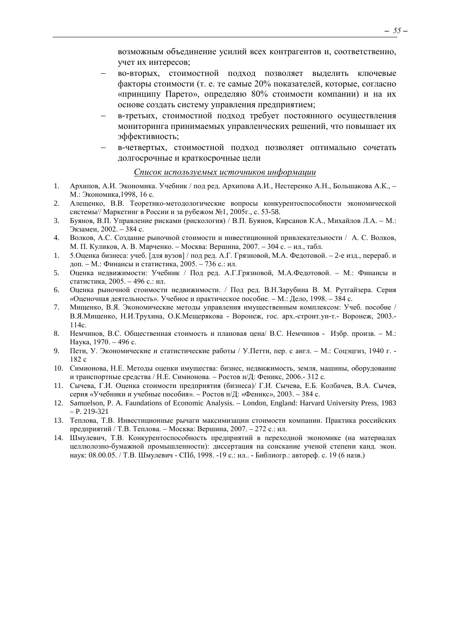возможным объединение усилий всех контрагентов и, соответственно, учет их интересов;

- − во-вторых, стоимостной подход позволяет выделить ключевые факторы стоимости (т. е. те самые 20% показателей, которые, согласно «принципу Парето», определяю 80% стоимости компании) и на их основе создать систему управления предприятием;
- в-третьих, стоимостной подход требует постоянного осуществления мониторинга принимаемых управленческих решений, что повышает их эффективность;
- − в-четвертых, стоимостной подход позволяет оптимально сочетать долгосрочные и краткосрочные цели

#### *Список используемых источников информации*

- 1. Архипов, А.И. Экономика. Учебник / под ред. Архипова А.И., Нестеренко А.Н., Большакова А.К., М.: Экономика,1998, 16 с.
- 2. Алещенко, В.В. Теоретико-методологические вопросы конкурентоспособности экономической системы// Маркетинг в России и за рубежом №1, 2005г., с. 53-58.
- 3. Буянов, В.П. Управление рисками (рискология) / В.П. Буянов, Кирсанов К.А., Михайлов Л.А. М.: Экзамен, 2002. – 384 с.
- 4. Волков, А.С. Создание рыночной стоимости и инвестиционной привлекательности / А. С. Волков, М. П. Куликов, А. В. Марченко. – Москва: Вершина, 2007. – 304 с. – ил., табл.
- 1. 5.Оценка бизнеса: учеб. [для вузов] / под ред. А.Г. Грязновой, М.А. Федотовой. 2-е изд., перераб. и доп. – М.: Финансы и статистика, 2005. – 736 с.: ил.
- 5. Оценка недвижимости: Учебник / Под ред. А.Г.Грязновой, М.А.Федотовой. М.: Финансы и статистика, 2005. – 496 с.: ил.
- 6. Оценка рыночной стоимости недвижимости. / Под ред. В.Н.Зарубина В. М. Рутгайзера. Серия «Оценочная деятельность». Учебное и практическое пособие. – М.: Дело, 1998. – 384 с.
- 7. Мищенко, В.Я. Экономические методы управления имущественным комплексом: Учеб. пособие / В.Я.Мищенко, Н.И.Трухина, О.К.Мещерякова - Воронеж, гос. арх.-строит.ун-т.- Воронеж, 2003.- 114с.
- 8. Немчинов, В.С. Общественная стоимость и плановая цена/ В.С. Немчинов Избр. произв. М.: Наука, 1970. – 496 с.
- 9. Пети, У. Экономические и статистические работы / У.Петти, пер. с англ. М.: Соцэцгиз, 1940 г. 182 с
- 10. Симионова, Н.Е. Методы оценки имущества: бизнес, недвижимость, земля, машины, оборудование и транспортные средства / Н.Е. Симионова. – Ростов н/Д: Феникс, 2006.- 312 с.
- 11. Сычева, Г.И. Оценка стоимости предприятия (бизнеса)/ Г.И. Сычева, Е.Б. Колбачев, В.А. Сычев, серия «Учебники и учебные пособия». – Ростов н/Д: «Феникс», 2003. – 384 с.
- 12. Samuelson, P. A. Faundations of Economic Analysis. London, England: Harvard University Press, 1983 – P. 219-321
- 13. Теплова, Т.В. Инвестиционные рычаги максимизации стоимости компании. Практика российских предприятий / Т.В. Теплова. – Москва: Вершина, 2007. – 272 с.: ил.
- 14. Шмулевич, Т.В. Конкурентоспособность предприятий в переходной экономике (на материалах целлюлозно-бумажной промышленности): диссертация на соискание ученой степени канд. экон. наук: 08.00.05. / Т.В. Шмулевич - СПб, 1998. -19 с.: ил.. - Библиогр.: автореф. с. 19 (6 назв.)